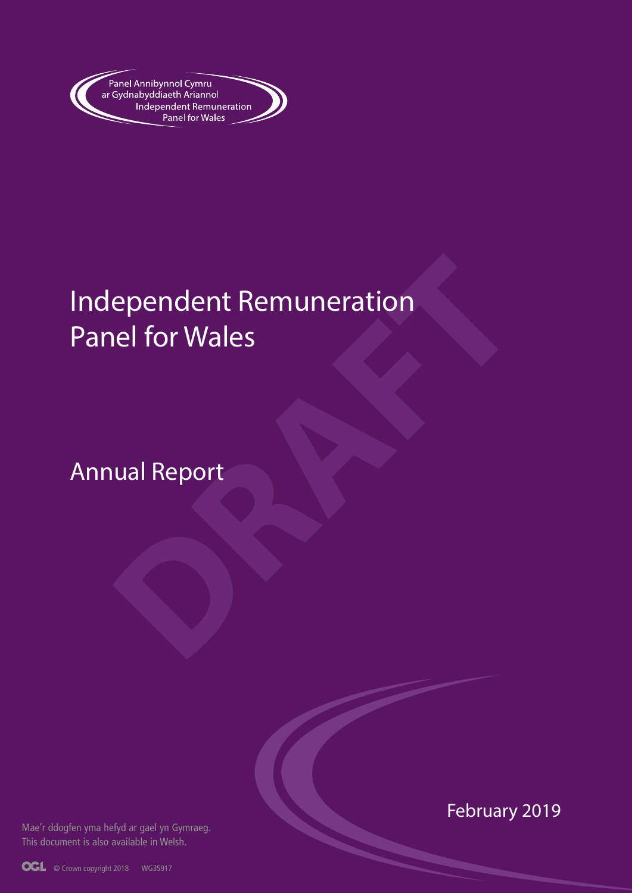

# ependent Remuneration<br> **DRAFT**<br> **DRAFT**<br> **DRAFT**<br> **DRAFT**<br> **DRAFT**<br> **DRAFT**<br> **DRAFT**<br> **DRAFT**<br> **DRAFT**<br> **DRAFT**<br> **DRAFT** Independent Remuneration Panel for Wales

Annual Report

Mae'r ddogfen yma hefyd ar gael yn Gymraeg. This document is also available in Welsh.

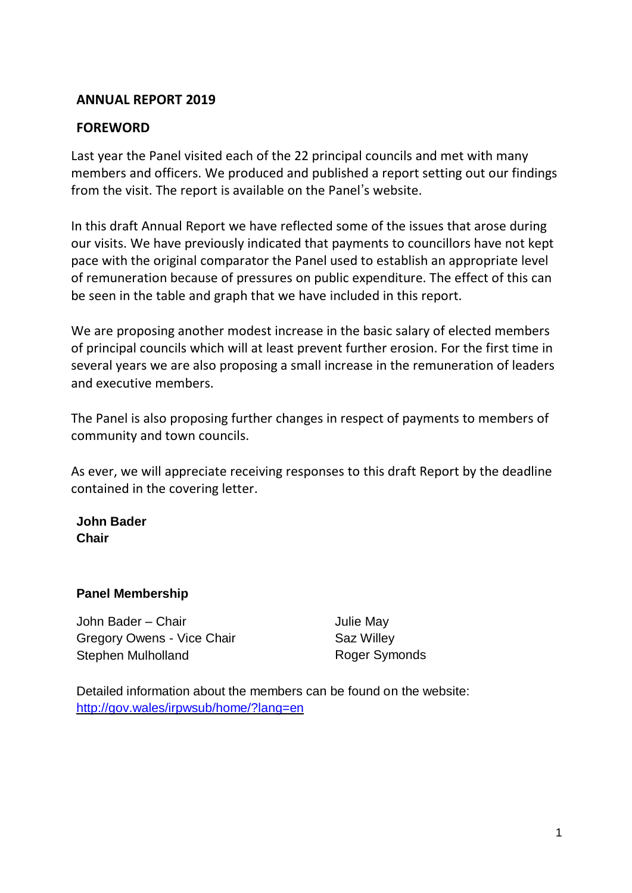### **ANNUAL REPORT 2019**

### **FOREWORD**

Last year the Panel visited each of the 22 principal councils and met with many members and officers. We produced and published a report setting out our findings from the visit. The report is available on the Panel's website.

In this draft Annual Report we have reflected some of the issues that arose during our visits. We have previously indicated that payments to councillors have not kept pace with the original comparator the Panel used to establish an appropriate level of remuneration because of pressures on public expenditure. The effect of this can be seen in the table and graph that we have included in this report.

We are proposing another modest increase in the basic salary of elected members of principal councils which will at least prevent further erosion. For the first time in several years we are also proposing a small increase in the remuneration of leaders and executive members.

The Panel is also proposing further changes in respect of payments to members of community and town councils.

As ever, we will appreciate receiving responses to this draft Report by the deadline contained in the covering letter.

**John Bader Chair**

### **Panel Membership**

John Bader – Chair Gregory Owens - Vice Chair Stephen Mulholland

Julie May Saz Willey Roger Symonds

Detailed information about the members can be found on the website: <http://gov.wales/irpwsub/home/?lang=en>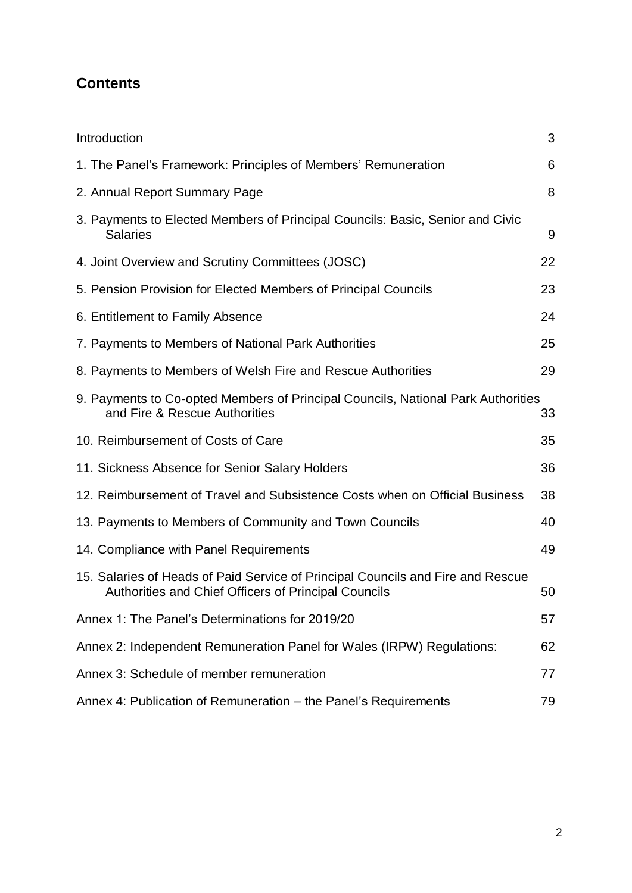# **Contents**

| Introduction                                                                                                                            | 3  |
|-----------------------------------------------------------------------------------------------------------------------------------------|----|
| 1. The Panel's Framework: Principles of Members' Remuneration                                                                           | 6  |
| 2. Annual Report Summary Page                                                                                                           | 8  |
| 3. Payments to Elected Members of Principal Councils: Basic, Senior and Civic<br><b>Salaries</b>                                        | 9  |
| 4. Joint Overview and Scrutiny Committees (JOSC)                                                                                        | 22 |
| 5. Pension Provision for Elected Members of Principal Councils                                                                          | 23 |
| 6. Entitlement to Family Absence                                                                                                        | 24 |
| 7. Payments to Members of National Park Authorities                                                                                     | 25 |
| 8. Payments to Members of Welsh Fire and Rescue Authorities                                                                             | 29 |
| 9. Payments to Co-opted Members of Principal Councils, National Park Authorities<br>and Fire & Rescue Authorities                       | 33 |
| 10. Reimbursement of Costs of Care                                                                                                      | 35 |
| 11. Sickness Absence for Senior Salary Holders                                                                                          | 36 |
| 12. Reimbursement of Travel and Subsistence Costs when on Official Business                                                             | 38 |
| 13. Payments to Members of Community and Town Councils                                                                                  | 40 |
| 14. Compliance with Panel Requirements                                                                                                  | 49 |
| 15. Salaries of Heads of Paid Service of Principal Councils and Fire and Rescue<br>Authorities and Chief Officers of Principal Councils | 50 |
| Annex 1: The Panel's Determinations for 2019/20                                                                                         | 57 |
| Annex 2: Independent Remuneration Panel for Wales (IRPW) Regulations:                                                                   | 62 |
| Annex 3: Schedule of member remuneration                                                                                                | 77 |
| Annex 4: Publication of Remuneration - the Panel's Requirements                                                                         | 79 |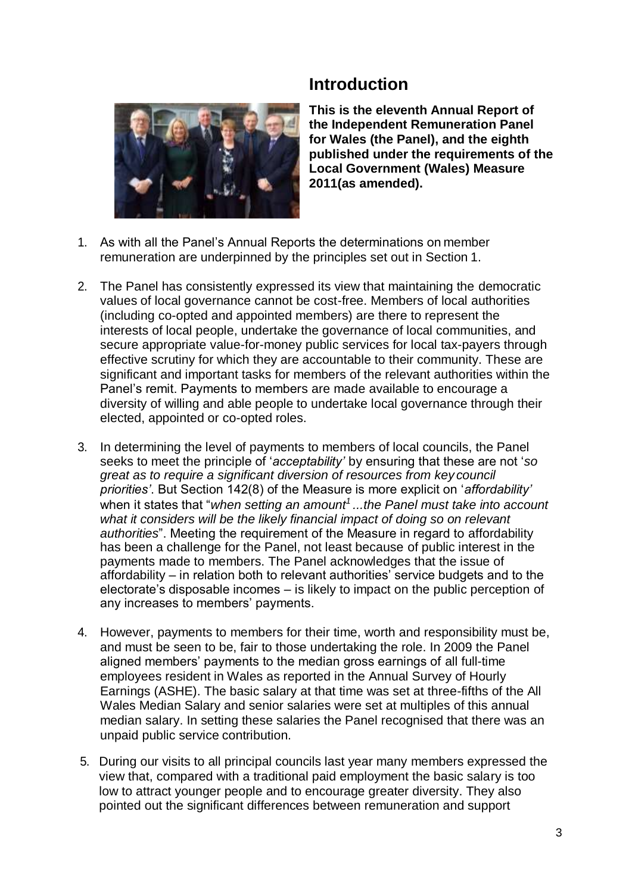# **Introduction**

**This is the eleventh Annual Report of the Independent Remuneration Panel for Wales (the Panel), and the eighth published under the requirements of the Local Government (Wales) Measure 2011(as amended).**

- <span id="page-3-0"></span>1. As with all the Panel's Annual Reports the determinations on member remuneration are underpinned by the principles set out in Section 1.
- 2. The Panel has consistently expressed its view that maintaining the democratic values of local governance cannot be cost-free. Members of local authorities (including co-opted and appointed members) are there to represent the interests of local people, undertake the governance of local communities, and secure appropriate value-for-money public services for local tax-payers through effective scrutiny for which they are accountable to their community. These are significant and important tasks for members of the relevant authorities within the Panel's remit. Payments to members are made available to encourage a diversity of willing and able people to undertake local governance through their elected, appointed or co-opted roles.
- 3. In determining the level of payments to members of local councils, the Panel seeks to meet the principle of '*acceptability'* by ensuring that these are not '*so great as to require a significant diversion of resources from key council priorities'*. But Section 142(8) of the Measure is more explicit on '*affordability'*  when it states that "*when setting an amount<sup>1</sup>...the Panel must take into account what it considers will be the likely financial impact of doing so on relevant authorities*". Meeting the requirement of the Measure in regard to affordability has been a challenge for the Panel, not least because of public interest in the payments made to members. The Panel acknowledges that the issue of affordability – in relation both to relevant authorities' service budgets and to the electorate's disposable incomes – is likely to impact on the public perception of any increases to members' payments.
- 4. However, payments to members for their time, worth and responsibility must be, and must be seen to be, fair to those undertaking the role. In 2009 the Panel aligned members' payments to the median gross earnings of all full-time employees resident in Wales as reported in the Annual Survey of Hourly Earnings (ASHE). The basic salary at that time was set at three-fifths of the All Wales Median Salary and senior salaries were set at multiples of this annual median salary. In setting these salaries the Panel recognised that there was an unpaid public service contribution.
- 5. During our visits to all principal councils last year many members expressed the view that, compared with a traditional paid employment the basic salary is too low to attract younger people and to encourage greater diversity. They also pointed out the significant differences between remuneration and support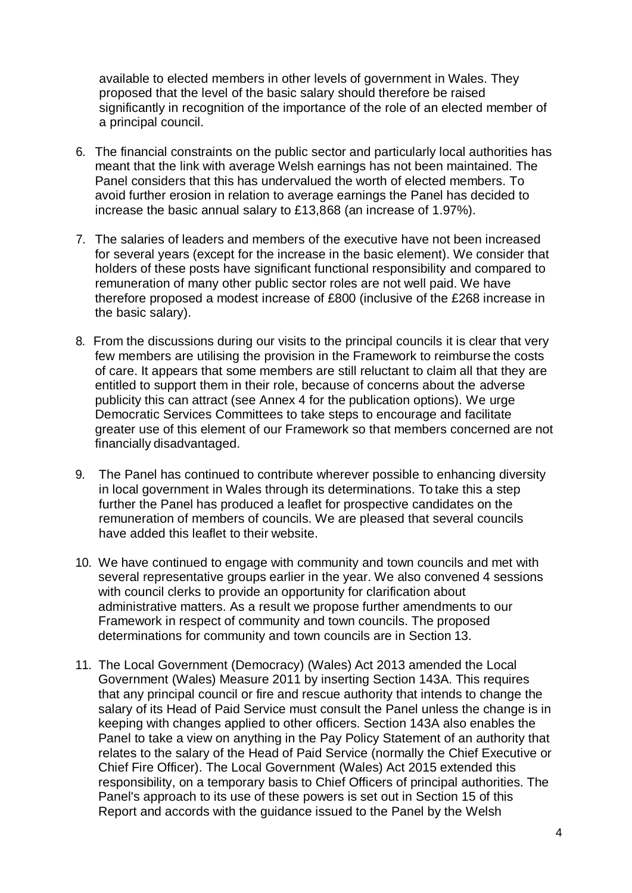available to elected members in other levels of government in Wales. They proposed that the level of the basic salary should therefore be raised significantly in recognition of the importance of the role of an elected member of a principal council.

- 6. The financial constraints on the public sector and particularly local authorities has meant that the link with average Welsh earnings has not been maintained. The Panel considers that this has undervalued the worth of elected members. To avoid further erosion in relation to average earnings the Panel has decided to increase the basic annual salary to £13,868 (an increase of 1.97%).
- 7. The salaries of leaders and members of the executive have not been increased for several years (except for the increase in the basic element). We consider that holders of these posts have significant functional responsibility and compared to remuneration of many other public sector roles are not well paid. We have therefore proposed a modest increase of £800 (inclusive of the £268 increase in the basic salary).
- 8. From the discussions during our visits to the principal councils it is clear that very few members are utilising the provision in the Framework to reimburse the costs of care. It appears that some members are still reluctant to claim all that they are entitled to support them in their role, because of concerns about the adverse publicity this can attract (see Annex 4 for the publication options). We urge Democratic Services Committees to take steps to encourage and facilitate greater use of this element of our Framework so that members concerned are not financially disadvantaged.
- 9. The Panel has continued to contribute wherever possible to enhancing diversity in local government in Wales through its determinations. To take this a step further the Panel has produced a leaflet for prospective candidates on the remuneration of members of councils. We are pleased that several councils have added this leaflet to their website.
- 10. We have continued to engage with community and town councils and met with several representative groups earlier in the year. We also convened 4 sessions with council clerks to provide an opportunity for clarification about administrative matters. As a result we propose further amendments to our Framework in respect of community and town councils. The proposed determinations for community and town councils are in Section 13.
- 11. The Local Government (Democracy) (Wales) Act 2013 amended the Local Government (Wales) Measure 2011 by inserting Section 143A. This requires that any principal council or fire and rescue authority that intends to change the salary of its Head of Paid Service must consult the Panel unless the change is in keeping with changes applied to other officers. Section 143A also enables the Panel to take a view on anything in the Pay Policy Statement of an authority that relates to the salary of the Head of Paid Service (normally the Chief Executive or Chief Fire Officer). The Local Government (Wales) Act 2015 extended this responsibility, on a temporary basis to Chief Officers of principal authorities. The Panel's approach to its use of these powers is set out in Section 15 of this Report and accords with the guidance issued to the Panel by the Welsh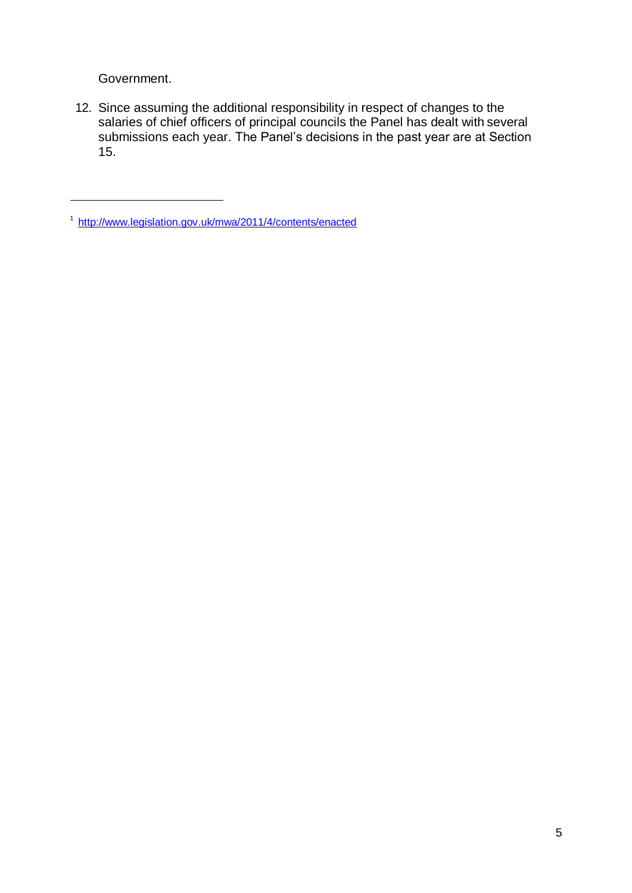Government.

12. Since assuming the additional responsibility in respect of changes to the salaries of chief officers of principal councils the Panel has dealt with several submissions each year. The Panel's decisions in the past year are at Section 15.

<sup>1</sup><http://www.legislation.gov.uk/mwa/2011/4/contents/enacted>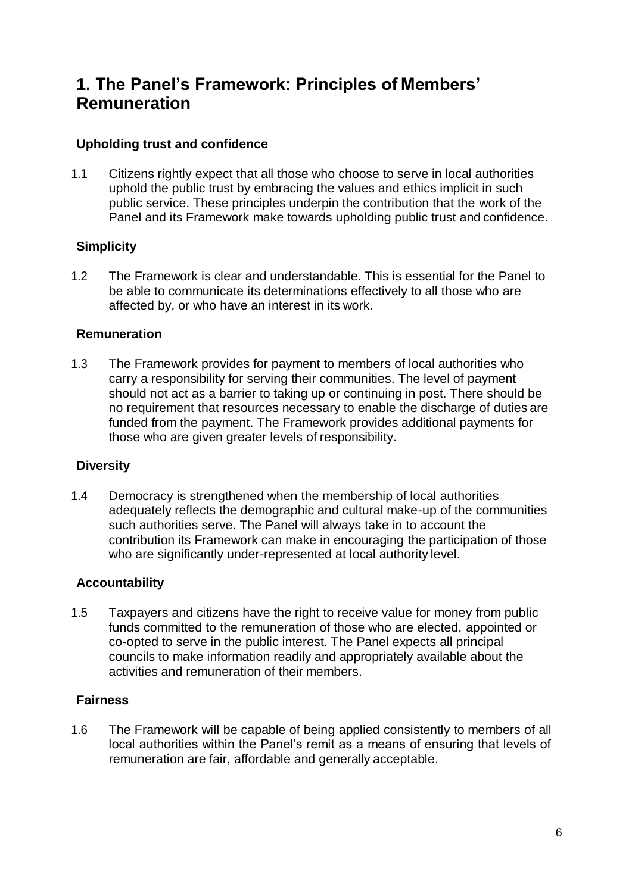# <span id="page-6-0"></span>**1. The Panel's Framework: Principles of Members' Remuneration**

### **Upholding trust and confidence**

1.1 Citizens rightly expect that all those who choose to serve in local authorities uphold the public trust by embracing the values and ethics implicit in such public service. These principles underpin the contribution that the work of the Panel and its Framework make towards upholding public trust and confidence.

### **Simplicity**

1.2 The Framework is clear and understandable. This is essential for the Panel to be able to communicate its determinations effectively to all those who are affected by, or who have an interest in its work.

### **Remuneration**

1.3 The Framework provides for payment to members of local authorities who carry a responsibility for serving their communities. The level of payment should not act as a barrier to taking up or continuing in post. There should be no requirement that resources necessary to enable the discharge of duties are funded from the payment. The Framework provides additional payments for those who are given greater levels of responsibility.

### **Diversity**

1.4 Democracy is strengthened when the membership of local authorities adequately reflects the demographic and cultural make-up of the communities such authorities serve. The Panel will always take in to account the contribution its Framework can make in encouraging the participation of those who are significantly under-represented at local authority level.

### **Accountability**

1.5 Taxpayers and citizens have the right to receive value for money from public funds committed to the remuneration of those who are elected, appointed or co-opted to serve in the public interest. The Panel expects all principal councils to make information readily and appropriately available about the activities and remuneration of their members.

### **Fairness**

1.6 The Framework will be capable of being applied consistently to members of all local authorities within the Panel's remit as a means of ensuring that levels of remuneration are fair, affordable and generally acceptable.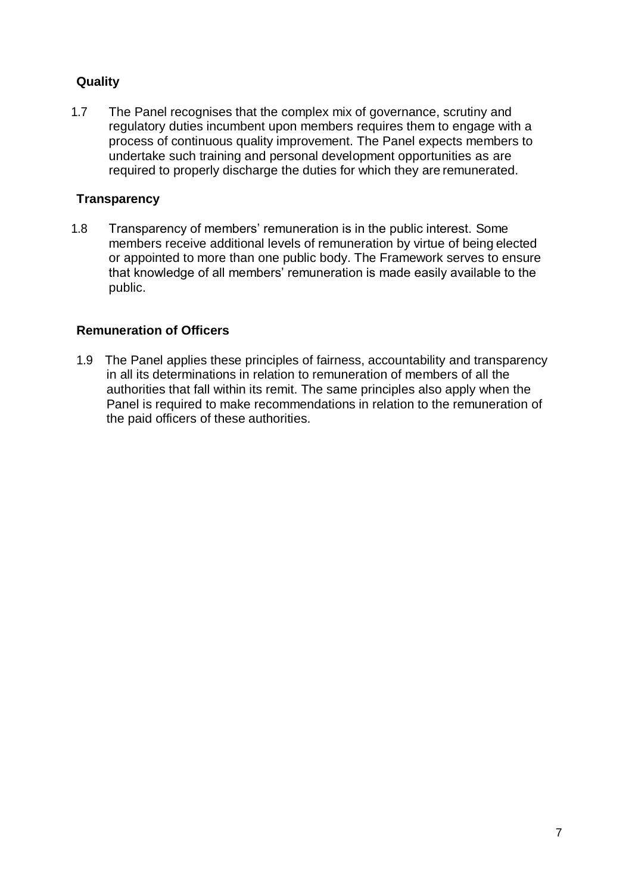### **Quality**

1.7 The Panel recognises that the complex mix of governance, scrutiny and regulatory duties incumbent upon members requires them to engage with a process of continuous quality improvement. The Panel expects members to undertake such training and personal development opportunities as are required to properly discharge the duties for which they are remunerated.

### **Transparency**

1.8 Transparency of members' remuneration is in the public interest. Some members receive additional levels of remuneration by virtue of being elected or appointed to more than one public body. The Framework serves to ensure that knowledge of all members' remuneration is made easily available to the public.

### **Remuneration of Officers**

1.9 The Panel applies these principles of fairness, accountability and transparency in all its determinations in relation to remuneration of members of all the authorities that fall within its remit. The same principles also apply when the Panel is required to make recommendations in relation to the remuneration of the paid officers of these authorities.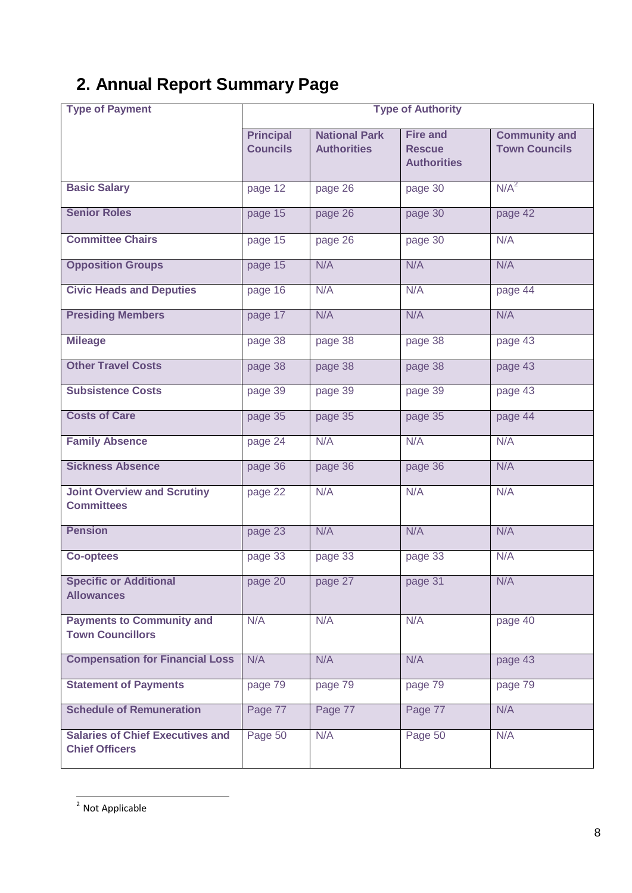# <span id="page-8-0"></span>**2. Annual Report Summary Page**

| <b>Type of Payment</b>                                           |                                     |                                            | <b>Type of Authority</b>                               |                                              |
|------------------------------------------------------------------|-------------------------------------|--------------------------------------------|--------------------------------------------------------|----------------------------------------------|
|                                                                  | <b>Principal</b><br><b>Councils</b> | <b>National Park</b><br><b>Authorities</b> | <b>Fire and</b><br><b>Rescue</b><br><b>Authorities</b> | <b>Community and</b><br><b>Town Councils</b> |
| <b>Basic Salary</b>                                              | page 12                             | page 26                                    | page 30                                                | N/A <sup>2</sup>                             |
| <b>Senior Roles</b>                                              | page 15                             | page 26                                    | page 30                                                | page 42                                      |
| <b>Committee Chairs</b>                                          | page 15                             | page 26                                    | page 30                                                | N/A                                          |
| <b>Opposition Groups</b>                                         | page 15                             | N/A                                        | N/A                                                    | N/A                                          |
| <b>Civic Heads and Deputies</b>                                  | page 16                             | N/A                                        | N/A                                                    | page 44                                      |
| <b>Presiding Members</b>                                         | page 17                             | N/A                                        | N/A                                                    | N/A                                          |
| <b>Mileage</b>                                                   | page 38                             | page 38                                    | page 38                                                | page 43                                      |
| <b>Other Travel Costs</b>                                        | page 38                             | page 38                                    | page 38                                                | page 43                                      |
| <b>Subsistence Costs</b>                                         | page 39                             | page 39                                    | page 39                                                | page 43                                      |
| <b>Costs of Care</b>                                             | page 35                             | page 35                                    | page 35                                                | page 44                                      |
| <b>Family Absence</b>                                            | page 24                             | N/A                                        | N/A                                                    | N/A                                          |
| <b>Sickness Absence</b>                                          | page 36                             | page 36                                    | page 36                                                | N/A                                          |
| <b>Joint Overview and Scrutiny</b><br><b>Committees</b>          | page 22                             | N/A                                        | N/A                                                    | N/A                                          |
| <b>Pension</b>                                                   | page 23                             | N/A                                        | N/A                                                    | N/A                                          |
| <b>Co-optees</b>                                                 | page 33                             | page 33                                    | page 33                                                | N/A                                          |
| <b>Specific or Additional</b><br><b>Allowances</b>               | page 20                             | page 27                                    | page 31                                                | N/A                                          |
| <b>Payments to Community and</b><br><b>Town Councillors</b>      | N/A                                 | N/A                                        | N/A                                                    | page 40                                      |
| <b>Compensation for Financial Loss</b>                           | N/A                                 | N/A                                        | N/A                                                    | page 43                                      |
| <b>Statement of Payments</b>                                     | page 79                             | page 79                                    | page 79                                                | page 79                                      |
| <b>Schedule of Remuneration</b>                                  | Page 77                             | Page 77                                    | Page 77                                                | N/A                                          |
| <b>Salaries of Chief Executives and</b><br><b>Chief Officers</b> | Page 50                             | N/A                                        | Page 50                                                | N/A                                          |

 $\frac{1}{2}$  Not Applicable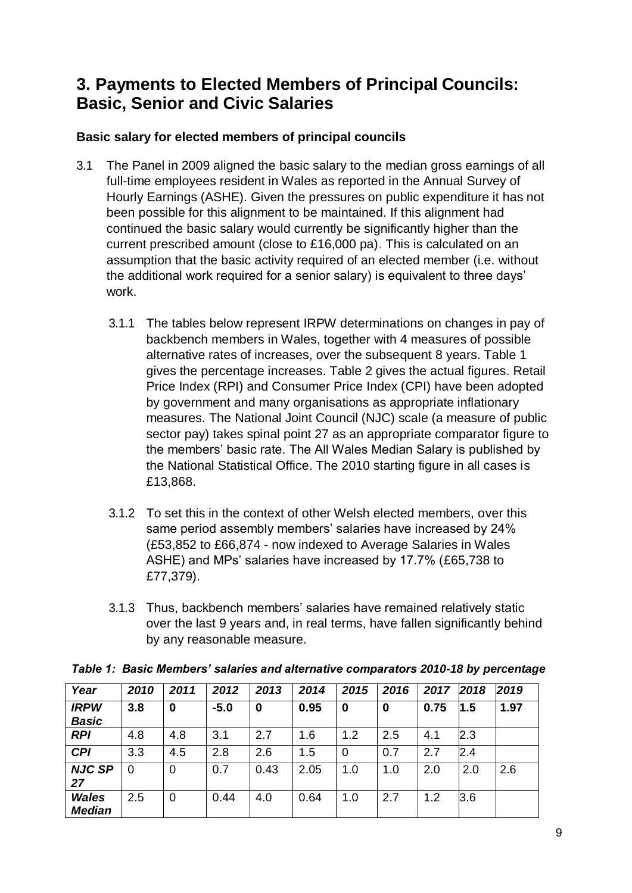# <span id="page-9-0"></span>**3. Payments to Elected Members of Principal Councils: Basic, Senior and Civic Salaries**

### **Basic salary for elected members of principal councils**

- 3.1 The Panel in 2009 aligned the basic salary to the median gross earnings of all full-time employees resident in Wales as reported in the Annual Survey of Hourly Earnings (ASHE). Given the pressures on public expenditure it has not been possible for this alignment to be maintained. If this alignment had continued the basic salary would currently be significantly higher than the current prescribed amount (close to £16,000 pa). This is calculated on an assumption that the basic activity required of an elected member (i.e. without the additional work required for a senior salary) is equivalent to three days' work.
	- 3.1.1 The tables below represent IRPW determinations on changes in pay of backbench members in Wales, together with 4 measures of possible alternative rates of increases, over the subsequent 8 years. Table 1 gives the percentage increases. Table 2 gives the actual figures. Retail Price Index (RPI) and Consumer Price Index (CPI) have been adopted by government and many organisations as appropriate inflationary measures. The National Joint Council (NJC) scale (a measure of public sector pay) takes spinal point 27 as an appropriate comparator figure to the members' basic rate. The All Wales Median Salary is published by the National Statistical Office. The 2010 starting figure in all cases is £13,868.
	- 3.1.2 To set this in the context of other Welsh elected members, over this same period assembly members' salaries have increased by 24% (£53,852 to £66,874 - now indexed to Average Salaries in Wales ASHE) and MPs' salaries have increased by 17.7% (£65,738 to £77,379).
	- 3.1.3 Thus, backbench members' salaries have remained relatively static over the last 9 years and, in real terms, have fallen significantly behind by any reasonable measure.

| Year                          | 2010 | 2011 | 2012   | 2013             | 2014 | 2015 | 2016 | 2017 | 2018 | 2019 |
|-------------------------------|------|------|--------|------------------|------|------|------|------|------|------|
| <b>IRPW</b>                   | 3.8  | 0    | $-5.0$ | $\boldsymbol{0}$ | 0.95 | 0    | 0    | 0.75 | 1.5  | 1.97 |
| <b>Basic</b>                  |      |      |        |                  |      |      |      |      |      |      |
| <b>RPI</b>                    | 4.8  | 4.8  | 3.1    | 2.7              | 1.6  | 1.2  | 2.5  | 4.1  | 2.3  |      |
| <b>CPI</b>                    | 3.3  | 4.5  | 2.8    | 2.6              | 1.5  | 0    | 0.7  | 2.7  | 2.4  |      |
| <b>NJC SP</b><br>27           | 0    | 0    | 0.7    | 0.43             | 2.05 | 1.0  | 1.0  | 2.0  | 2.0  | 2.6  |
| <b>Wales</b><br><b>Median</b> | 2.5  | 0    | 0.44   | 4.0              | 0.64 | 1.0  | 2.7  | 1.2  | 3.6  |      |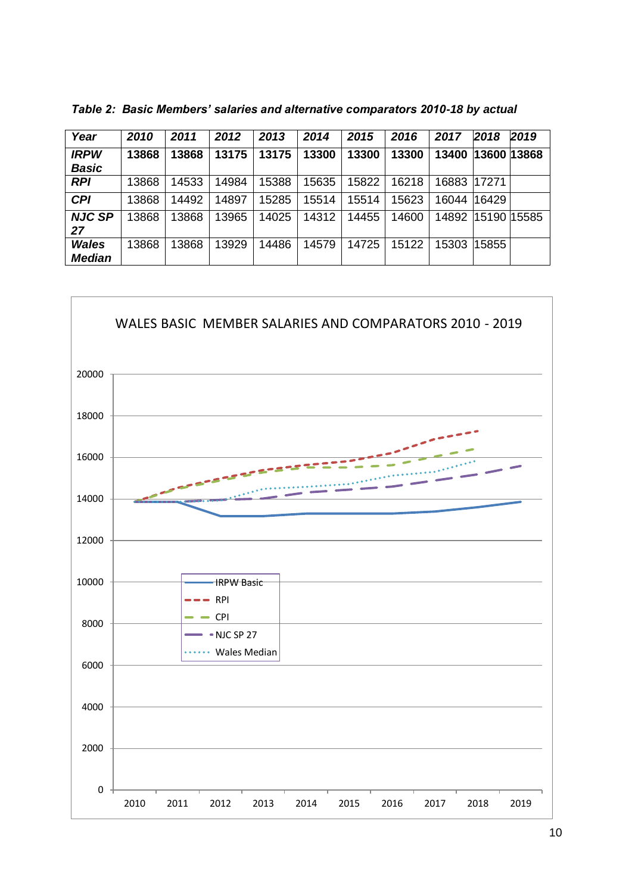| Year          | 2010  | 2011  | 2012  | 2013  | 2014  | 2015  | 2016  | 2017  | 2018        | 2019         |
|---------------|-------|-------|-------|-------|-------|-------|-------|-------|-------------|--------------|
| <b>IRPW</b>   | 13868 | 13868 | 13175 | 13175 | 13300 | 13300 | 13300 | 13400 |             | 3600   13868 |
| <b>Basic</b>  |       |       |       |       |       |       |       |       |             |              |
| <b>RPI</b>    | 13868 | 14533 | 14984 | 15388 | 5635  | 15822 | 16218 | 16883 | 17271       |              |
| <b>CPI</b>    | 13868 | 14492 | 14897 | 15285 | 15514 | 15514 | 15623 | 16044 | 16429       |              |
| <b>NJC SP</b> | 13868 | 13868 | 13965 | 14025 | 14312 | 14455 | 14600 | 14892 | 15190115585 |              |
| 27            |       |       |       |       |       |       |       |       |             |              |
| <b>Wales</b>  | 13868 | 13868 | 13929 | 14486 | 14579 | 14725 | 15122 | 15303 | 5855        |              |
| <b>Median</b> |       |       |       |       |       |       |       |       |             |              |

*Table 2: Basic Members' salaries and alternative comparators 2010-18 by actual*

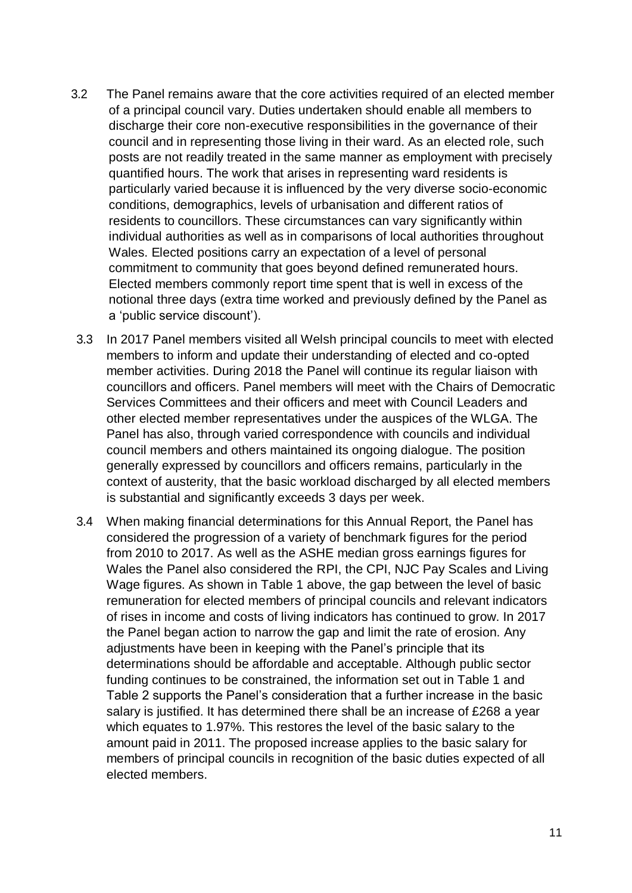- 3.2 The Panel remains aware that the core activities required of an elected member of a principal council vary. Duties undertaken should enable all members to discharge their core non-executive responsibilities in the governance of their council and in representing those living in their ward. As an elected role, such posts are not readily treated in the same manner as employment with precisely quantified hours. The work that arises in representing ward residents is particularly varied because it is influenced by the very diverse socio-economic conditions, demographics, levels of urbanisation and different ratios of residents to councillors. These circumstances can vary significantly within individual authorities as well as in comparisons of local authorities throughout Wales. Elected positions carry an expectation of a level of personal commitment to community that goes beyond defined remunerated hours. Elected members commonly report time spent that is well in excess of the notional three days (extra time worked and previously defined by the Panel as a 'public service discount').
- 3.3 In 2017 Panel members visited all Welsh principal councils to meet with elected members to inform and update their understanding of elected and co-opted member activities. During 2018 the Panel will continue its regular liaison with councillors and officers. Panel members will meet with the Chairs of Democratic Services Committees and their officers and meet with Council Leaders and other elected member representatives under the auspices of the WLGA. The Panel has also, through varied correspondence with councils and individual council members and others maintained its ongoing dialogue. The position generally expressed by councillors and officers remains, particularly in the context of austerity, that the basic workload discharged by all elected members is substantial and significantly exceeds 3 days per week.
- 3.4 When making financial determinations for this Annual Report, the Panel has considered the progression of a variety of benchmark figures for the period from 2010 to 2017. As well as the ASHE median gross earnings figures for Wales the Panel also considered the RPI, the CPI, NJC Pay Scales and Living Wage figures. As shown in Table 1 above, the gap between the level of basic remuneration for elected members of principal councils and relevant indicators of rises in income and costs of living indicators has continued to grow. In 2017 the Panel began action to narrow the gap and limit the rate of erosion. Any adjustments have been in keeping with the Panel's principle that its determinations should be affordable and acceptable. Although public sector funding continues to be constrained, the information set out in Table 1 and Table 2 supports the Panel's consideration that a further increase in the basic salary is justified. It has determined there shall be an increase of £268 a year which equates to 1.97%. This restores the level of the basic salary to the amount paid in 2011. The proposed increase applies to the basic salary for members of principal councils in recognition of the basic duties expected of all elected members.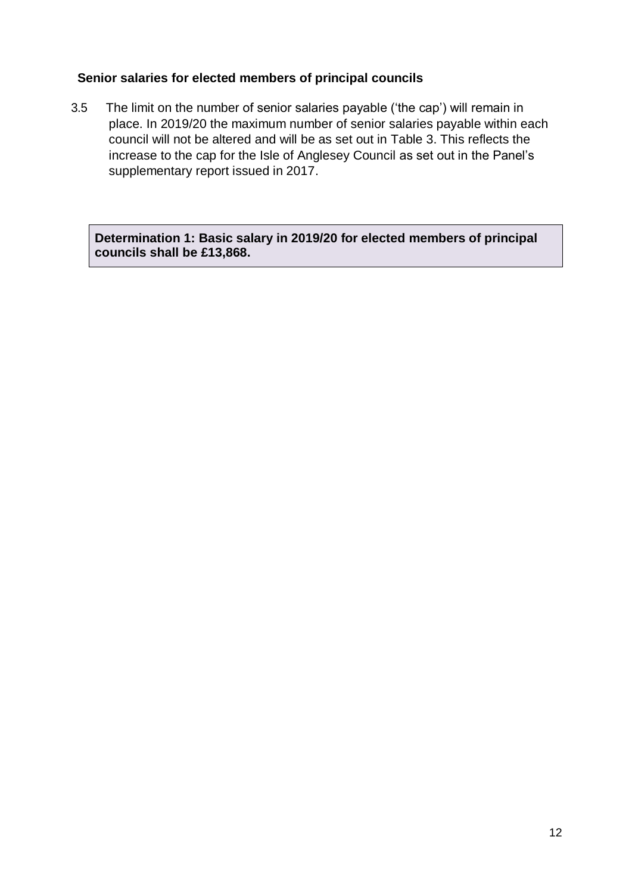### **Senior salaries for elected members of principal councils**

3.5 The limit on the number of senior salaries payable ('the cap') will remain in place. In 2019/20 the maximum number of senior salaries payable within each council will not be altered and will be as set out in Table 3. This reflects the increase to the cap for the Isle of Anglesey Council as set out in the Panel's supplementary report issued in 2017.

**Determination 1: Basic salary in 2019/20 for elected members of principal councils shall be £13,868.**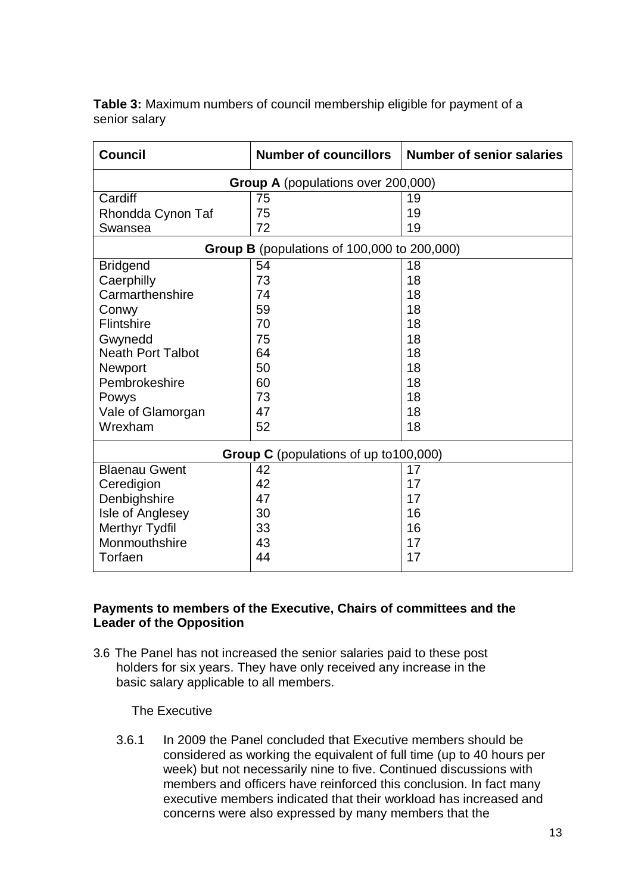**Table 3:** Maximum numbers of council membership eligible for payment of a senior salary

| <b>Council</b>                            | <b>Number of councillors</b>                       | <b>Number of senior salaries</b> |  |  |  |
|-------------------------------------------|----------------------------------------------------|----------------------------------|--|--|--|
| <b>Group A</b> (populations over 200,000) |                                                    |                                  |  |  |  |
| Cardiff                                   | 75                                                 | 19                               |  |  |  |
| Rhondda Cynon Taf                         | 75                                                 | 19                               |  |  |  |
| Swansea                                   | 72                                                 | 19                               |  |  |  |
|                                           | <b>Group B</b> (populations of 100,000 to 200,000) |                                  |  |  |  |
| <b>Bridgend</b>                           | 54                                                 | 18                               |  |  |  |
| Caerphilly                                | 73                                                 | 18                               |  |  |  |
| Carmarthenshire                           | 74                                                 | 18                               |  |  |  |
| Conwy                                     | 59                                                 | 18                               |  |  |  |
| Flintshire                                | 70                                                 | 18                               |  |  |  |
| Gwynedd                                   | 75                                                 | 18                               |  |  |  |
| <b>Neath Port Talbot</b>                  | 64                                                 | 18                               |  |  |  |
| Newport                                   | 50                                                 | 18                               |  |  |  |
| Pembrokeshire                             | 60                                                 | 18                               |  |  |  |
| Powys                                     | 73                                                 | 18                               |  |  |  |
| Vale of Glamorgan                         | 47                                                 | 18                               |  |  |  |
| Wrexham                                   | 52                                                 | 18                               |  |  |  |
| Group C (populations of up to 100,000)    |                                                    |                                  |  |  |  |
| <b>Blaenau Gwent</b>                      | 42                                                 | 17                               |  |  |  |
| Ceredigion                                | 42                                                 | 17                               |  |  |  |
| Denbighshire                              | 47                                                 | 17                               |  |  |  |
| Isle of Anglesey                          | 30                                                 | 16                               |  |  |  |
| Merthyr Tydfil                            | 33                                                 | 16                               |  |  |  |
| Monmouthshire                             | 43                                                 | 17                               |  |  |  |
| Torfaen                                   | 44                                                 | 17                               |  |  |  |

### **Payments to members of the Executive, Chairs of committees and the Leader of the Opposition**

3.6 The Panel has not increased the senior salaries paid to these post holders for six years. They have only received any increase in the basic salary applicable to all members.

The Executive

3.6.1 In 2009 the Panel concluded that Executive members should be considered as working the equivalent of full time (up to 40 hours per week) but not necessarily nine to five. Continued discussions with members and officers have reinforced this conclusion. In fact many executive members indicated that their workload has increased and concerns were also expressed by many members that the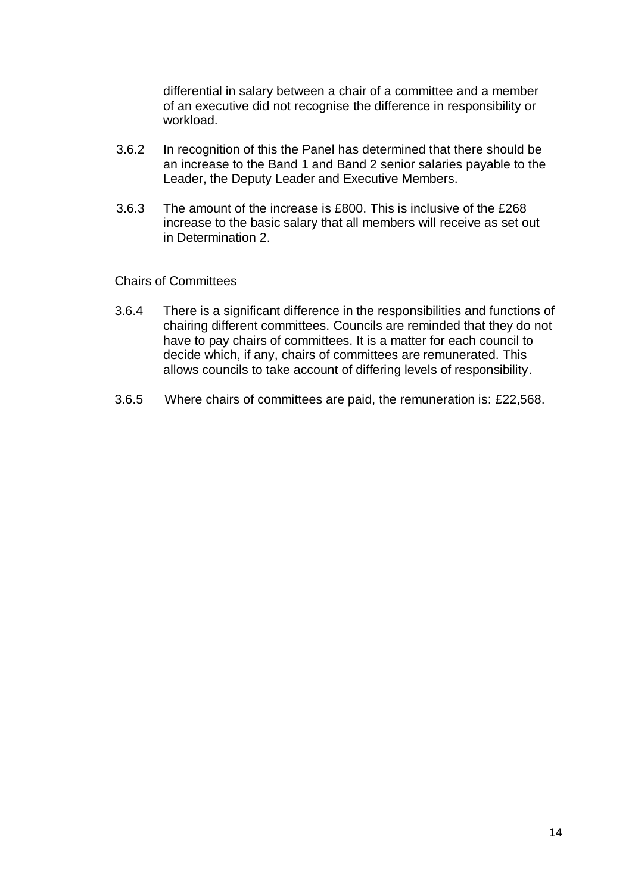differential in salary between a chair of a committee and a member of an executive did not recognise the difference in responsibility or workload.

- 3.6.2 In recognition of this the Panel has determined that there should be an increase to the Band 1 and Band 2 senior salaries payable to the Leader, the Deputy Leader and Executive Members.
- 3.6.3 The amount of the increase is £800. This is inclusive of the £268 increase to the basic salary that all members will receive as set out in Determination 2.

Chairs of Committees

- 3.6.4 There is a significant difference in the responsibilities and functions of chairing different committees. Councils are reminded that they do not have to pay chairs of committees. It is a matter for each council to decide which, if any, chairs of committees are remunerated. This allows councils to take account of differing levels of responsibility.
- 3.6.5 Where chairs of committees are paid, the remuneration is: £22,568.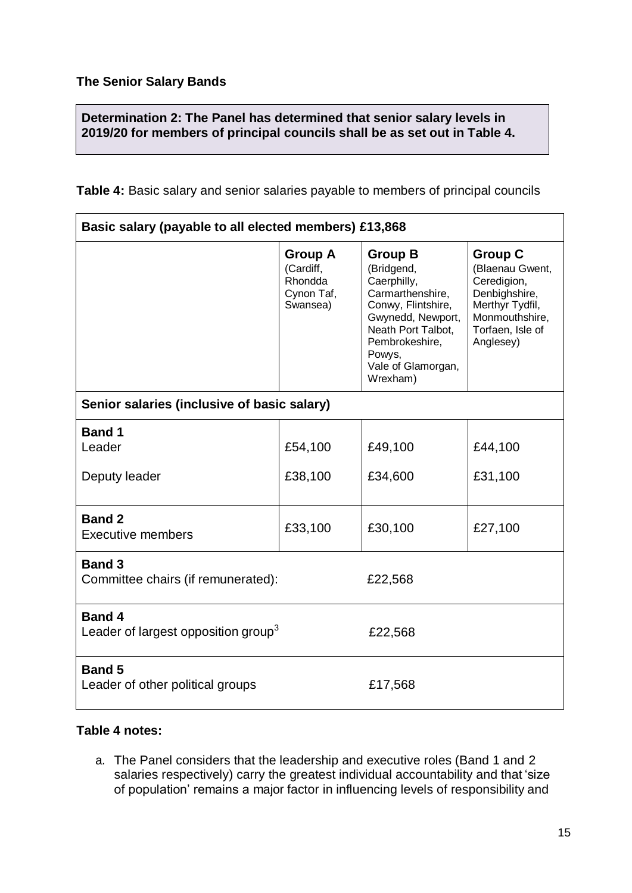**Determination 2: The Panel has determined that senior salary levels in 2019/20 for members of principal councils shall be as set out in Table 4.**

**Table 4:** Basic salary and senior salaries payable to members of principal councils

| Basic salary (payable to all elected members) £13,868            |                                                                  |                                                                                                                                                                                                |                                                                                                                                         |  |  |
|------------------------------------------------------------------|------------------------------------------------------------------|------------------------------------------------------------------------------------------------------------------------------------------------------------------------------------------------|-----------------------------------------------------------------------------------------------------------------------------------------|--|--|
|                                                                  | <b>Group A</b><br>(Cardiff,<br>Rhondda<br>Cynon Taf,<br>Swansea) | <b>Group B</b><br>(Bridgend,<br>Caerphilly,<br>Carmarthenshire,<br>Conwy, Flintshire,<br>Gwynedd, Newport,<br>Neath Port Talbot,<br>Pembrokeshire,<br>Powys,<br>Vale of Glamorgan,<br>Wrexham) | <b>Group C</b><br>(Blaenau Gwent,<br>Ceredigion,<br>Denbighshire,<br>Merthyr Tydfil,<br>Monmouthshire,<br>Torfaen, Isle of<br>Anglesey) |  |  |
| Senior salaries (inclusive of basic salary)                      |                                                                  |                                                                                                                                                                                                |                                                                                                                                         |  |  |
| <b>Band 1</b><br>Leader                                          | £54,100                                                          | £49,100                                                                                                                                                                                        | £44,100                                                                                                                                 |  |  |
| Deputy leader                                                    | £38,100                                                          | £34,600                                                                                                                                                                                        | £31,100                                                                                                                                 |  |  |
| <b>Band 2</b><br><b>Executive members</b>                        | £33,100                                                          | £30,100                                                                                                                                                                                        | £27,100                                                                                                                                 |  |  |
| <b>Band 3</b><br>Committee chairs (if remunerated):              |                                                                  | £22,568                                                                                                                                                                                        |                                                                                                                                         |  |  |
| <b>Band 4</b><br>Leader of largest opposition group <sup>3</sup> |                                                                  | £22,568                                                                                                                                                                                        |                                                                                                                                         |  |  |
| <b>Band 5</b><br>Leader of other political groups                |                                                                  | £17,568                                                                                                                                                                                        |                                                                                                                                         |  |  |

### **Table 4 notes:**

a. The Panel considers that the leadership and executive roles (Band 1 and 2 salaries respectively) carry the greatest individual accountability and that 'size of population' remains a major factor in influencing levels of responsibility and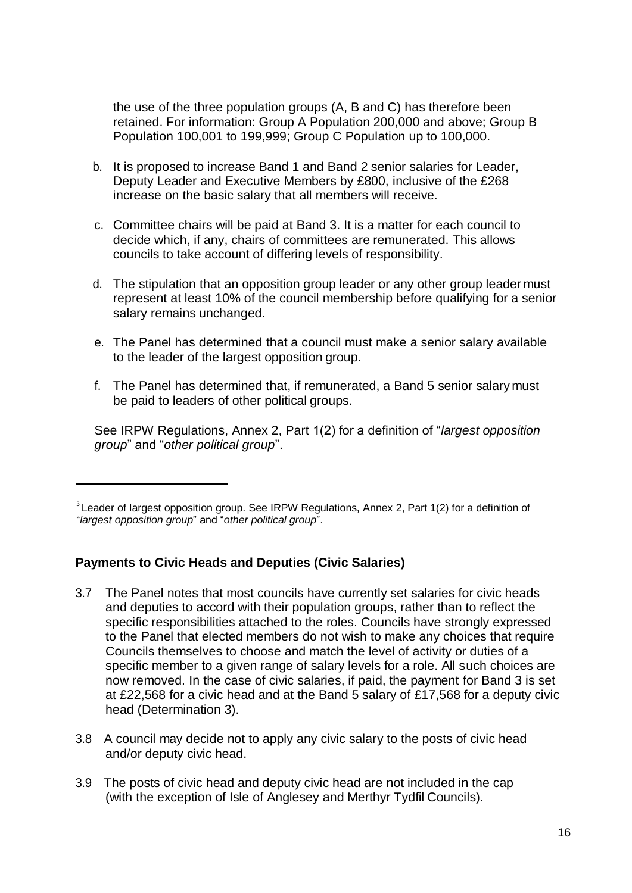the use of the three population groups (A, B and C) has therefore been retained. For information: Group A Population 200,000 and above; Group B Population 100,001 to 199,999; Group C Population up to 100,000.

- b. It is proposed to increase Band 1 and Band 2 senior salaries for Leader, Deputy Leader and Executive Members by £800, inclusive of the £268 increase on the basic salary that all members will receive.
- c. Committee chairs will be paid at Band 3. It is a matter for each council to decide which, if any, chairs of committees are remunerated. This allows councils to take account of differing levels of responsibility.
- d. The stipulation that an opposition group leader or any other group leader must represent at least 10% of the council membership before qualifying for a senior salary remains unchanged.
- e. The Panel has determined that a council must make a senior salary available to the leader of the largest opposition group.
- f. The Panel has determined that, if remunerated, a Band 5 senior salary must be paid to leaders of other political groups.

See IRPW Regulations, Annex 2, Part 1(2) for a definition of "*largest opposition group*" and "*other political group*".

### **Payments to Civic Heads and Deputies (Civic Salaries)**

- 3.7 The Panel notes that most councils have currently set salaries for civic heads and deputies to accord with their population groups, rather than to reflect the specific responsibilities attached to the roles. Councils have strongly expressed to the Panel that elected members do not wish to make any choices that require Councils themselves to choose and match the level of activity or duties of a specific member to a given range of salary levels for a role. All such choices are now removed. In the case of civic salaries, if paid, the payment for Band 3 is set at £22,568 for a civic head and at the Band 5 salary of £17,568 for a deputy civic head (Determination 3).
- 3.8 A council may decide not to apply any civic salary to the posts of civic head and/or deputy civic head.
- 3.9 The posts of civic head and deputy civic head are not included in the cap (with the exception of Isle of Anglesey and Merthyr Tydfil Councils).

<sup>&</sup>lt;sup>3</sup> Leader of largest opposition group. See IRPW Regulations, Annex 2, Part 1(2) for a definition of "*largest opposition group*" and "*other political group*".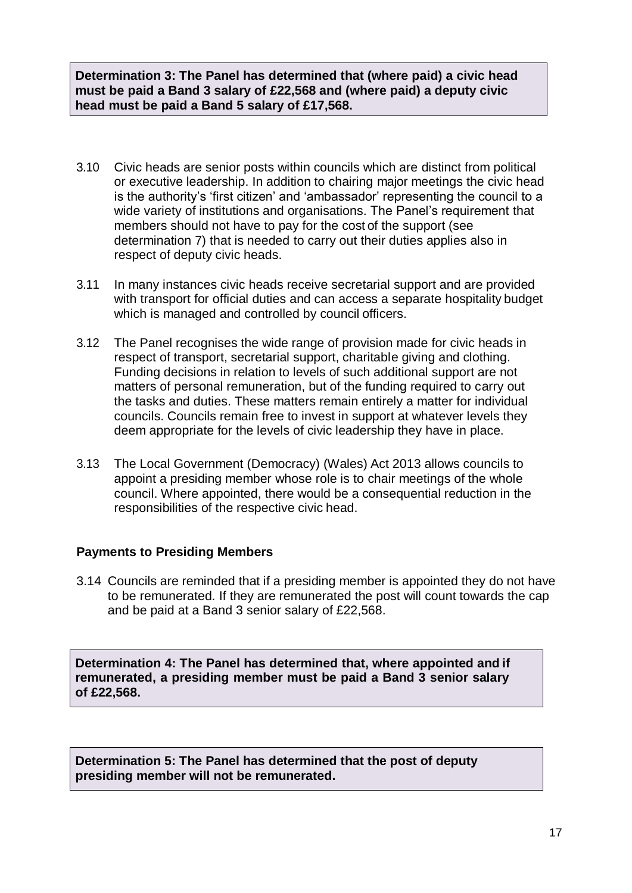**Determination 3: The Panel has determined that (where paid) a civic head must be paid a Band 3 salary of £22,568 and (where paid) a deputy civic head must be paid a Band 5 salary of £17,568.**

- 3.10 Civic heads are senior posts within councils which are distinct from political or executive leadership. In addition to chairing major meetings the civic head is the authority's 'first citizen' and 'ambassador' representing the council to a wide variety of institutions and organisations. The Panel's requirement that members should not have to pay for the cost of the support (see determination 7) that is needed to carry out their duties applies also in respect of deputy civic heads.
- 3.11 In many instances civic heads receive secretarial support and are provided with transport for official duties and can access a separate hospitality budget which is managed and controlled by council officers.
- 3.12 The Panel recognises the wide range of provision made for civic heads in respect of transport, secretarial support, charitable giving and clothing. Funding decisions in relation to levels of such additional support are not matters of personal remuneration, but of the funding required to carry out the tasks and duties. These matters remain entirely a matter for individual councils. Councils remain free to invest in support at whatever levels they deem appropriate for the levels of civic leadership they have in place.
- 3.13 The Local Government (Democracy) (Wales) Act 2013 allows councils to appoint a presiding member whose role is to chair meetings of the whole council. Where appointed, there would be a consequential reduction in the responsibilities of the respective civic head.

### **Payments to Presiding Members**

3.14 Councils are reminded that if a presiding member is appointed they do not have to be remunerated. If they are remunerated the post will count towards the cap and be paid at a Band 3 senior salary of £22,568.

**Determination 4: The Panel has determined that, where appointed and if remunerated, a presiding member must be paid a Band 3 senior salary of £22,568.** 

**Determination 5: The Panel has determined that the post of deputy presiding member will not be remunerated.**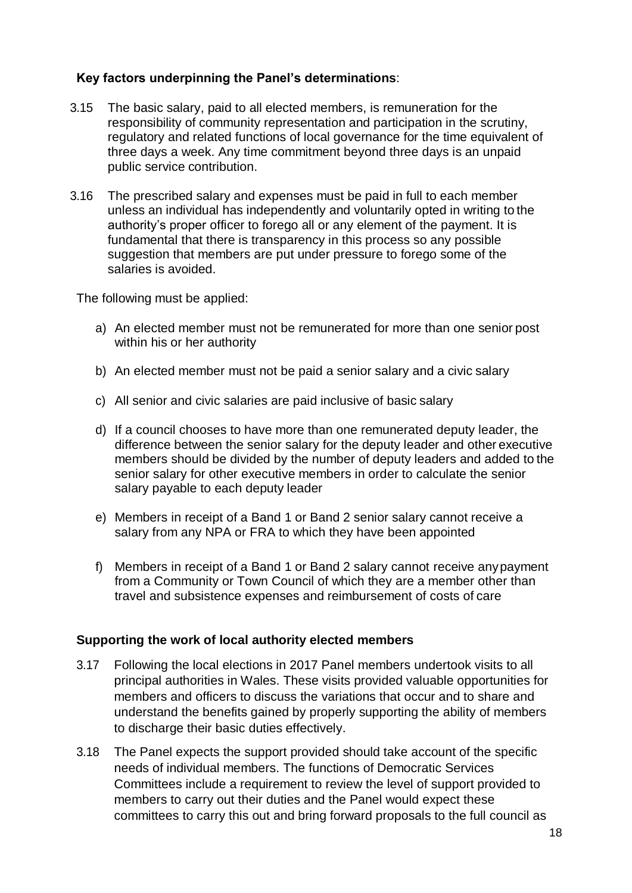### **Key factors underpinning the Panel's determinations**:

- 3.15 The basic salary, paid to all elected members, is remuneration for the responsibility of community representation and participation in the scrutiny, regulatory and related functions of local governance for the time equivalent of three days a week. Any time commitment beyond three days is an unpaid public service contribution.
- 3.16 The prescribed salary and expenses must be paid in full to each member unless an individual has independently and voluntarily opted in writing to the authority's proper officer to forego all or any element of the payment. It is fundamental that there is transparency in this process so any possible suggestion that members are put under pressure to forego some of the salaries is avoided.

The following must be applied:

- a) An elected member must not be remunerated for more than one senior post within his or her authority
- b) An elected member must not be paid a senior salary and a civic salary
- c) All senior and civic salaries are paid inclusive of basic salary
- d) If a council chooses to have more than one remunerated deputy leader, the difference between the senior salary for the deputy leader and other executive members should be divided by the number of deputy leaders and added to the senior salary for other executive members in order to calculate the senior salary payable to each deputy leader
- e) Members in receipt of a Band 1 or Band 2 senior salary cannot receive a salary from any NPA or FRA to which they have been appointed
- f) Members in receipt of a Band 1 or Band 2 salary cannot receive anypayment from a Community or Town Council of which they are a member other than travel and subsistence expenses and reimbursement of costs of care

### **Supporting the work of local authority elected members**

- 3.17 Following the local elections in 2017 Panel members undertook visits to all principal authorities in Wales. These visits provided valuable opportunities for members and officers to discuss the variations that occur and to share and understand the benefits gained by properly supporting the ability of members to discharge their basic duties effectively.
- 3.18 The Panel expects the support provided should take account of the specific needs of individual members. The functions of Democratic Services Committees include a requirement to review the level of support provided to members to carry out their duties and the Panel would expect these committees to carry this out and bring forward proposals to the full council as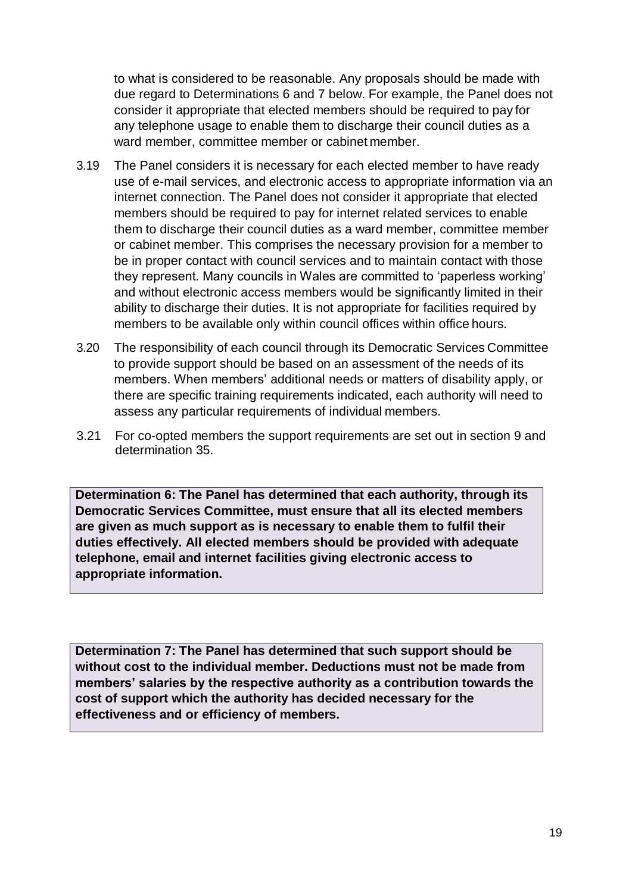to what is considered to be reasonable. Any proposals should be made with due regard to Determinations 6 and 7 below. For example, the Panel does not consider it appropriate that elected members should be required to pay for any telephone usage to enable them to discharge their council duties as a ward member, committee member or cabinet member.

- 3.19 The Panel considers it is necessary for each elected member to have ready use of e-mail services, and electronic access to appropriate information via an internet connection. The Panel does not consider it appropriate that elected members should be required to pay for internet related services to enable them to discharge their council duties as a ward member, committee member or cabinet member. This comprises the necessary provision for a member to be in proper contact with council services and to maintain contact with those they represent. Many councils in Wales are committed to 'paperless working' and without electronic access members would be significantly limited in their ability to discharge their duties. It is not appropriate for facilities required by members to be available only within council offices within office hours.
- 3.20 The responsibility of each council through its Democratic Services Committee to provide support should be based on an assessment of the needs of its members. When members' additional needs or matters of disability apply, or there are specific training requirements indicated, each authority will need to assess any particular requirements of individual members.
- 3.21 For co-opted members the support requirements are set out in section 9 and determination 35.

**Determination 6: The Panel has determined that each authority, through its Democratic Services Committee, must ensure that all its elected members are given as much support as is necessary to enable them to fulfil their duties effectively. All elected members should be provided with adequate telephone, email and internet facilities giving electronic access to appropriate information.**

**Determination 7: The Panel has determined that such support should be without cost to the individual member. Deductions must not be made from members' salaries by the respective authority as a contribution towards the cost of support which the authority has decided necessary for the effectiveness and or efficiency of members.**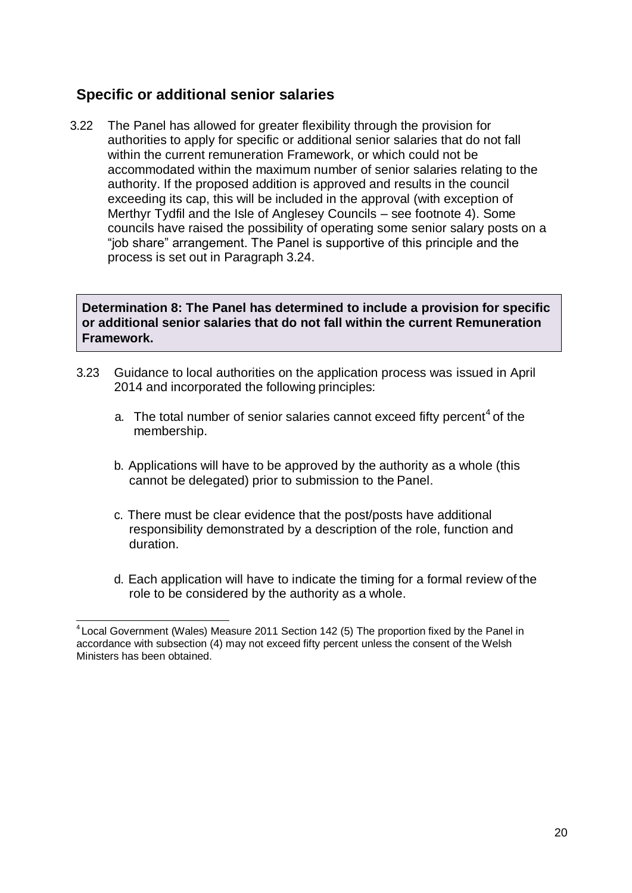## **Specific or additional senior salaries**

3.22 The Panel has allowed for greater flexibility through the provision for authorities to apply for specific or additional senior salaries that do not fall within the current remuneration Framework, or which could not be accommodated within the maximum number of senior salaries relating to the authority. If the proposed addition is approved and results in the council exceeding its cap, this will be included in the approval (with exception of Merthyr Tydfil and the Isle of Anglesey Councils – see footnote 4). Some councils have raised the possibility of operating some senior salary posts on a "job share" arrangement. The Panel is supportive of this principle and the process is set out in Paragraph 3.24.

**Determination 8: The Panel has determined to include a provision for specific or additional senior salaries that do not fall within the current Remuneration Framework.**

- 3.23 Guidance to local authorities on the application process was issued in April 2014 and incorporated the following principles:
	- a. The total number of senior salaries cannot exceed fifty percent<sup>4</sup> of the membership.
	- b. Applications will have to be approved by the authority as a whole (this cannot be delegated) prior to submission to the Panel.
	- c. There must be clear evidence that the post/posts have additional responsibility demonstrated by a description of the role, function and duration.
	- d. Each application will have to indicate the timing for a formal review of the role to be considered by the authority as a whole.

<sup>&</sup>lt;sup>4</sup> Local Government (Wales) Measure 2011 Section 142 (5) The proportion fixed by the Panel in accordance with subsection (4) may not exceed fifty percent unless the consent of the Welsh Ministers has been obtained.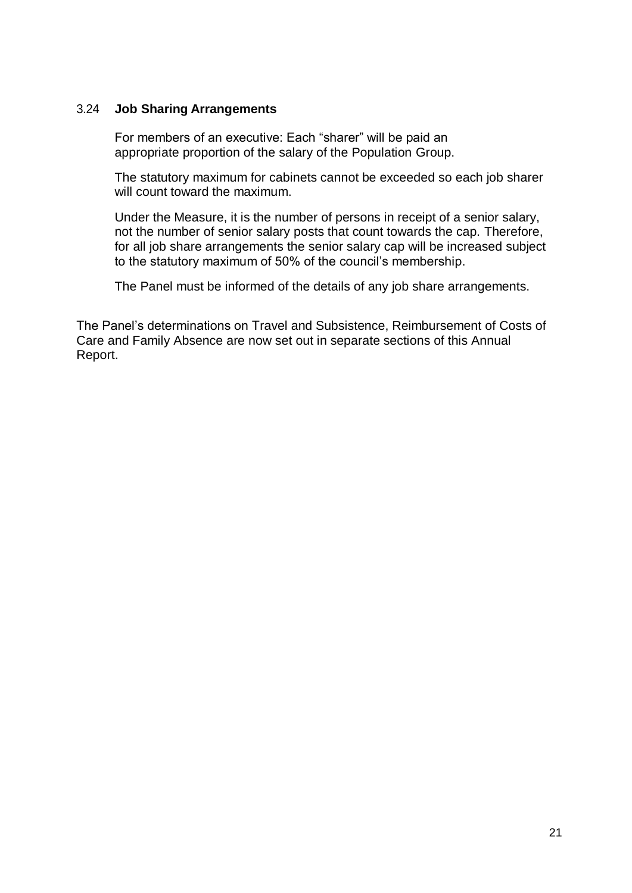### 3.24 **Job Sharing Arrangements**

For members of an executive: Each "sharer" will be paid an appropriate proportion of the salary of the Population Group.

The statutory maximum for cabinets cannot be exceeded so each job sharer will count toward the maximum.

Under the Measure, it is the number of persons in receipt of a senior salary, not the number of senior salary posts that count towards the cap. Therefore, for all job share arrangements the senior salary cap will be increased subject to the statutory maximum of 50% of the council's membership.

The Panel must be informed of the details of any job share arrangements.

The Panel's determinations on Travel and Subsistence, Reimbursement of Costs of Care and Family Absence are now set out in separate sections of this Annual Report.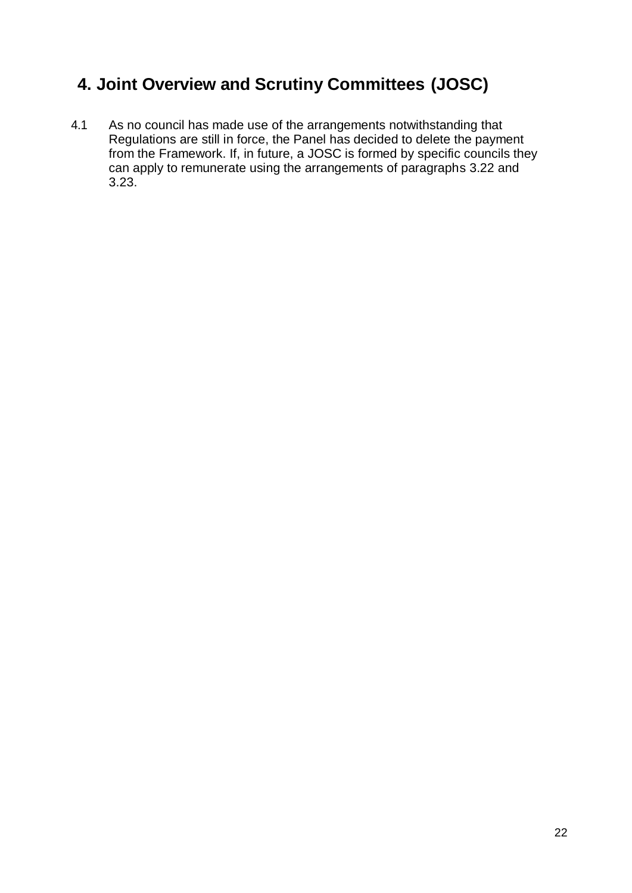# <span id="page-22-0"></span>**4. Joint Overview and Scrutiny Committees (JOSC)**

4.1 As no council has made use of the arrangements notwithstanding that Regulations are still in force, the Panel has decided to delete the payment from the Framework. If, in future, a JOSC is formed by specific councils they can apply to remunerate using the arrangements of paragraphs 3.22 and 3.23.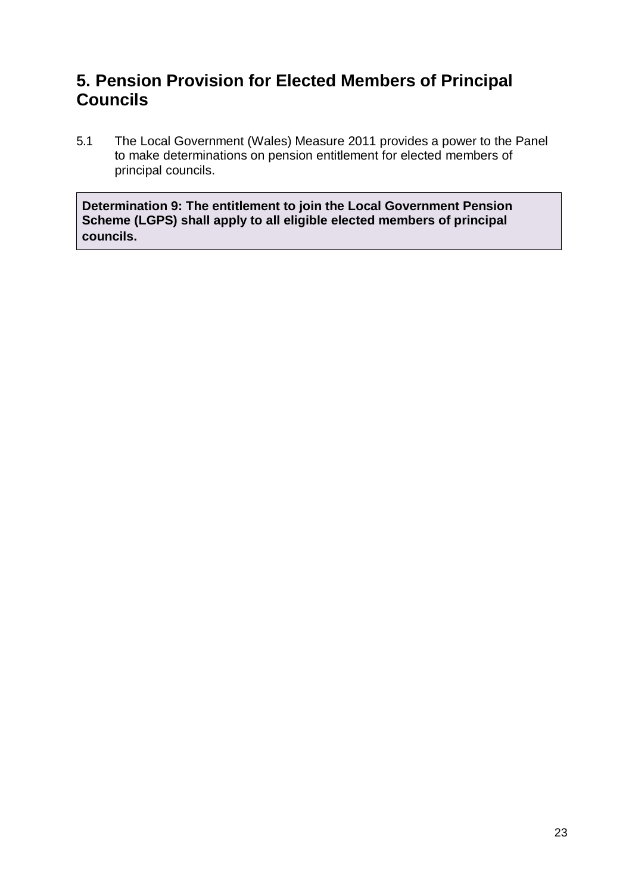# <span id="page-23-0"></span>**5. Pension Provision for Elected Members of Principal Councils**

5.1 The Local Government (Wales) Measure 2011 provides a power to the Panel to make determinations on pension entitlement for elected members of principal councils.

**Determination 9: The entitlement to join the Local Government Pension Scheme (LGPS) shall apply to all eligible elected members of principal councils.**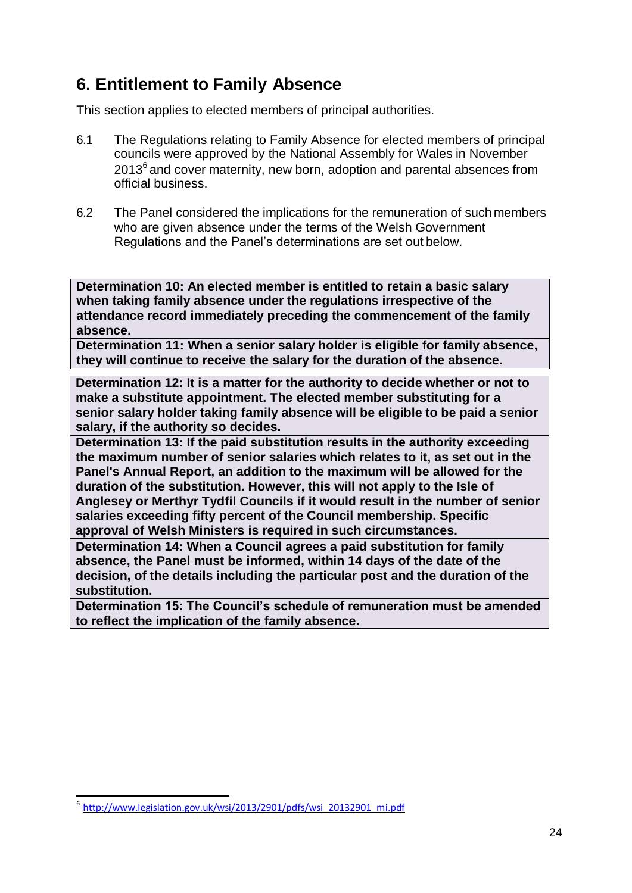# <span id="page-24-0"></span>**6. Entitlement to Family Absence**

This section applies to elected members of principal authorities.

- 6.1 The Regulations relating to Family Absence for elected members of principal councils were approved by the National Assembly for Wales in November  $2013<sup>6</sup>$  and cover maternity, new born, adoption and parental absences from official business.
- 6.2 The Panel considered the implications for the remuneration of such members who are given absence under the terms of the Welsh Government Regulations and the Panel's determinations are set out below.

**Determination 10: An elected member is entitled to retain a basic salary when taking family absence under the regulations irrespective of the attendance record immediately preceding the commencement of the family absence.**

**Determination 11: When a senior salary holder is eligible for family absence, they will continue to receive the salary for the duration of the absence.**

**Determination 12: It is a matter for the authority to decide whether or not to make a substitute appointment. The elected member substituting for a senior salary holder taking family absence will be eligible to be paid a senior salary, if the authority so decides.**

**Determination 13: If the paid substitution results in the authority exceeding the maximum number of senior salaries which relates to it, as set out in the Panel's Annual Report, an addition to the maximum will be allowed for the duration of the substitution. However, this will not apply to the Isle of Anglesey or Merthyr Tydfil Councils if it would result in the number of senior salaries exceeding fifty percent of the Council membership. Specific approval of Welsh Ministers is required in such circumstances.**

**Determination 14: When a Council agrees a paid substitution for family absence, the Panel must be informed, within 14 days of the date of the decision, of the details including the particular post and the duration of the substitution.**

**Determination 15: The Council's schedule of remuneration must be amended to reflect the implication of the family absence.**

 $6$  [http://www.legislation.gov.uk/wsi/2013/2901/pdfs/wsi\\_20132901\\_mi.pdf](http://www.legislation.gov.uk/wsi/2013/2901/pdfs/wsi_20132901_mi.pdf)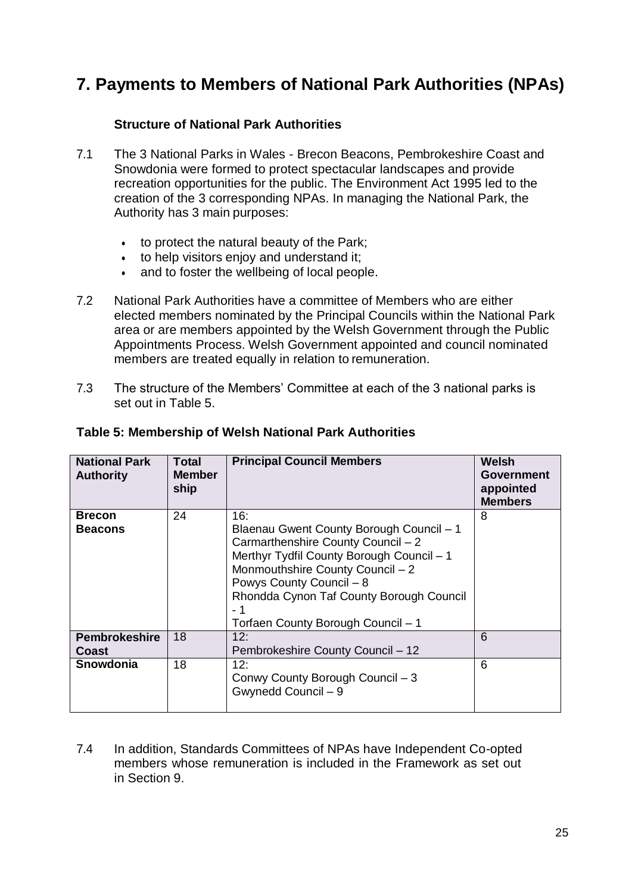# <span id="page-25-0"></span>**7. Payments to Members of National Park Authorities (NPAs)**

### **Structure of National Park Authorities**

- 7.1 The 3 National Parks in Wales Brecon Beacons, Pembrokeshire Coast and Snowdonia were formed to protect spectacular landscapes and provide recreation opportunities for the public. The Environment Act 1995 led to the creation of the 3 corresponding NPAs. In managing the National Park, the Authority has 3 main purposes:
	- to protect the natural beauty of the Park;
	- to help visitors enjoy and understand it;
	- and to foster the wellbeing of local people.
- 7.2 National Park Authorities have a committee of Members who are either elected members nominated by the Principal Councils within the National Park area or are members appointed by the Welsh Government through the Public Appointments Process. Welsh Government appointed and council nominated members are treated equally in relation to remuneration.
- 7.3 The structure of the Members' Committee at each of the 3 national parks is set out in Table 5.

| <b>National Park</b><br><b>Authority</b> | <b>Total</b><br><b>Member</b><br>ship | <b>Principal Council Members</b>                                                                                                                                                                                                                                                            | Welsh<br><b>Government</b><br>appointed<br><b>Members</b> |
|------------------------------------------|---------------------------------------|---------------------------------------------------------------------------------------------------------------------------------------------------------------------------------------------------------------------------------------------------------------------------------------------|-----------------------------------------------------------|
| <b>Brecon</b><br><b>Beacons</b>          | 24                                    | 16:<br>Blaenau Gwent County Borough Council - 1<br>Carmarthenshire County Council - 2<br>Merthyr Tydfil County Borough Council - 1<br>Monmouthshire County Council - 2<br>Powys County Council - 8<br>Rhondda Cynon Taf County Borough Council<br>- 1<br>Torfaen County Borough Council - 1 | 8                                                         |
| <b>Pembrokeshire</b><br>Coast            | 18                                    | 12:<br>Pembrokeshire County Council - 12                                                                                                                                                                                                                                                    | 6                                                         |
| Snowdonia                                | 18                                    | 12:<br>Conwy County Borough Council - 3<br>Gwynedd Council - 9                                                                                                                                                                                                                              | 6                                                         |

### **Table 5: Membership of Welsh National Park Authorities**

7.4 In addition, Standards Committees of NPAs have Independent Co-opted members whose remuneration is included in the Framework as set out in Section 9.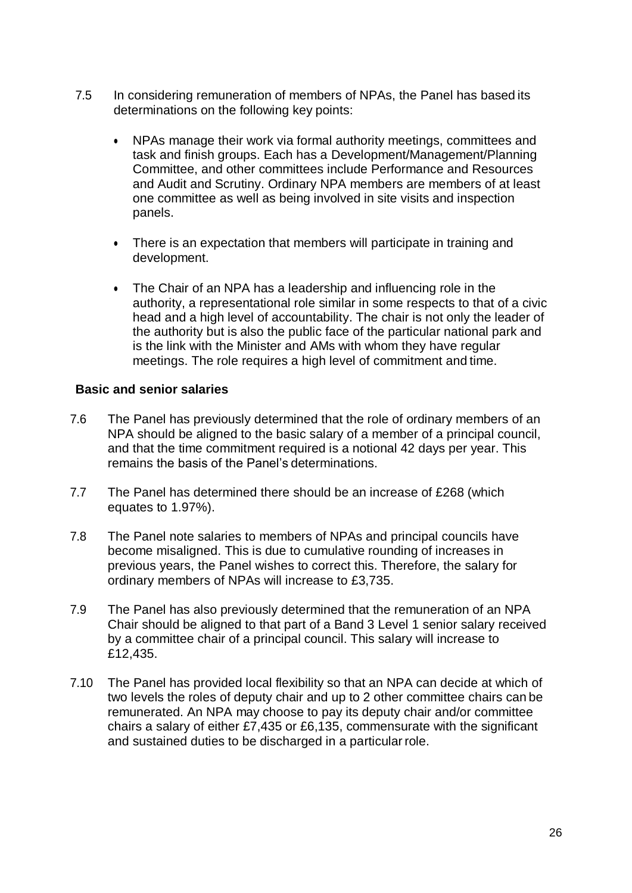- 7.5 In considering remuneration of members of NPAs, the Panel has based its determinations on the following key points:
	- NPAs manage their work via formal authority meetings, committees and task and finish groups. Each has a Development/Management/Planning Committee, and other committees include Performance and Resources and Audit and Scrutiny. Ordinary NPA members are members of at least one committee as well as being involved in site visits and inspection panels.
	- There is an expectation that members will participate in training and development.
	- The Chair of an NPA has a leadership and influencing role in the authority, a representational role similar in some respects to that of a civic head and a high level of accountability. The chair is not only the leader of the authority but is also the public face of the particular national park and is the link with the Minister and AMs with whom they have regular meetings. The role requires a high level of commitment and time.

### **Basic and senior salaries**

- 7.6 The Panel has previously determined that the role of ordinary members of an NPA should be aligned to the basic salary of a member of a principal council, and that the time commitment required is a notional 42 days per year. This remains the basis of the Panel's determinations.
- 7.7 The Panel has determined there should be an increase of £268 (which equates to 1.97%).
- 7.8 The Panel note salaries to members of NPAs and principal councils have become misaligned. This is due to cumulative rounding of increases in previous years, the Panel wishes to correct this. Therefore, the salary for ordinary members of NPAs will increase to £3,735.
- 7.9 The Panel has also previously determined that the remuneration of an NPA Chair should be aligned to that part of a Band 3 Level 1 senior salary received by a committee chair of a principal council. This salary will increase to £12,435.
- 7.10 The Panel has provided local flexibility so that an NPA can decide at which of two levels the roles of deputy chair and up to 2 other committee chairs can be remunerated. An NPA may choose to pay its deputy chair and/or committee chairs a salary of either £7,435 or £6,135, commensurate with the significant and sustained duties to be discharged in a particular role.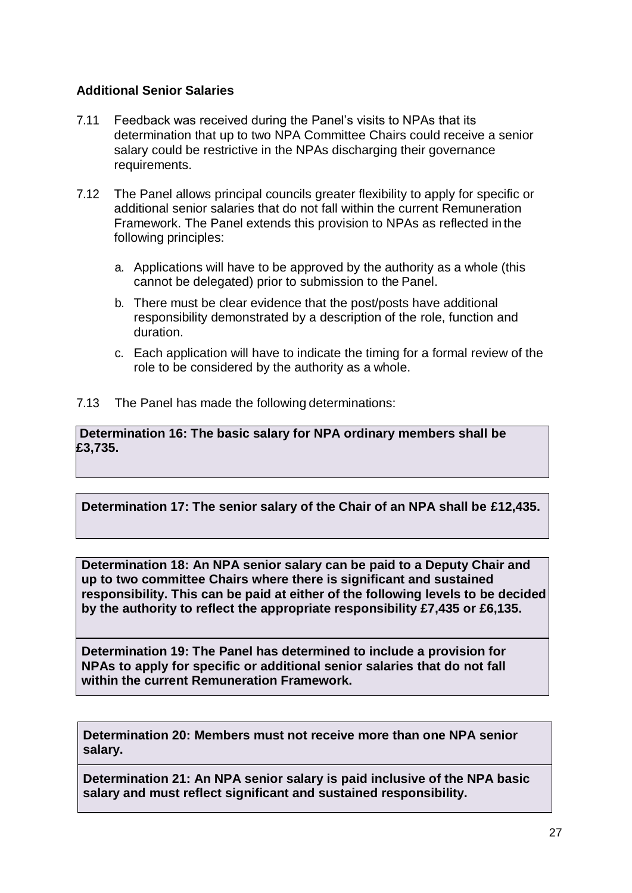### **Additional Senior Salaries**

- 7.11 Feedback was received during the Panel's visits to NPAs that its determination that up to two NPA Committee Chairs could receive a senior salary could be restrictive in the NPAs discharging their governance requirements.
- 7.12 The Panel allows principal councils greater flexibility to apply for specific or additional senior salaries that do not fall within the current Remuneration Framework. The Panel extends this provision to NPAs as reflected in the following principles:
	- a. Applications will have to be approved by the authority as a whole (this cannot be delegated) prior to submission to the Panel.
	- b. There must be clear evidence that the post/posts have additional responsibility demonstrated by a description of the role, function and duration.
	- c. Each application will have to indicate the timing for a formal review of the role to be considered by the authority as a whole.
- 7.13 The Panel has made the following determinations:

**Determination 16: The basic salary for NPA ordinary members shall be £3,735.**

**Determination 17: The senior salary of the Chair of an NPA shall be £12,435.**

**Determination 18: An NPA senior salary can be paid to a Deputy Chair and up to two committee Chairs where there is significant and sustained responsibility. This can be paid at either of the following levels to be decided by the authority to reflect the appropriate responsibility £7,435 or £6,135.**

**Determination 19: The Panel has determined to include a provision for NPAs to apply for specific or additional senior salaries that do not fall within the current Remuneration Framework.**

**Determination 20: Members must not receive more than one NPA senior salary.**

**Determination 21: An NPA senior salary is paid inclusive of the NPA basic salary and must reflect significant and sustained responsibility.**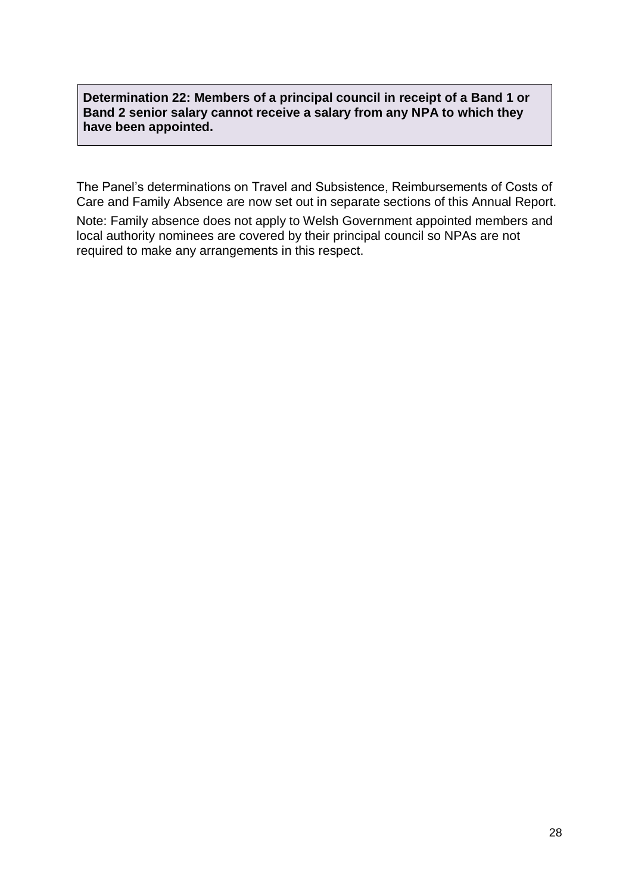**Determination 22: Members of a principal council in receipt of a Band 1 or Band 2 senior salary cannot receive a salary from any NPA to which they have been appointed.**

The Panel's determinations on Travel and Subsistence, Reimbursements of Costs of Care and Family Absence are now set out in separate sections of this Annual Report.

Note: Family absence does not apply to Welsh Government appointed members and local authority nominees are covered by their principal council so NPAs are not required to make any arrangements in this respect.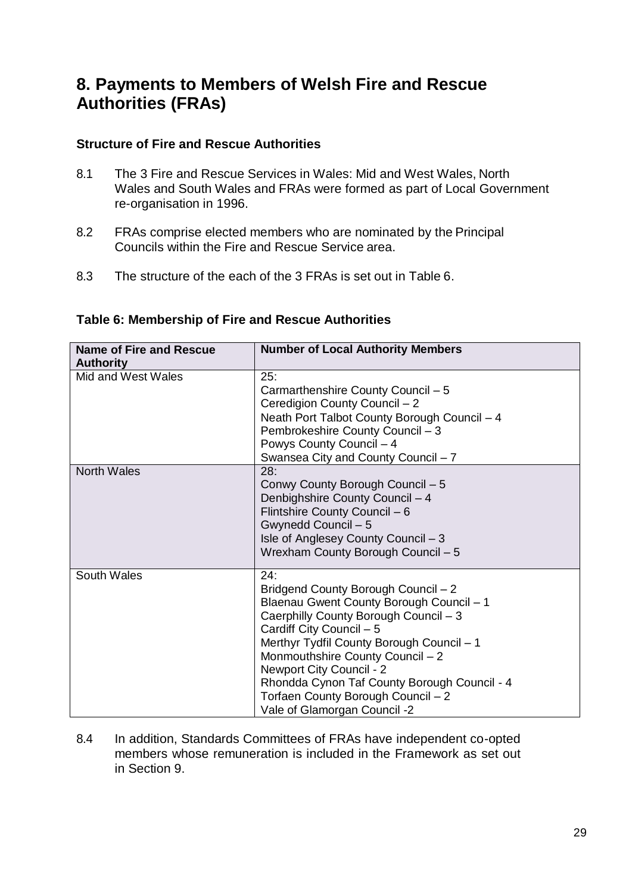# <span id="page-29-0"></span>**8. Payments to Members of Welsh Fire and Rescue Authorities (FRAs)**

### **Structure of Fire and Rescue Authorities**

- 8.1 The 3 Fire and Rescue Services in Wales: Mid and West Wales, North Wales and South Wales and FRAs were formed as part of Local Government re-organisation in 1996.
- 8.2 FRAs comprise elected members who are nominated by the Principal Councils within the Fire and Rescue Service area.
- 8.3 The structure of the each of the 3 FRAs is set out in Table 6.

| <b>Name of Fire and Rescue</b><br><b>Authority</b> | <b>Number of Local Authority Members</b>                                                                                                                                                                                                                                                                                                                                                       |
|----------------------------------------------------|------------------------------------------------------------------------------------------------------------------------------------------------------------------------------------------------------------------------------------------------------------------------------------------------------------------------------------------------------------------------------------------------|
| Mid and West Wales                                 | 25:<br>Carmarthenshire County Council - 5<br>Ceredigion County Council - 2<br>Neath Port Talbot County Borough Council - 4<br>Pembrokeshire County Council - 3<br>Powys County Council - 4<br>Swansea City and County Council - 7                                                                                                                                                              |
| <b>North Wales</b>                                 | 28:<br>Conwy County Borough Council - 5<br>Denbighshire County Council - 4<br>Flintshire County Council - 6<br>Gwynedd Council - 5<br>Isle of Anglesey County Council - 3<br>Wrexham County Borough Council - 5                                                                                                                                                                                |
| South Wales                                        | 24:<br>Bridgend County Borough Council - 2<br>Blaenau Gwent County Borough Council - 1<br>Caerphilly County Borough Council - 3<br>Cardiff City Council - 5<br>Merthyr Tydfil County Borough Council - 1<br>Monmouthshire County Council - 2<br>Newport City Council - 2<br>Rhondda Cynon Taf County Borough Council - 4<br>Torfaen County Borough Council - 2<br>Vale of Glamorgan Council -2 |

### **Table 6: Membership of Fire and Rescue Authorities**

8.4 In addition, Standards Committees of FRAs have independent co-opted members whose remuneration is included in the Framework as set out in Section 9.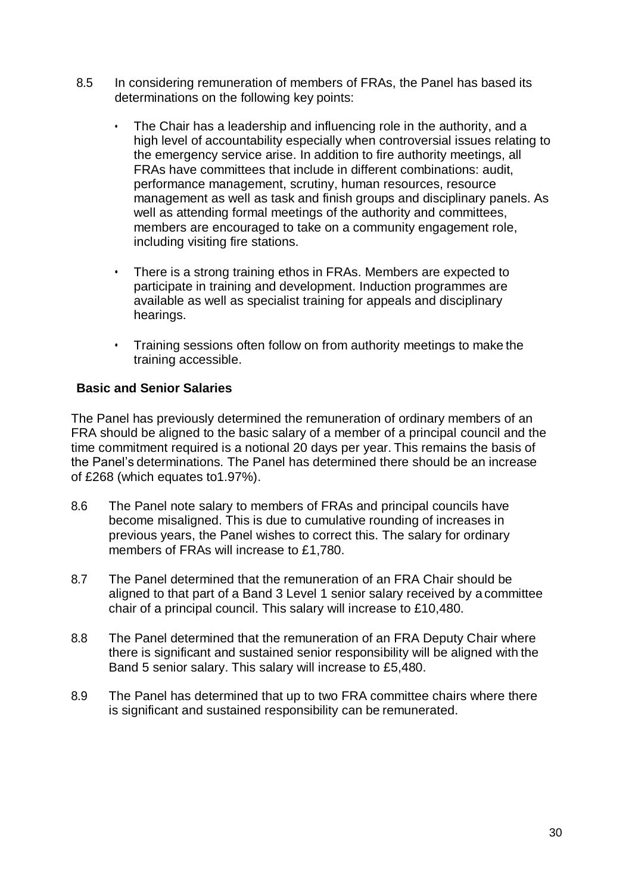- 8.5 In considering remuneration of members of FRAs, the Panel has based its determinations on the following key points:
	- The Chair has a leadership and influencing role in the authority, and a high level of accountability especially when controversial issues relating to the emergency service arise. In addition to fire authority meetings, all FRAs have committees that include in different combinations: audit, performance management, scrutiny, human resources, resource management as well as task and finish groups and disciplinary panels. As well as attending formal meetings of the authority and committees, members are encouraged to take on a community engagement role, including visiting fire stations.
	- There is a strong training ethos in FRAs. Members are expected to participate in training and development. Induction programmes are available as well as specialist training for appeals and disciplinary hearings.
	- Training sessions often follow on from authority meetings to make the training accessible.

### **Basic and Senior Salaries**

The Panel has previously determined the remuneration of ordinary members of an FRA should be aligned to the basic salary of a member of a principal council and the time commitment required is a notional 20 days per year. This remains the basis of the Panel's determinations. The Panel has determined there should be an increase of £268 (which equates to1.97%).

- 8.6 The Panel note salary to members of FRAs and principal councils have become misaligned. This is due to cumulative rounding of increases in previous years, the Panel wishes to correct this. The salary for ordinary members of FRAs will increase to £1,780.
- 8.7 The Panel determined that the remuneration of an FRA Chair should be aligned to that part of a Band 3 Level 1 senior salary received by a committee chair of a principal council. This salary will increase to £10,480.
- 8.8 The Panel determined that the remuneration of an FRA Deputy Chair where there is significant and sustained senior responsibility will be aligned with the Band 5 senior salary. This salary will increase to £5,480.
- 8.9 The Panel has determined that up to two FRA committee chairs where there is significant and sustained responsibility can be remunerated.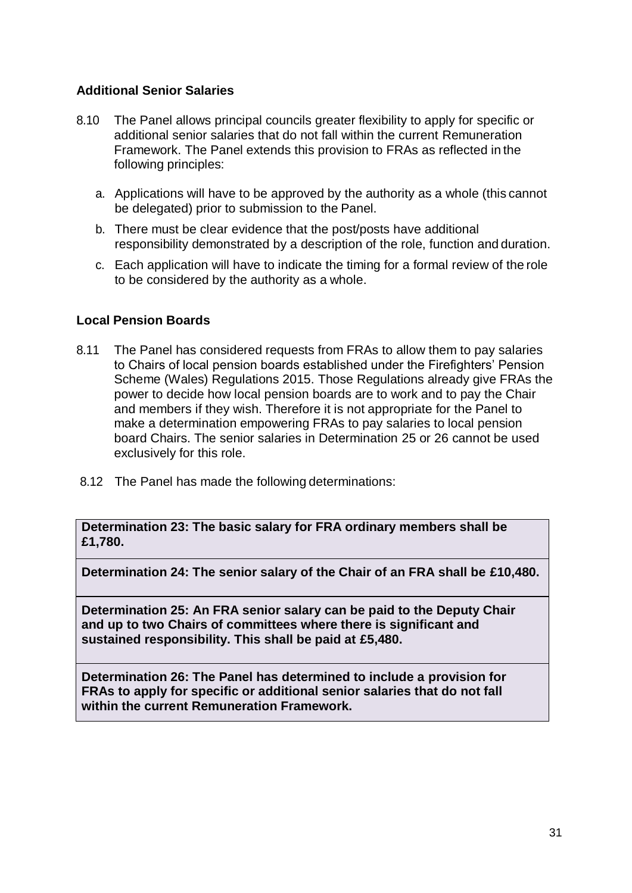### **Additional Senior Salaries**

- 8.10 The Panel allows principal councils greater flexibility to apply for specific or additional senior salaries that do not fall within the current Remuneration Framework. The Panel extends this provision to FRAs as reflected in the following principles:
	- a. Applications will have to be approved by the authority as a whole (this cannot be delegated) prior to submission to the Panel.
	- b. There must be clear evidence that the post/posts have additional responsibility demonstrated by a description of the role, function and duration.
	- c. Each application will have to indicate the timing for a formal review of the role to be considered by the authority as a whole.

### **Local Pension Boards**

- 8.11 The Panel has considered requests from FRAs to allow them to pay salaries to Chairs of local pension boards established under the Firefighters' Pension Scheme (Wales) Regulations 2015. Those Regulations already give FRAs the power to decide how local pension boards are to work and to pay the Chair and members if they wish. Therefore it is not appropriate for the Panel to make a determination empowering FRAs to pay salaries to local pension board Chairs. The senior salaries in Determination 25 or 26 cannot be used exclusively for this role.
- 8.12 The Panel has made the following determinations:

**Determination 23: The basic salary for FRA ordinary members shall be £1,780.**

**Determination 24: The senior salary of the Chair of an FRA shall be £10,480.**

**Determination 25: An FRA senior salary can be paid to the Deputy Chair and up to two Chairs of committees where there is significant and sustained responsibility. This shall be paid at £5,480.**

**Determination 26: The Panel has determined to include a provision for FRAs to apply for specific or additional senior salaries that do not fall within the current Remuneration Framework.**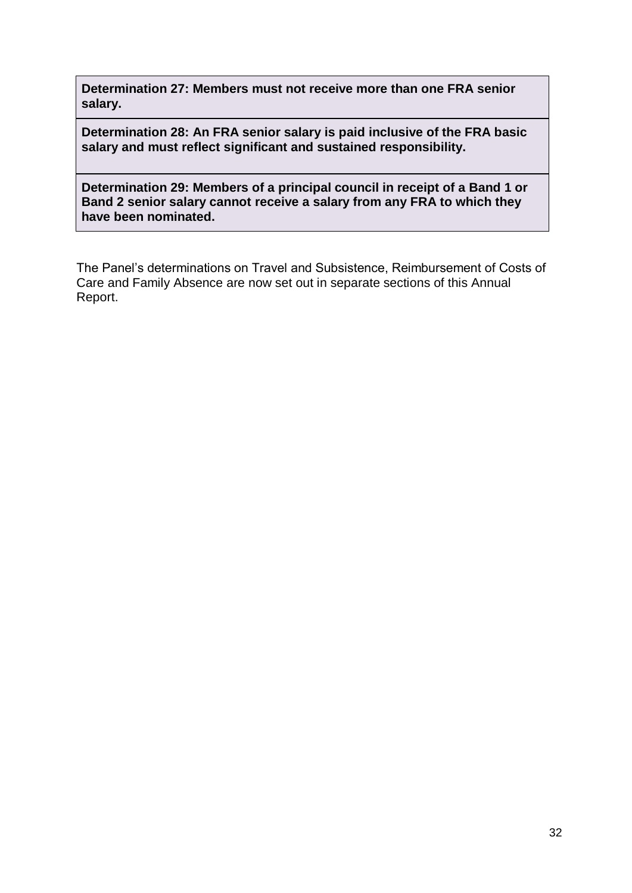**Determination 27: Members must not receive more than one FRA senior salary.**

**Determination 28: An FRA senior salary is paid inclusive of the FRA basic salary and must reflect significant and sustained responsibility.**

**Determination 29: Members of a principal council in receipt of a Band 1 or Band 2 senior salary cannot receive a salary from any FRA to which they have been nominated.**

The Panel's determinations on Travel and Subsistence, Reimbursement of Costs of Care and Family Absence are now set out in separate sections of this Annual Report.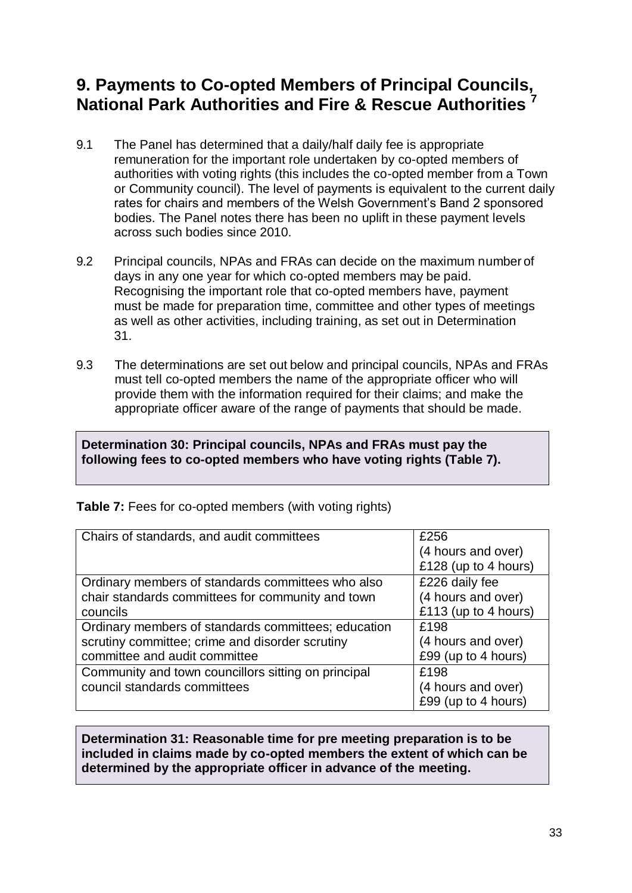# <span id="page-33-0"></span>**9. Payments to Co-opted Members of Principal Councils, National Park Authorities and Fire & Rescue Authorities <sup>7</sup>**

- 9.1 The Panel has determined that a daily/half daily fee is appropriate remuneration for the important role undertaken by co-opted members of authorities with voting rights (this includes the co-opted member from a Town or Community council). The level of payments is equivalent to the current daily rates for chairs and members of the Welsh Government's Band 2 sponsored bodies. The Panel notes there has been no uplift in these payment levels across such bodies since 2010.
- 9.2 Principal councils, NPAs and FRAs can decide on the maximum number of days in any one year for which co-opted members may be paid. Recognising the important role that co-opted members have, payment must be made for preparation time, committee and other types of meetings as well as other activities, including training, as set out in Determination 31.
- 9.3 The determinations are set out below and principal councils, NPAs and FRAs must tell co-opted members the name of the appropriate officer who will provide them with the information required for their claims; and make the appropriate officer aware of the range of payments that should be made.

### **Determination 30: Principal councils, NPAs and FRAs must pay the following fees to co-opted members who have voting rights (Table 7).**

| Chairs of standards, and audit committees           | £256                 |
|-----------------------------------------------------|----------------------|
|                                                     | (4 hours and over)   |
|                                                     | £128 (up to 4 hours) |
| Ordinary members of standards committees who also   | £226 daily fee       |
| chair standards committees for community and town   | (4 hours and over)   |
| councils                                            | £113 (up to 4 hours) |
| Ordinary members of standards committees; education | £198                 |
| scrutiny committee; crime and disorder scrutiny     | (4 hours and over)   |
| committee and audit committee                       | £99 (up to 4 hours)  |
| Community and town councillors sitting on principal | £198                 |
| council standards committees                        | (4 hours and over)   |
|                                                     | £99 (up to 4 hours)  |
|                                                     |                      |

**Table 7:** Fees for co-opted members (with voting rights)

**Determination 31: Reasonable time for pre meeting preparation is to be included in claims made by co-opted members the extent of which can be determined by the appropriate officer in advance of the meeting.**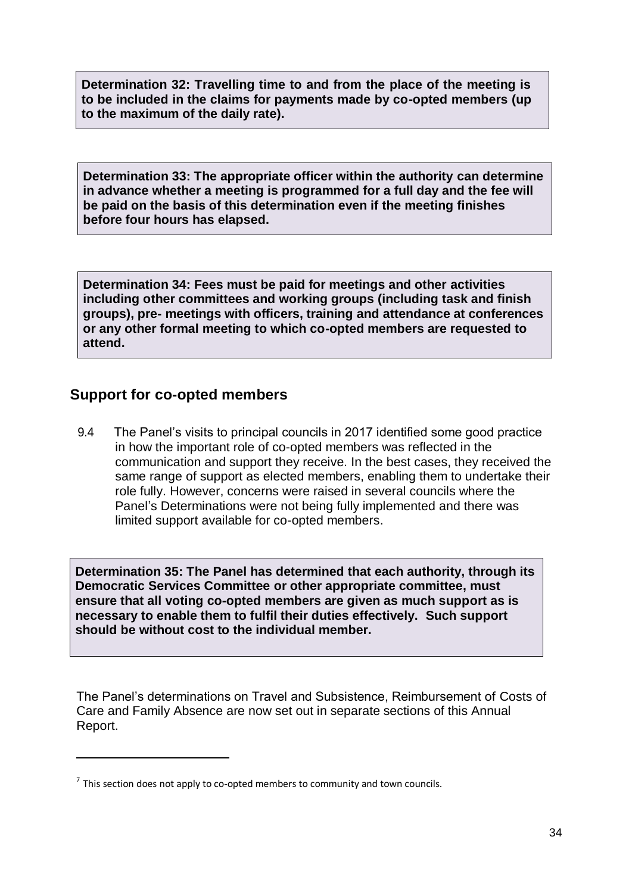**Determination 32: Travelling time to and from the place of the meeting is to be included in the claims for payments made by co-opted members (up to the maximum of the daily rate).**

**Determination 33: The appropriate officer within the authority can determine in advance whether a meeting is programmed for a full day and the fee will be paid on the basis of this determination even if the meeting finishes before four hours has elapsed.**

**Determination 34: Fees must be paid for meetings and other activities including other committees and working groups (including task and finish groups), pre- meetings with officers, training and attendance at conferences or any other formal meeting to which co-opted members are requested to attend.**

## **Support for co-opted members**

9.4 The Panel's visits to principal councils in 2017 identified some good practice in how the important role of co-opted members was reflected in the communication and support they receive. In the best cases, they received the same range of support as elected members, enabling them to undertake their role fully. However, concerns were raised in several councils where the Panel's Determinations were not being fully implemented and there was limited support available for co-opted members.

**Determination 35: The Panel has determined that each authority, through its Democratic Services Committee or other appropriate committee, must ensure that all voting co-opted members are given as much support as is necessary to enable them to fulfil their duties effectively. Such support should be without cost to the individual member.**

The Panel's determinations on Travel and Subsistence, Reimbursement of Costs of Care and Family Absence are now set out in separate sections of this Annual Report. **elected members in order to the fully discharge them to fully discharge them to fully discharge their role; as set**  $\mathcal{L}$  **role; as set**  $\mathcal{L}$  **role; as set**  $\mathcal{L}$  **role; as set**  $\mathcal{L}$  **role; as set**  $\mathcal{L}$  **role; as** 

 $<sup>7</sup>$  This section does not apply to co-opted members to community and town councils.</sup>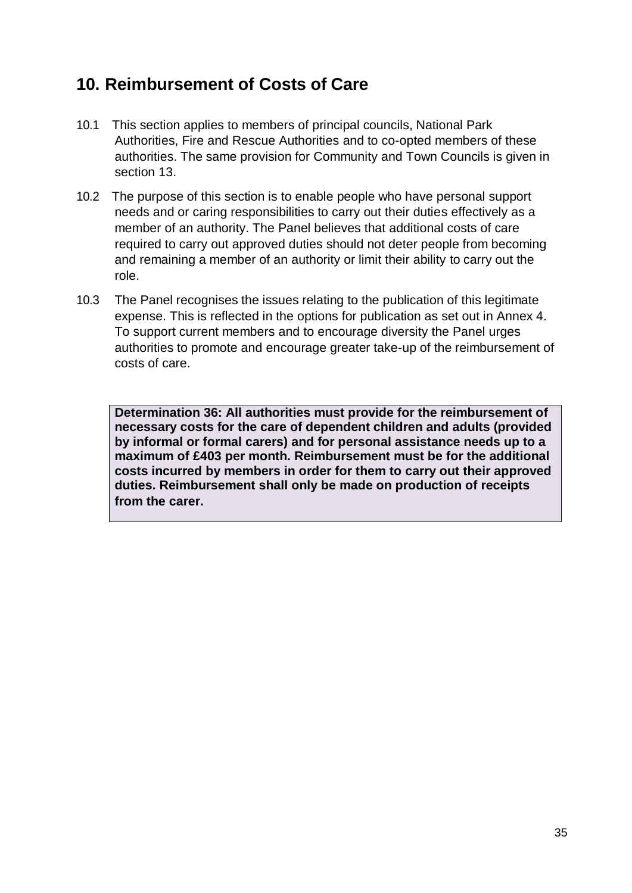# <span id="page-35-0"></span>**10. Reimbursement of Costs of Care**

- 10.1 This section applies to members of principal councils, National Park Authorities, Fire and Rescue Authorities and to co-opted members of these authorities. The same provision for Community and Town Councils is given in section 13.
- 10.2 The purpose of this section is to enable people who have personal support needs and or caring responsibilities to carry out their duties effectively as a member of an authority. The Panel believes that additional costs of care required to carry out approved duties should not deter people from becoming and remaining a member of an authority or limit their ability to carry out the role.
- 10.3 The Panel recognises the issues relating to the publication of this legitimate expense. This is reflected in the options for publication as set out in Annex 4. To support current members and to encourage diversity the Panel urges authorities to promote and encourage greater take-up of the reimbursement of costs of care.

**Determination 36: All authorities must provide for the reimbursement of necessary costs for the care of dependent children and adults (provided by informal or formal carers) and for personal assistance needs up to a maximum of £403 per month. Reimbursement must be for the additional costs incurred by members in order for them to carry out their approved duties. Reimbursement shall only be made on production of receipts from the carer.**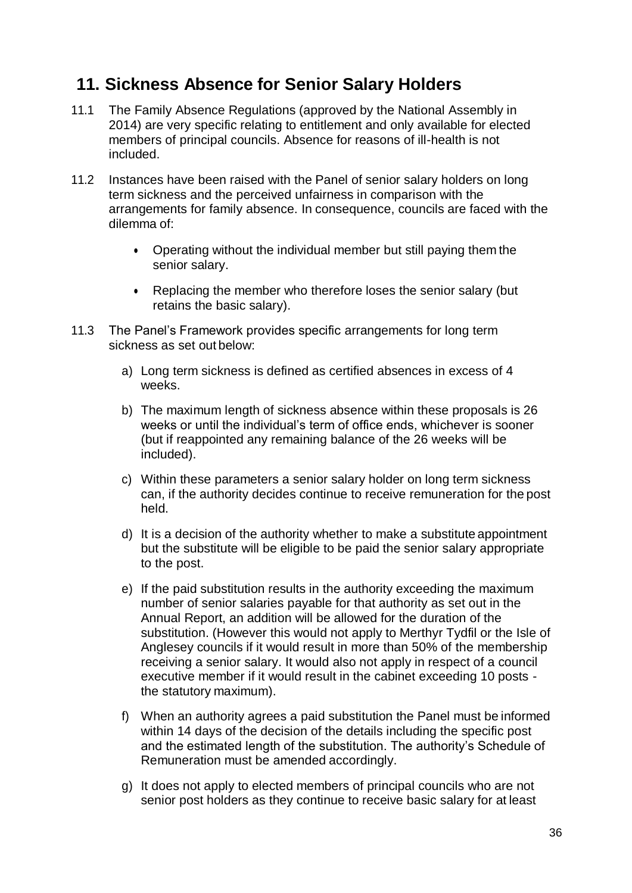# **11. Sickness Absence for Senior Salary Holders**

- 11.1 The Family Absence Regulations (approved by the National Assembly in 2014) are very specific relating to entitlement and only available for elected members of principal councils. Absence for reasons of ill-health is not included.
- 11.2 Instances have been raised with the Panel of senior salary holders on long term sickness and the perceived unfairness in comparison with the arrangements for family absence. In consequence, councils are faced with the dilemma of:
	- Operating without the individual member but still paying them the senior salary.
	- Replacing the member who therefore loses the senior salary (but retains the basic salary).
- 11.3 The Panel's Framework provides specific arrangements for long term sickness as set out below:
	- a) Long term sickness is defined as certified absences in excess of 4 weeks.
	- b) The maximum length of sickness absence within these proposals is 26 weeks or until the individual's term of office ends, whichever is sooner (but if reappointed any remaining balance of the 26 weeks will be included).
	- c) Within these parameters a senior salary holder on long term sickness can, if the authority decides continue to receive remuneration for the post held.
	- d) It is a decision of the authority whether to make a substitute appointment but the substitute will be eligible to be paid the senior salary appropriate to the post.
	- e) If the paid substitution results in the authority exceeding the maximum number of senior salaries payable for that authority as set out in the Annual Report, an addition will be allowed for the duration of the substitution. (However this would not apply to Merthyr Tydfil or the Isle of Anglesey councils if it would result in more than 50% of the membership receiving a senior salary. It would also not apply in respect of a council executive member if it would result in the cabinet exceeding 10 posts the statutory maximum).
	- f) When an authority agrees a paid substitution the Panel must be informed within 14 days of the decision of the details including the specific post and the estimated length of the substitution. The authority's Schedule of Remuneration must be amended accordingly.
	- g) It does not apply to elected members of principal councils who are not senior post holders as they continue to receive basic salary for at least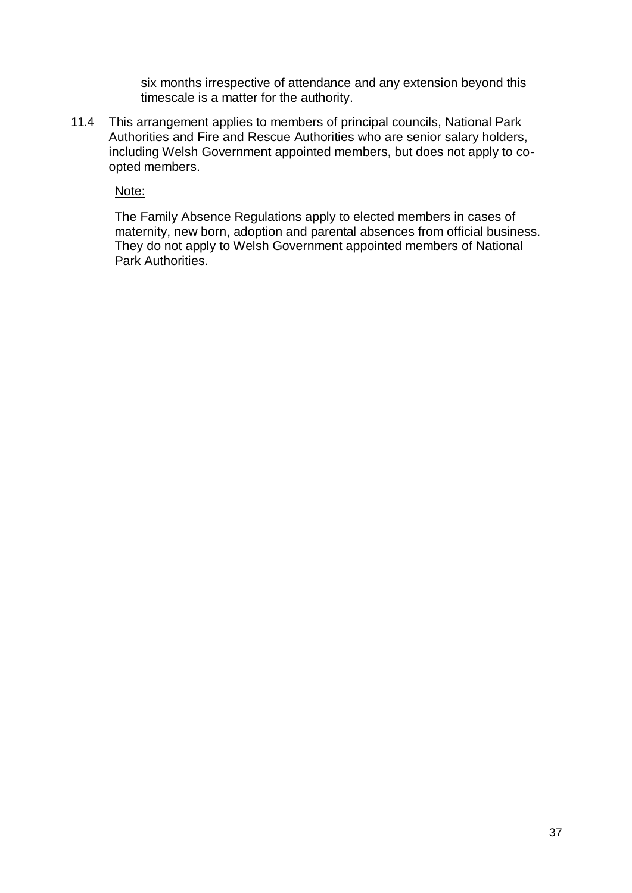six months irrespective of attendance and any extension beyond this timescale is a matter for the authority.

11.4 This arrangement applies to members of principal councils, National Park Authorities and Fire and Rescue Authorities who are senior salary holders, including Welsh Government appointed members, but does not apply to coopted members.

Note:

The Family Absence Regulations apply to elected members in cases of maternity, new born, adoption and parental absences from official business. They do not apply to Welsh Government appointed members of National Park Authorities.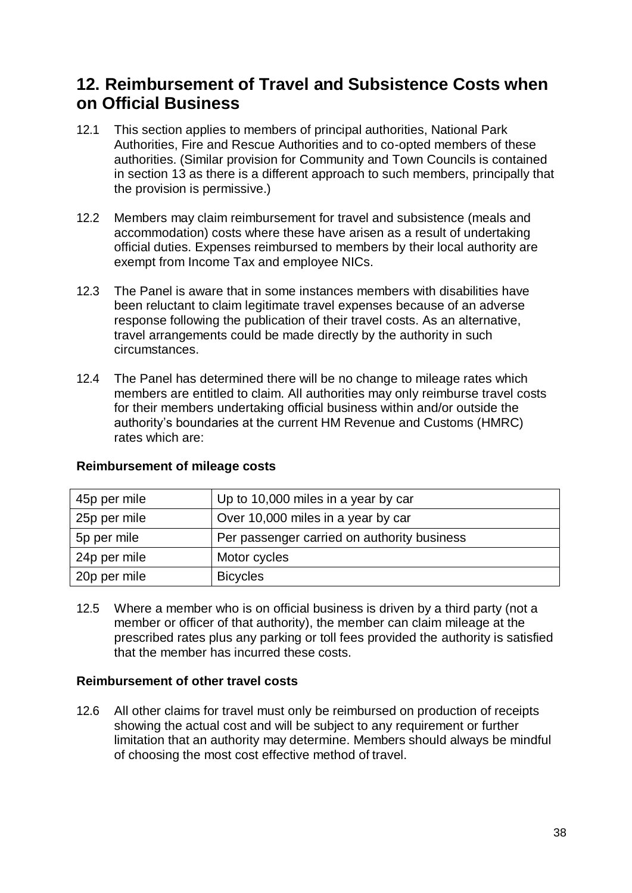## **12. Reimbursement of Travel and Subsistence Costs when on Official Business**

- 12.1 This section applies to members of principal authorities, National Park Authorities, Fire and Rescue Authorities and to co-opted members of these authorities. (Similar provision for Community and Town Councils is contained in section 13 as there is a different approach to such members, principally that the provision is permissive.)
- 12.2 Members may claim reimbursement for travel and subsistence (meals and accommodation) costs where these have arisen as a result of undertaking official duties. Expenses reimbursed to members by their local authority are exempt from Income Tax and employee NICs.
- 12.3 The Panel is aware that in some instances members with disabilities have been reluctant to claim legitimate travel expenses because of an adverse response following the publication of their travel costs. As an alternative, travel arrangements could be made directly by the authority in such circumstances.
- 12.4 The Panel has determined there will be no change to mileage rates which members are entitled to claim. All authorities may only reimburse travel costs for their members undertaking official business within and/or outside the authority's boundaries at the current HM Revenue and Customs (HMRC) rates which are:

| 45p per mile | Up to 10,000 miles in a year by car         |
|--------------|---------------------------------------------|
| 25p per mile | Over 10,000 miles in a year by car          |
| 5p per mile  | Per passenger carried on authority business |
| 24p per mile | Motor cycles                                |
| 20p per mile | <b>Bicycles</b>                             |

### **Reimbursement of mileage costs**

12.5 Where a member who is on official business is driven by a third party (not a member or officer of that authority), the member can claim mileage at the prescribed rates plus any parking or toll fees provided the authority is satisfied that the member has incurred these costs.

### **Reimbursement of other travel costs**

12.6 All other claims for travel must only be reimbursed on production of receipts showing the actual cost and will be subject to any requirement or further limitation that an authority may determine. Members should always be mindful of choosing the most cost effective method of travel.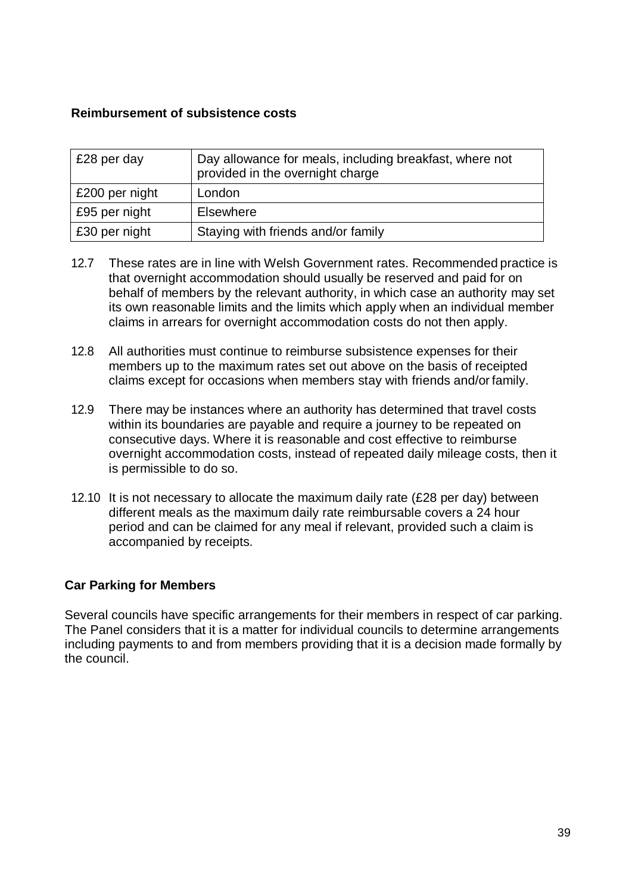### **Reimbursement of subsistence costs**

| £28 per day    | Day allowance for meals, including breakfast, where not<br>provided in the overnight charge |
|----------------|---------------------------------------------------------------------------------------------|
| £200 per night | London                                                                                      |
| £95 per night  | <b>Elsewhere</b>                                                                            |
| £30 per night  | Staying with friends and/or family                                                          |

- 12.7 These rates are in line with Welsh Government rates. Recommended practice is that overnight accommodation should usually be reserved and paid for on behalf of members by the relevant authority, in which case an authority may set its own reasonable limits and the limits which apply when an individual member claims in arrears for overnight accommodation costs do not then apply.
- 12.8 All authorities must continue to reimburse subsistence expenses for their members up to the maximum rates set out above on the basis of receipted claims except for occasions when members stay with friends and/or family.
- 12.9 There may be instances where an authority has determined that travel costs within its boundaries are payable and require a journey to be repeated on consecutive days. Where it is reasonable and cost effective to reimburse overnight accommodation costs, instead of repeated daily mileage costs, then it is permissible to do so.
- 12.10 It is not necessary to allocate the maximum daily rate (£28 per day) between different meals as the maximum daily rate reimbursable covers a 24 hour period and can be claimed for any meal if relevant, provided such a claim is accompanied by receipts.

### **Car Parking for Members**

Several councils have specific arrangements for their members in respect of car parking. The Panel considers that it is a matter for individual councils to determine arrangements including payments to and from members providing that it is a decision made formally by the council.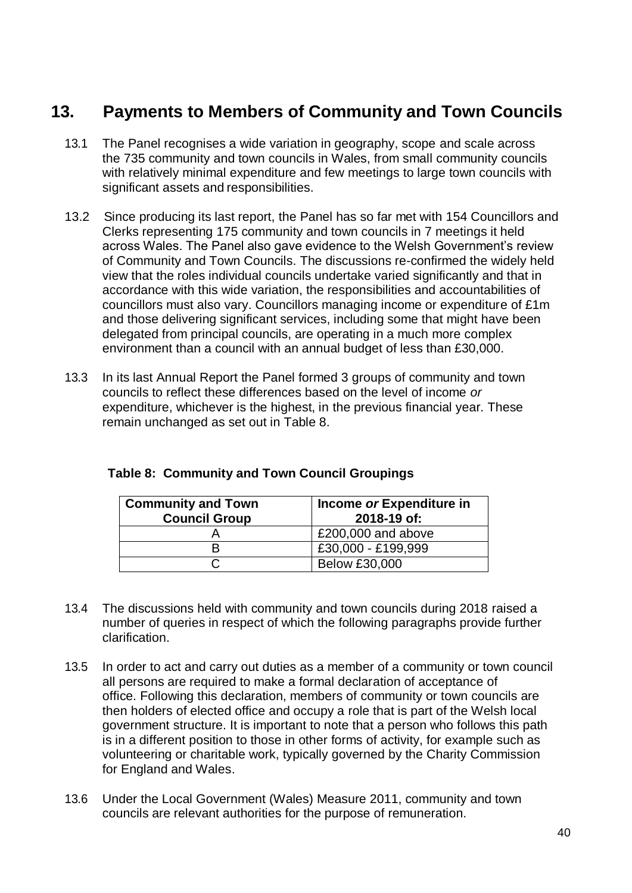# **13. Payments to Members of Community and Town Councils**

- 13.1 The Panel recognises a wide variation in geography, scope and scale across the 735 community and town councils in Wales, from small community councils with relatively minimal expenditure and few meetings to large town councils with significant assets and responsibilities.
- 13.2 Since producing its last report, the Panel has so far met with 154 Councillors and Clerks representing 175 community and town councils in 7 meetings it held across Wales. The Panel also gave evidence to the Welsh Government's review of Community and Town Councils. The discussions re-confirmed the widely held view that the roles individual councils undertake varied significantly and that in accordance with this wide variation, the responsibilities and accountabilities of councillors must also vary. Councillors managing income or expenditure of £1m and those delivering significant services, including some that might have been delegated from principal councils, are operating in a much more complex environment than a council with an annual budget of less than £30,000.
- 13.3 In its last Annual Report the Panel formed 3 groups of community and town councils to reflect these differences based on the level of income *or*  expenditure, whichever is the highest, in the previous financial year. These remain unchanged as set out in Table 8.

| <b>Community and Town</b><br><b>Council Group</b> | Income or Expenditure in<br>2018-19 of: |
|---------------------------------------------------|-----------------------------------------|
|                                                   | £200,000 and above                      |
|                                                   | £30,000 - £199,999                      |
|                                                   | <b>Below £30,000</b>                    |

- 13.4 The discussions held with community and town councils during 2018 raised a number of queries in respect of which the following paragraphs provide further clarification.
- 13.5 In order to act and carry out duties as a member of a community or town council all persons are required to make a formal declaration of acceptance of office. Following this declaration, members of community or town councils are then holders of elected office and occupy a role that is part of the Welsh local government structure. It is important to note that a person who follows this path is in a different position to those in other forms of activity, for example such as volunteering or charitable work, typically governed by the Charity Commission for England and Wales.
- 13.6 Under the Local Government (Wales) Measure 2011, community and town councils are relevant authorities for the purpose of remuneration.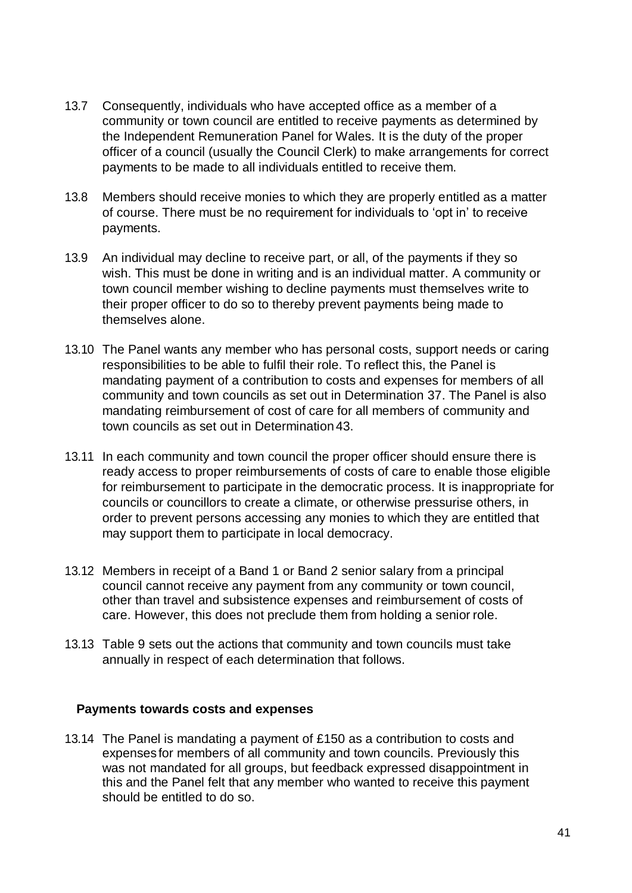- 13.7 Consequently, individuals who have accepted office as a member of a community or town council are entitled to receive payments as determined by the Independent Remuneration Panel for Wales. It is the duty of the proper officer of a council (usually the Council Clerk) to make arrangements for correct payments to be made to all individuals entitled to receive them.
- 13.8 Members should receive monies to which they are properly entitled as a matter of course. There must be no requirement for individuals to 'opt in' to receive payments.
- 13.9 An individual may decline to receive part, or all, of the payments if they so wish. This must be done in writing and is an individual matter. A community or town council member wishing to decline payments must themselves write to their proper officer to do so to thereby prevent payments being made to themselves alone.
- 13.10 The Panel wants any member who has personal costs, support needs or caring responsibilities to be able to fulfil their role. To reflect this, the Panel is mandating payment of a contribution to costs and expenses for members of all community and town councils as set out in Determination 37. The Panel is also mandating reimbursement of cost of care for all members of community and town councils as set out in Determination43.
- 13.11 In each community and town council the proper officer should ensure there is ready access to proper reimbursements of costs of care to enable those eligible for reimbursement to participate in the democratic process. It is inappropriate for councils or councillors to create a climate, or otherwise pressurise others, in order to prevent persons accessing any monies to which they are entitled that may support them to participate in local democracy.
- 13.12 Members in receipt of a Band 1 or Band 2 senior salary from a principal council cannot receive any payment from any community or town council, other than travel and subsistence expenses and reimbursement of costs of care. However, this does not preclude them from holding a senior role.
- 13.13 Table 9 sets out the actions that community and town councils must take annually in respect of each determination that follows.

### **Payments towards costs and expenses**

13.14 The Panel is mandating a payment of £150 as a contribution to costs and expenses for members of all community and town councils. Previously this was not mandated for all groups, but feedback expressed disappointment in this and the Panel felt that any member who wanted to receive this payment should be entitled to do so.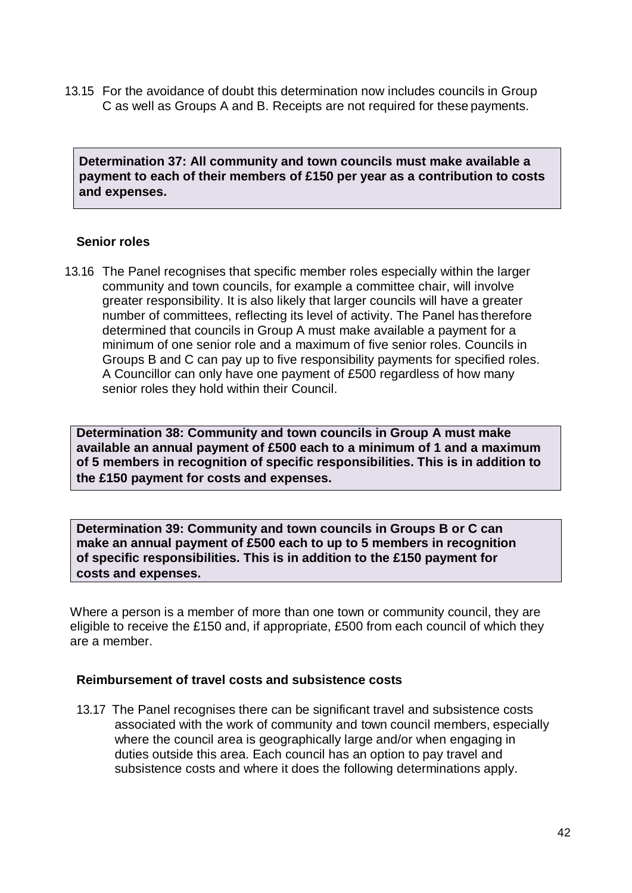13.15 For the avoidance of doubt this determination now includes councils in Group C as well as Groups A and B. Receipts are not required for these payments.

**Determination 37: All community and town councils must make available a payment to each of their members of £150 per year as a contribution to costs and expenses.**

#### **Senior roles**

13.16 The Panel recognises that specific member roles especially within the larger community and town councils, for example a committee chair, will involve greater responsibility. It is also likely that larger councils will have a greater number of committees, reflecting its level of activity. The Panel has therefore determined that councils in Group A must make available a payment for a minimum of one senior role and a maximum of five senior roles. Councils in Groups B and C can pay up to five responsibility payments for specified roles. A Councillor can only have one payment of £500 regardless of how many senior roles they hold within their Council.

**Determination 38: Community and town councils in Group A must make available an annual payment of £500 each to a minimum of 1 and a maximum of 5 members in recognition of specific responsibilities. This is in addition to the £150 payment for costs and expenses.**

**Determination 39: Community and town councils in Groups B or C can make an annual payment of £500 each to up to 5 members in recognition of specific responsibilities. This is in addition to the £150 payment for costs and expenses.** 

Where a person is a member of more than one town or community council, they are eligible to receive the £150 and, if appropriate, £500 from each council of which they are a member.

#### **Reimbursement of travel costs and subsistence costs**

13.17 The Panel recognises there can be significant travel and subsistence costs associated with the work of community and town council members, especially where the council area is geographically large and/or when engaging in duties outside this area. Each council has an option to pay travel and subsistence costs and where it does the following determinations apply.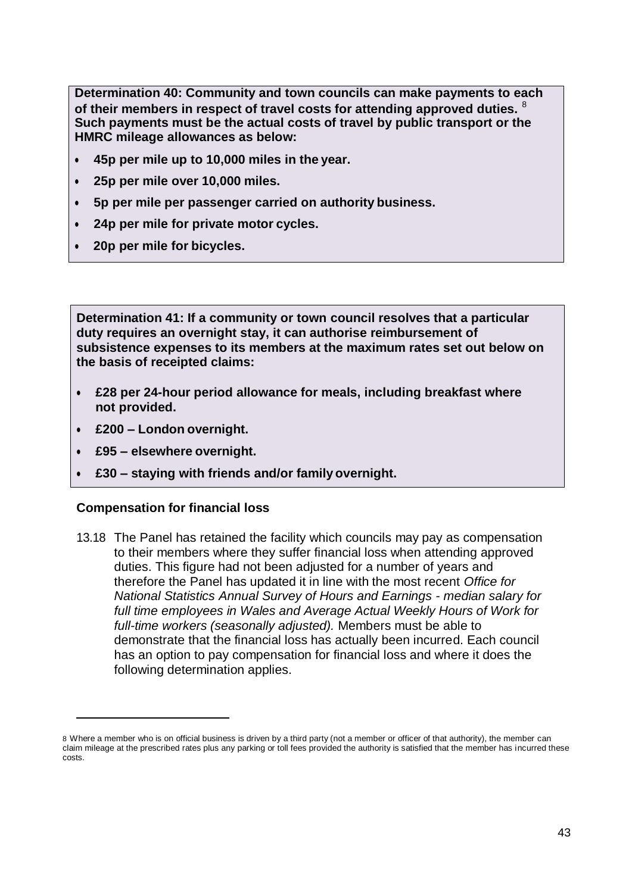**Determination 40: Community and town councils can make payments to each of their members in respect of travel costs for attending approved duties.** <sup>8</sup> **Such payments must be the actual costs of travel by public transport or the HMRC mileage allowances as below:**

- **45p per mile up to 10,000 miles in the year.**
- **25p per mile over 10,000 miles.**
- **5p per mile per passenger carried on authority business.**
- **24p per mile for private motor cycles.**
- **20p per mile for bicycles.**

**Determination 41: If a community or town council resolves that a particular duty requires an overnight stay, it can authorise reimbursement of subsistence expenses to its members at the maximum rates set out below on the basis of receipted claims:**

- **£28 per 24-hour period allowance for meals, including breakfast where not provided.**
- **£200 – London overnight.**
- **£95 – elsewhere overnight.**
- **£30 – staying with friends and/or family overnight.**

#### **Compensation for financial loss**

13.18 The Panel has retained the facility which councils may pay as compensation to their members where they suffer financial loss when attending approved duties. This figure had not been adjusted for a number of years and therefore the Panel has updated it in line with the most recent *Office for National Statistics Annual Survey of Hours and Earnings - median salary for full time employees in Wales and Average Actual Weekly Hours of Work for full-time workers (seasonally adjusted).* Members must be able to demonstrate that the financial loss has actually been incurred. Each council has an option to pay compensation for financial loss and where it does the following determination applies.

<sup>8</sup> Where a member who is on official business is driven by a third party (not a member or officer of that authority), the member can claim mileage at the prescribed rates plus any parking or toll fees provided the authority is satisfied that the member has incurred these costs.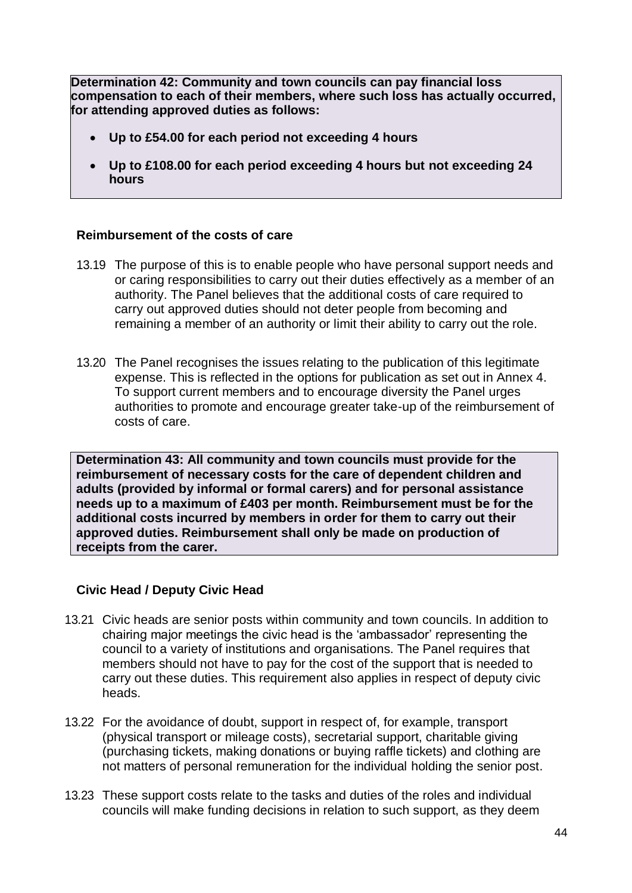**Determination 42: Community and town councils can pay financial loss compensation to each of their members, where such loss has actually occurred, for attending approved duties as follows:**

- **Up to £54.00 for each period not exceeding 4 hours**
- **Up to £108.00 for each period exceeding 4 hours but not exceeding 24 hours**

### **Reimbursement of the costs of care**

- 13.19 The purpose of this is to enable people who have personal support needs and or caring responsibilities to carry out their duties effectively as a member of an authority. The Panel believes that the additional costs of care required to carry out approved duties should not deter people from becoming and remaining a member of an authority or limit their ability to carry out the role.
- 13.20 The Panel recognises the issues relating to the publication of this legitimate expense. This is reflected in the options for publication as set out in Annex 4. To support current members and to encourage diversity the Panel urges authorities to promote and encourage greater take-up of the reimbursement of costs of care.

**Determination 43: All community and town councils must provide for the reimbursement of necessary costs for the care of dependent children and adults (provided by informal or formal carers) and for personal assistance needs up to a maximum of £403 per month. Reimbursement must be for the additional costs incurred by members in order for them to carry out their approved duties. Reimbursement shall only be made on production of receipts from the carer.**

### **Civic Head / Deputy Civic Head**

- 13.21 Civic heads are senior posts within community and town councils. In addition to chairing major meetings the civic head is the 'ambassador' representing the council to a variety of institutions and organisations. The Panel requires that members should not have to pay for the cost of the support that is needed to carry out these duties. This requirement also applies in respect of deputy civic heads.
- 13.22 For the avoidance of doubt, support in respect of, for example, transport (physical transport or mileage costs), secretarial support, charitable giving (purchasing tickets, making donations or buying raffle tickets) and clothing are not matters of personal remuneration for the individual holding the senior post.
- 13.23 These support costs relate to the tasks and duties of the roles and individual councils will make funding decisions in relation to such support, as they deem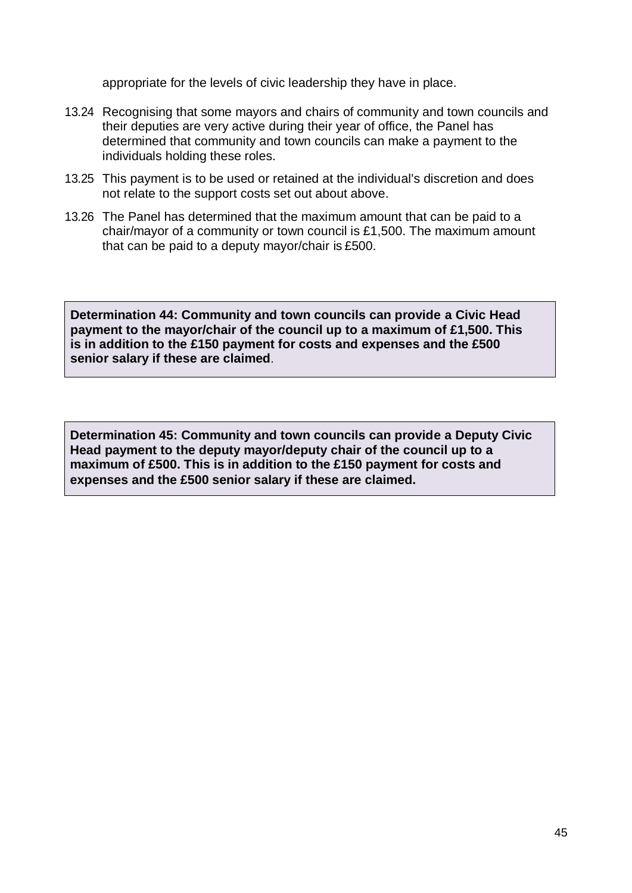appropriate for the levels of civic leadership they have in place.

- 13.24 Recognising that some mayors and chairs of community and town councils and their deputies are very active during their year of office, the Panel has determined that community and town councils can make a payment to the individuals holding these roles.
- 13.25 This payment is to be used or retained at the individual's discretion and does not relate to the support costs set out about above.
- 13.26 The Panel has determined that the maximum amount that can be paid to a chair/mayor of a community or town council is £1,500. The maximum amount that can be paid to a deputy mayor/chair is £500.

**Determination 44: Community and town councils can provide a Civic Head payment to the mayor/chair of the council up to a maximum of £1,500. This is in addition to the £150 payment for costs and expenses and the £500 senior salary if these are claimed**.

**Determination 45: Community and town councils can provide a Deputy Civic Head payment to the deputy mayor/deputy chair of the council up to a maximum of £500. This is in addition to the £150 payment for costs and expenses and the £500 senior salary if these are claimed.**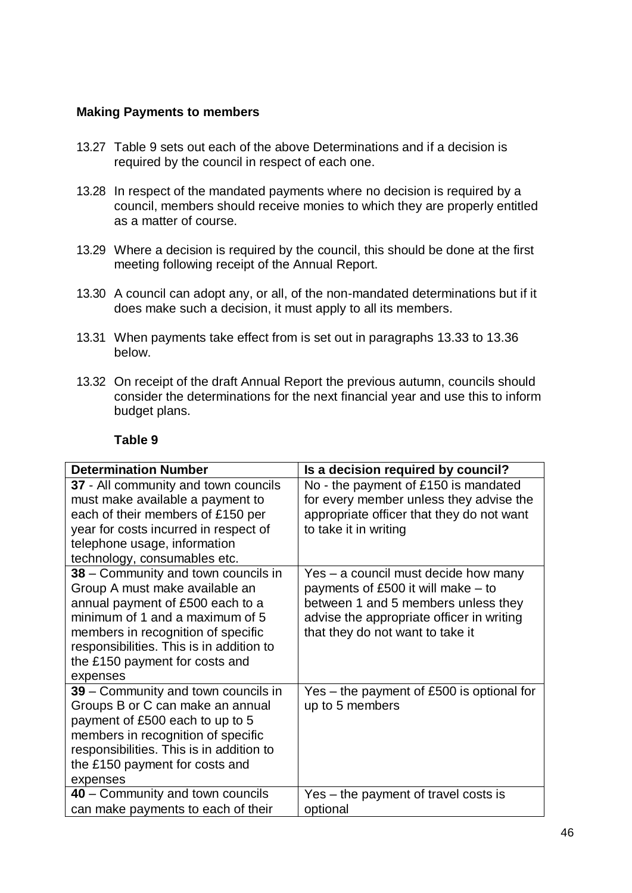### **Making Payments to members**

- 13.27 Table 9 sets out each of the above Determinations and if a decision is required by the council in respect of each one.
- 13.28 In respect of the mandated payments where no decision is required by a council, members should receive monies to which they are properly entitled as a matter of course.
- 13.29 Where a decision is required by the council, this should be done at the first meeting following receipt of the Annual Report.
- 13.30 A council can adopt any, or all, of the non-mandated determinations but if it does make such a decision, it must apply to all its members.
- 13.31 When payments take effect from is set out in paragraphs 13.33 to 13.36 below.
- 13.32 On receipt of the draft Annual Report the previous autumn, councils should consider the determinations for the next financial year and use this to inform budget plans.

#### **Table 9**

| <b>Determination Number</b>                                                                                                                                                                                                                                                  | Is a decision required by council?                                                                                                                                                                   |
|------------------------------------------------------------------------------------------------------------------------------------------------------------------------------------------------------------------------------------------------------------------------------|------------------------------------------------------------------------------------------------------------------------------------------------------------------------------------------------------|
| 37 - All community and town councils<br>must make available a payment to<br>each of their members of £150 per<br>year for costs incurred in respect of<br>telephone usage, information<br>technology, consumables etc.                                                       | No - the payment of £150 is mandated<br>for every member unless they advise the<br>appropriate officer that they do not want<br>to take it in writing                                                |
| 38 – Community and town councils in<br>Group A must make available an<br>annual payment of £500 each to a<br>minimum of 1 and a maximum of 5<br>members in recognition of specific<br>responsibilities. This is in addition to<br>the £150 payment for costs and<br>expenses | Yes – a council must decide how many<br>payments of £500 it will make $-$ to<br>between 1 and 5 members unless they<br>advise the appropriate officer in writing<br>that they do not want to take it |
| 39 - Community and town councils in<br>Groups B or C can make an annual<br>payment of £500 each to up to 5<br>members in recognition of specific<br>responsibilities. This is in addition to<br>the £150 payment for costs and<br>expenses                                   | Yes – the payment of £500 is optional for<br>up to 5 members                                                                                                                                         |
| 40 – Community and town councils<br>can make payments to each of their                                                                                                                                                                                                       | Yes – the payment of travel costs is<br>optional                                                                                                                                                     |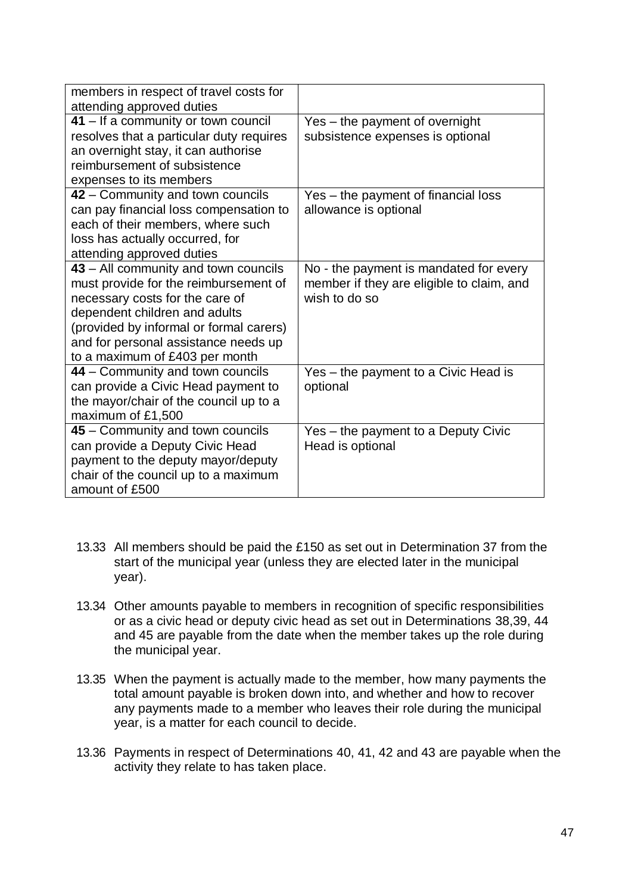| members in respect of travel costs for   |                                           |
|------------------------------------------|-------------------------------------------|
| attending approved duties                |                                           |
| 41 – If a community or town council      | Yes - the payment of overnight            |
| resolves that a particular duty requires | subsistence expenses is optional          |
| an overnight stay, it can authorise      |                                           |
| reimbursement of subsistence             |                                           |
| expenses to its members                  |                                           |
| 42 – Community and town councils         | Yes - the payment of financial loss       |
| can pay financial loss compensation to   | allowance is optional                     |
| each of their members, where such        |                                           |
| loss has actually occurred, for          |                                           |
| attending approved duties                |                                           |
| 43 – All community and town councils     | No - the payment is mandated for every    |
| must provide for the reimbursement of    | member if they are eligible to claim, and |
| necessary costs for the care of          | wish to do so                             |
| dependent children and adults            |                                           |
| (provided by informal or formal carers)  |                                           |
| and for personal assistance needs up     |                                           |
| to a maximum of £403 per month           |                                           |
| 44 – Community and town councils         | Yes – the payment to a Civic Head is      |
| can provide a Civic Head payment to      | optional                                  |
| the mayor/chair of the council up to a   |                                           |
| maximum of £1,500                        |                                           |
| 45 - Community and town councils         | Yes - the payment to a Deputy Civic       |
| can provide a Deputy Civic Head          | Head is optional                          |
| payment to the deputy mayor/deputy       |                                           |
| chair of the council up to a maximum     |                                           |
| amount of £500                           |                                           |

- 13.33 All members should be paid the £150 as set out in Determination 37 from the start of the municipal year (unless they are elected later in the municipal year).
- 13.34 Other amounts payable to members in recognition of specific responsibilities or as a civic head or deputy civic head as set out in Determinations 38,39, 44 and 45 are payable from the date when the member takes up the role during the municipal year.
- 13.35 When the payment is actually made to the member, how many payments the total amount payable is broken down into, and whether and how to recover any payments made to a member who leaves their role during the municipal year, is a matter for each council to decide.
- 13.36 Payments in respect of Determinations 40, 41, 42 and 43 are payable when the activity they relate to has taken place.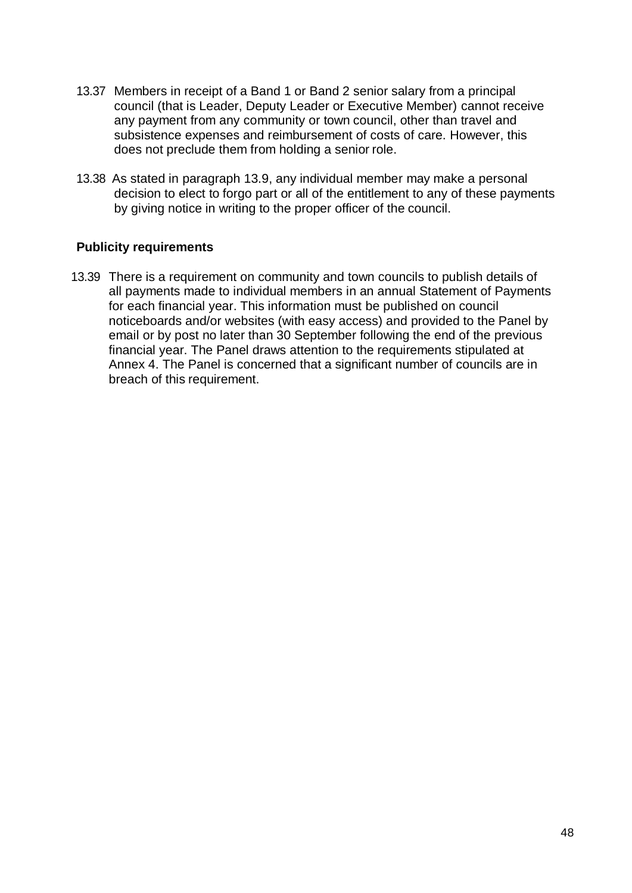- 13.37 Members in receipt of a Band 1 or Band 2 senior salary from a principal council (that is Leader, Deputy Leader or Executive Member) cannot receive any payment from any community or town council, other than travel and subsistence expenses and reimbursement of costs of care. However, this does not preclude them from holding a senior role.
- 13.38 As stated in paragraph 13.9, any individual member may make a personal decision to elect to forgo part or all of the entitlement to any of these payments by giving notice in writing to the proper officer of the council.

### **Publicity requirements**

13.39 There is a requirement on community and town councils to publish details of all payments made to individual members in an annual Statement of Payments for each financial year. This information must be published on council noticeboards and/or websites (with easy access) and provided to the Panel by email or by post no later than 30 September following the end of the previous financial year. The Panel draws attention to the requirements stipulated at Annex 4. The Panel is concerned that a significant number of councils are in breach of this requirement.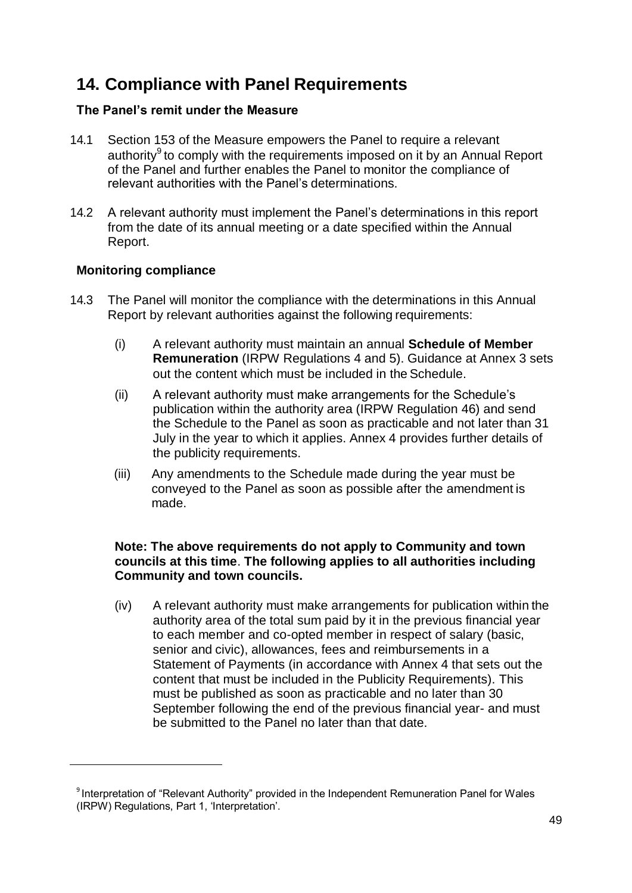# **14. Compliance with Panel Requirements**

### **The Panel's remit under the Measure**

- 14.1 Section 153 of the Measure empowers the Panel to require a relevant authority<sup>9</sup> to comply with the requirements imposed on it by an Annual Report of the Panel and further enables the Panel to monitor the compliance of relevant authorities with the Panel's determinations.
- 14.2 A relevant authority must implement the Panel's determinations in this report from the date of its annual meeting or a date specified within the Annual Report.

### **Monitoring compliance**

- 14.3 The Panel will monitor the compliance with the determinations in this Annual Report by relevant authorities against the following requirements:
	- (i) A relevant authority must maintain an annual **Schedule of Member Remuneration** (IRPW Regulations 4 and 5). Guidance at Annex 3 sets out the content which must be included in the Schedule.
	- (ii) A relevant authority must make arrangements for the Schedule's publication within the authority area (IRPW Regulation 46) and send the Schedule to the Panel as soon as practicable and not later than 31 July in the year to which it applies. Annex 4 provides further details of the publicity requirements.
	- (iii) Any amendments to the Schedule made during the year must be conveyed to the Panel as soon as possible after the amendment is made.

### **Note: The above requirements do not apply to Community and town councils at this time**. **The following applies to all authorities including Community and town councils.**

(iv) A relevant authority must make arrangements for publication within the authority area of the total sum paid by it in the previous financial year to each member and co-opted member in respect of salary (basic, senior and civic), allowances, fees and reimbursements in a Statement of Payments (in accordance with Annex 4 that sets out the content that must be included in the Publicity Requirements). This must be published as soon as practicable and no later than 30 September following the end of the previous financial year- and must be submitted to the Panel no later than that date.

<sup>&</sup>lt;sup>9</sup> Interpretation of "Relevant Authority" provided in the Independent Remuneration Panel for Wales (IRPW) Regulations, Part 1, 'Interpretation'.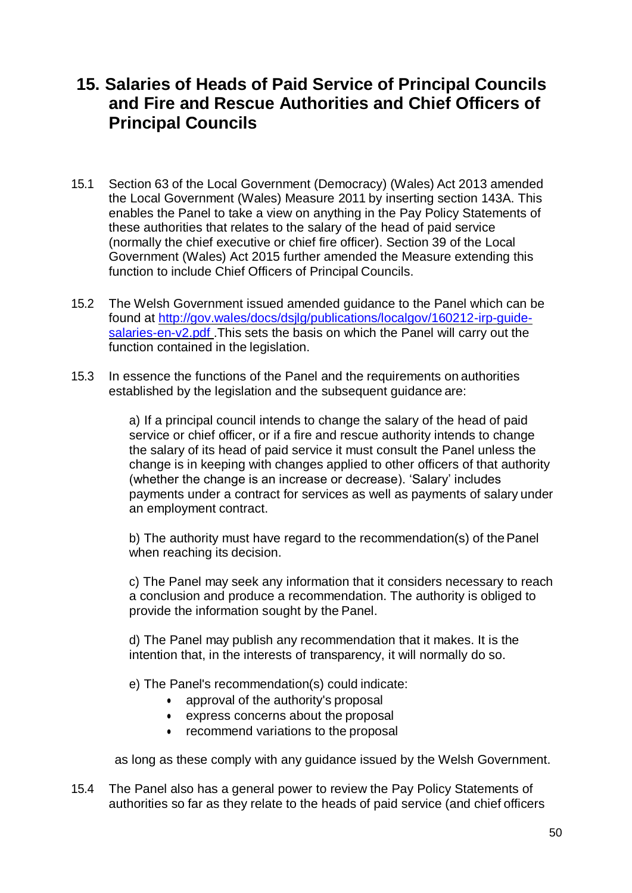# **15. Salaries of Heads of Paid Service of Principal Councils and Fire and Rescue Authorities and Chief Officers of Principal Councils**

- 15.1 Section 63 of the Local Government (Democracy) (Wales) Act 2013 amended the Local Government (Wales) Measure 2011 by inserting section 143A. This enables the Panel to take a view on anything in the Pay Policy Statements of these authorities that relates to the salary of the head of paid service (normally the chief executive or chief fire officer). Section 39 of the Local Government (Wales) Act 2015 further amended the Measure extending this function to include Chief Officers of Principal Councils.
- 15.2 The Welsh Government issued amended guidance to the Panel which can be found at [http://gov.wales/docs/dsjlg/publications/localgov/160212-irp-guide](http://gov.wales/docs/dsjlg/publications/localgov/160212-irp-guide-salaries-en-v2.pdf)salaries-en-v2.pdf. This sets the basis on which the Panel will carry out the function contained in the legislation.
- 15.3 In essence the functions of the Panel and the requirements on authorities established by the legislation and the subsequent guidance are:

a) If a principal council intends to change the salary of the head of paid service or chief officer, or if a fire and rescue authority intends to change the salary of its head of paid service it must consult the Panel unless the change is in keeping with changes applied to other officers of that authority (whether the change is an increase or decrease). 'Salary' includes payments under a contract for services as well as payments of salary under an employment contract.

b) The authority must have regard to the recommendation(s) of thePanel when reaching its decision.

c) The Panel may seek any information that it considers necessary to reach a conclusion and produce a recommendation. The authority is obliged to provide the information sought by the Panel.

d) The Panel may publish any recommendation that it makes. It is the intention that, in the interests of transparency, it will normally do so.

e) The Panel's recommendation(s) could indicate:

- approval of the authority's proposal
- express concerns about the proposal
- recommend variations to the proposal

as long as these comply with any guidance issued by the Welsh Government.

15.4 The Panel also has a general power to review the Pay Policy Statements of authorities so far as they relate to the heads of paid service (and chief officers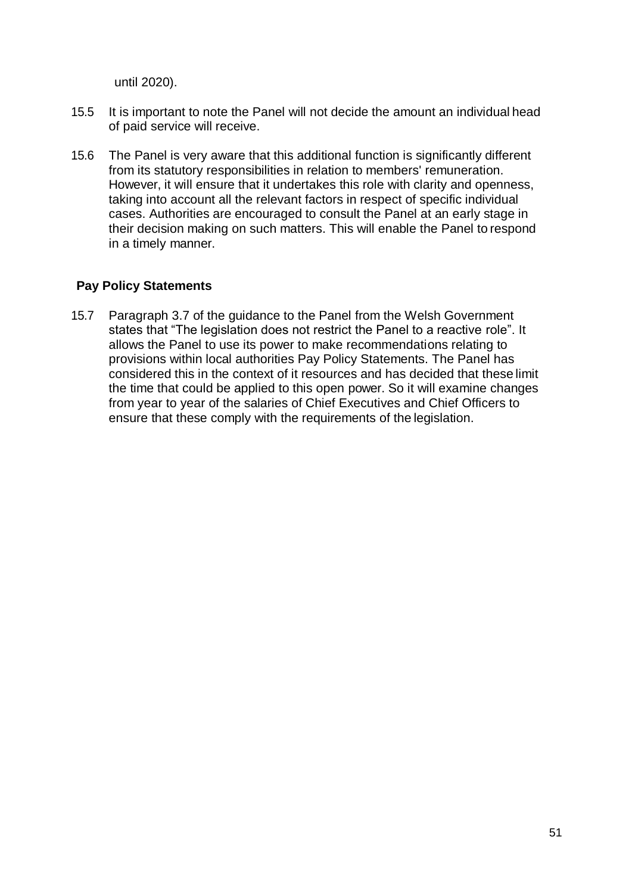until 2020).

- 15.5 It is important to note the Panel will not decide the amount an individual head of paid service will receive.
- 15.6 The Panel is very aware that this additional function is significantly different from its statutory responsibilities in relation to members' remuneration. However, it will ensure that it undertakes this role with clarity and openness, taking into account all the relevant factors in respect of specific individual cases. Authorities are encouraged to consult the Panel at an early stage in their decision making on such matters. This will enable the Panel to respond in a timely manner.

### **Pay Policy Statements**

15.7 Paragraph 3.7 of the guidance to the Panel from the Welsh Government states that "The legislation does not restrict the Panel to a reactive role". It allows the Panel to use its power to make recommendations relating to provisions within local authorities Pay Policy Statements. The Panel has considered this in the context of it resources and has decided that these limit the time that could be applied to this open power. So it will examine changes from year to year of the salaries of Chief Executives and Chief Officers to ensure that these comply with the requirements of the legislation.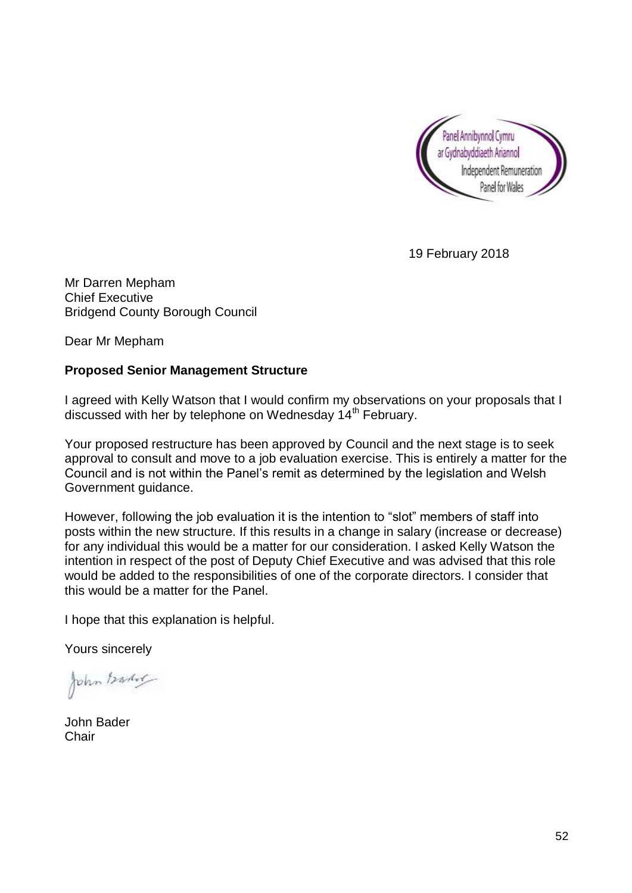

19 February 2018

Mr Darren Mepham Chief Executive Bridgend County Borough Council

Dear Mr Mepham

### **Proposed Senior Management Structure**

I agreed with Kelly Watson that I would confirm my observations on your proposals that I discussed with her by telephone on Wednesday 14<sup>th</sup> February.

Your proposed restructure has been approved by Council and the next stage is to seek approval to consult and move to a job evaluation exercise. This is entirely a matter for the Council and is not within the Panel's remit as determined by the legislation and Welsh Government guidance.

However, following the job evaluation it is the intention to "slot" members of staff into posts within the new structure. If this results in a change in salary (increase or decrease) for any individual this would be a matter for our consideration. I asked Kelly Watson the intention in respect of the post of Deputy Chief Executive and was advised that this role would be added to the responsibilities of one of the corporate directors. I consider that this would be a matter for the Panel.

I hope that this explanation is helpful.

Yours sincerely

John Barber

John Bader **Chair**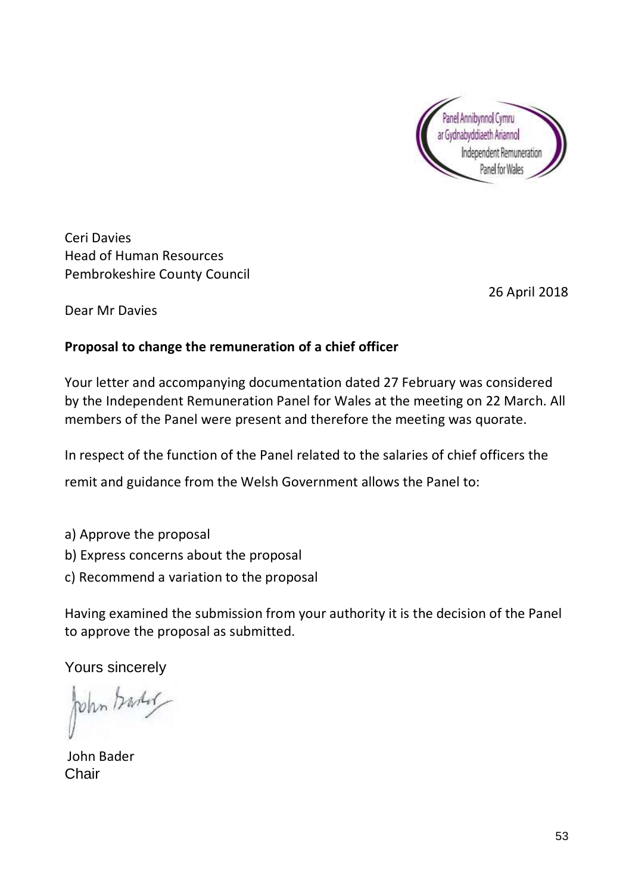

Ceri Davies Head of Human Resources Pembrokeshire County Council

26 April 2018

Dear Mr Davies

### **Proposal to change the remuneration of a chief officer**

Your letter and accompanying documentation dated 27 February was considered by the Independent Remuneration Panel for Wales at the meeting on 22 March. All members of the Panel were present and therefore the meeting was quorate.

In respect of the function of the Panel related to the salaries of chief officers the

remit and guidance from the Welsh Government allows the Panel to:

- a) Approve the proposal
- b) Express concerns about the proposal
- c) Recommend a variation to the proposal

Having examined the submission from your authority it is the decision of the Panel to approve the proposal as submitted.

Yours sincerely

John banker

John Bader Chair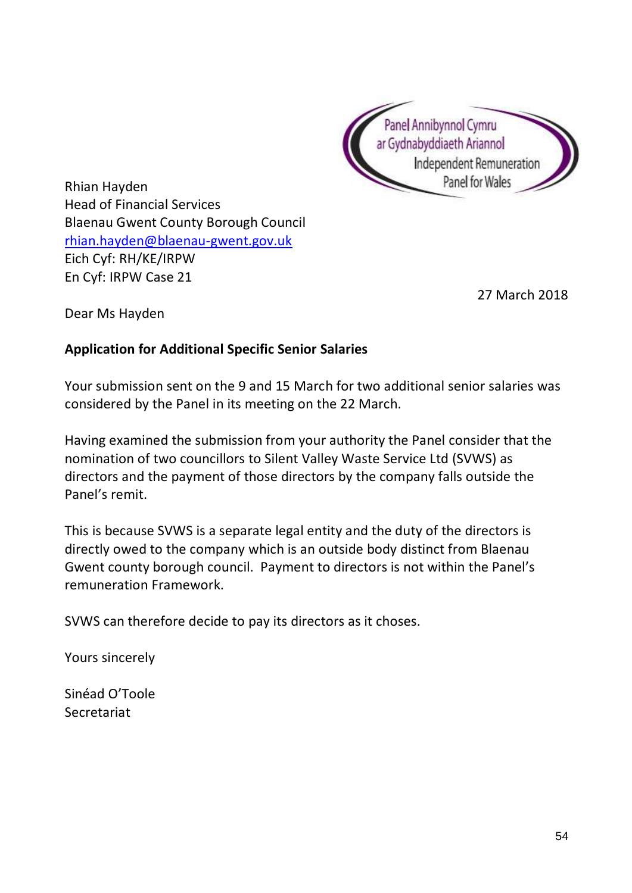

Rhian Hayden Head of Financial Services Blaenau Gwent County Borough Council [rhian.hayden@blaenau-gwent.gov.uk](mailto:rhian.hayden@blaenau-gwent.gov.uk) Eich Cyf: RH/KE/IRPW En Cyf: IRPW Case 21

27 March 2018

Dear Ms Hayden

### **Application for Additional Specific Senior Salaries**

Your submission sent on the 9 and 15 March for two additional senior salaries was considered by the Panel in its meeting on the 22 March.

Having examined the submission from your authority the Panel consider that the nomination of two councillors to Silent Valley Waste Service Ltd (SVWS) as directors and the payment of those directors by the company falls outside the Panel's remit.

This is because SVWS is a separate legal entity and the duty of the directors is directly owed to the company which is an outside body distinct from Blaenau Gwent county borough council. Payment to directors is not within the Panel's remuneration Framework.

SVWS can therefore decide to pay its directors as it choses.

Yours sincerely

Sinéad O'Toole Secretariat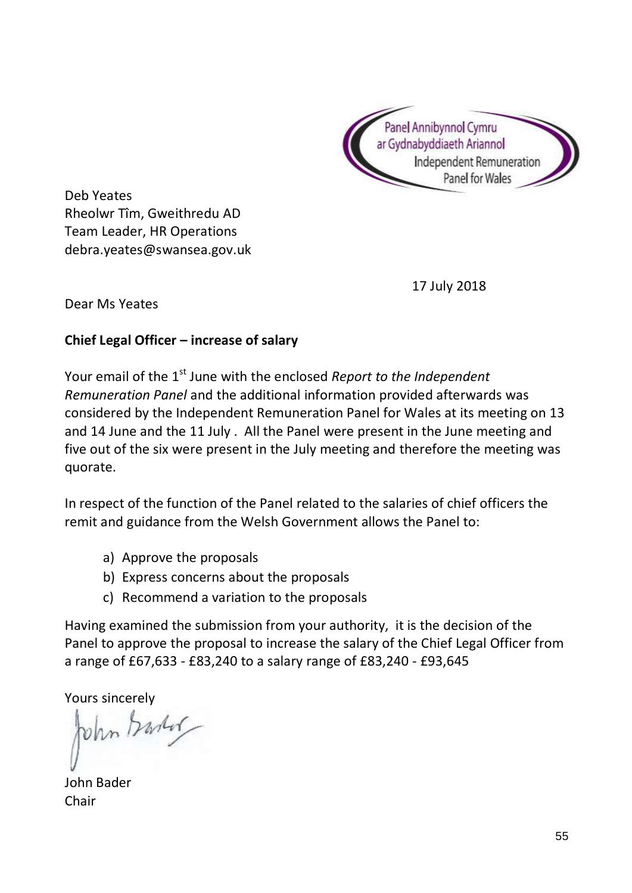

Deb Yeates Rheolwr Tîm, Gweithredu AD Team Leader, HR Operations debra.yeates@swansea.gov.uk

17 July 2018

Dear Ms Yeates

### **Chief Legal Officer – increase of salary**

Your email of the 1<sup>st</sup> June with the enclosed *Report to the Independent Remuneration Panel* and the additional information provided afterwards was considered by the Independent Remuneration Panel for Wales at its meeting on 13 and 14 June and the 11 July . All the Panel were present in the June meeting and five out of the six were present in the July meeting and therefore the meeting was quorate.

In respect of the function of the Panel related to the salaries of chief officers the remit and guidance from the Welsh Government allows the Panel to:

- a) Approve the proposals
- b) Express concerns about the proposals
- c) Recommend a variation to the proposals

Having examined the submission from your authority, it is the decision of the Panel to approve the proposal to increase the salary of the Chief Legal Officer from a range of £67,633 - £83,240 to a salary range of £83,240 - £93,645

Yours sincerely<br>John Barlor

John Bader **Chair**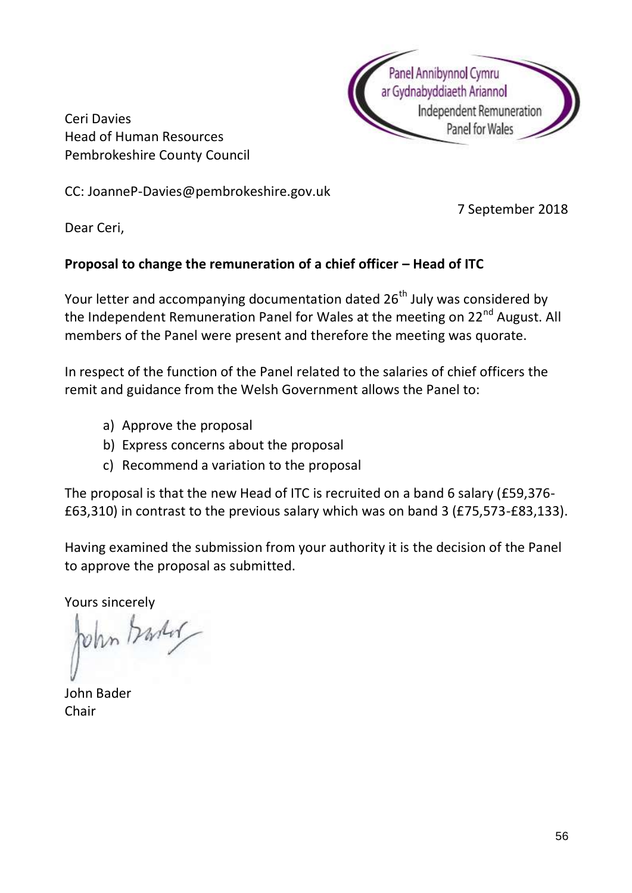

Ceri Davies Head of Human Resources Pembrokeshire County Council

CC: JoanneP-Davies@pembrokeshire.gov.uk

7 September 2018

Dear Ceri,

### **Proposal to change the remuneration of a chief officer – Head of ITC**

Your letter and accompanying documentation dated 26<sup>th</sup> July was considered by the Independent Remuneration Panel for Wales at the meeting on 22<sup>nd</sup> August. All members of the Panel were present and therefore the meeting was quorate.

In respect of the function of the Panel related to the salaries of chief officers the remit and guidance from the Welsh Government allows the Panel to:

- a) Approve the proposal
- b) Express concerns about the proposal
- c) Recommend a variation to the proposal

The proposal is that the new Head of ITC is recruited on a band 6 salary (£59,376- £63,310) in contrast to the previous salary which was on band 3 (£75,573-£83,133).

Having examined the submission from your authority it is the decision of the Panel to approve the proposal as submitted.

Yours sincerely<br>John *Markel* 

John Bader Chair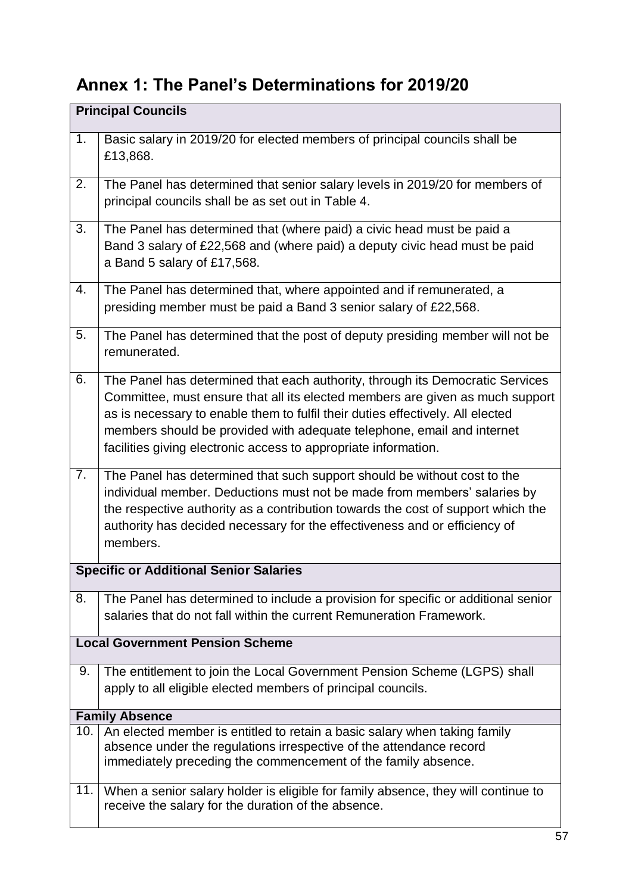# **Annex 1: The Panel's Determinations for 2019/20**

|     | <b>Principal Councils</b>                                                                                                                                                                                                                                                                                                                                                                     |
|-----|-----------------------------------------------------------------------------------------------------------------------------------------------------------------------------------------------------------------------------------------------------------------------------------------------------------------------------------------------------------------------------------------------|
| 1.  | Basic salary in 2019/20 for elected members of principal councils shall be<br>£13,868.                                                                                                                                                                                                                                                                                                        |
| 2.  | The Panel has determined that senior salary levels in 2019/20 for members of<br>principal councils shall be as set out in Table 4.                                                                                                                                                                                                                                                            |
| 3.  | The Panel has determined that (where paid) a civic head must be paid a<br>Band 3 salary of £22,568 and (where paid) a deputy civic head must be paid<br>a Band 5 salary of £17,568.                                                                                                                                                                                                           |
| 4.  | The Panel has determined that, where appointed and if remunerated, a<br>presiding member must be paid a Band 3 senior salary of £22,568.                                                                                                                                                                                                                                                      |
| 5.  | The Panel has determined that the post of deputy presiding member will not be<br>remunerated.                                                                                                                                                                                                                                                                                                 |
| 6.  | The Panel has determined that each authority, through its Democratic Services<br>Committee, must ensure that all its elected members are given as much support<br>as is necessary to enable them to fulfil their duties effectively. All elected<br>members should be provided with adequate telephone, email and internet<br>facilities giving electronic access to appropriate information. |
| 7.  | The Panel has determined that such support should be without cost to the<br>individual member. Deductions must not be made from members' salaries by<br>the respective authority as a contribution towards the cost of support which the<br>authority has decided necessary for the effectiveness and or efficiency of<br>members.                                                            |
|     | <b>Specific or Additional Senior Salaries</b>                                                                                                                                                                                                                                                                                                                                                 |
| 8.  | The Panel has determined to include a provision for specific or additional senior<br>salaries that do not fall within the current Remuneration Framework.                                                                                                                                                                                                                                     |
|     | <b>Local Government Pension Scheme</b>                                                                                                                                                                                                                                                                                                                                                        |
| 9.  | The entitlement to join the Local Government Pension Scheme (LGPS) shall<br>apply to all eligible elected members of principal councils.                                                                                                                                                                                                                                                      |
|     | <b>Family Absence</b>                                                                                                                                                                                                                                                                                                                                                                         |
| 10. | An elected member is entitled to retain a basic salary when taking family<br>absence under the regulations irrespective of the attendance record<br>immediately preceding the commencement of the family absence.                                                                                                                                                                             |
| 11. | When a senior salary holder is eligible for family absence, they will continue to<br>receive the salary for the duration of the absence.                                                                                                                                                                                                                                                      |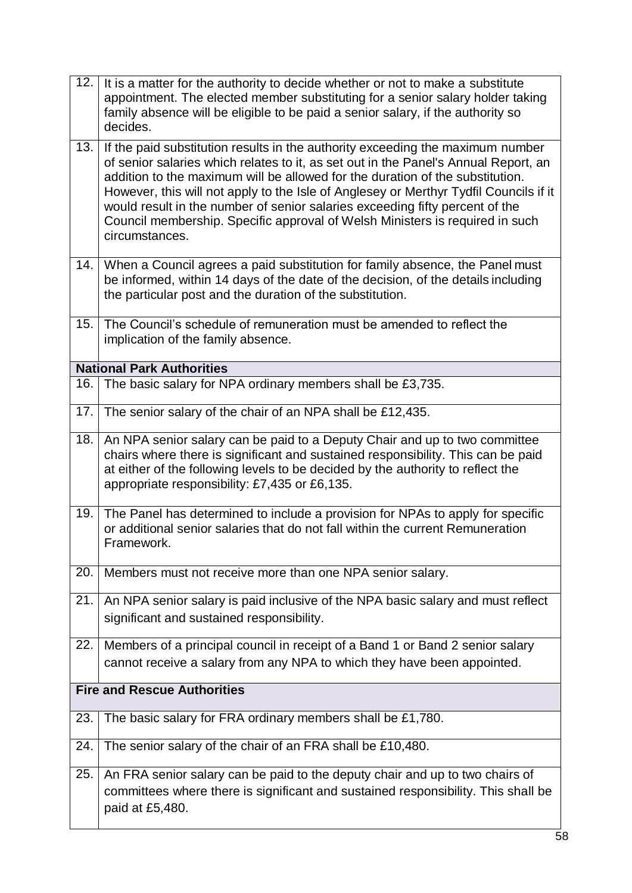| 12. | It is a matter for the authority to decide whether or not to make a substitute<br>appointment. The elected member substituting for a senior salary holder taking<br>family absence will be eligible to be paid a senior salary, if the authority so<br>decides.                                                                                                                                                                                                                                                                   |
|-----|-----------------------------------------------------------------------------------------------------------------------------------------------------------------------------------------------------------------------------------------------------------------------------------------------------------------------------------------------------------------------------------------------------------------------------------------------------------------------------------------------------------------------------------|
| 13. | If the paid substitution results in the authority exceeding the maximum number<br>of senior salaries which relates to it, as set out in the Panel's Annual Report, an<br>addition to the maximum will be allowed for the duration of the substitution.<br>However, this will not apply to the Isle of Anglesey or Merthyr Tydfil Councils if it<br>would result in the number of senior salaries exceeding fifty percent of the<br>Council membership. Specific approval of Welsh Ministers is required in such<br>circumstances. |
| 14. | When a Council agrees a paid substitution for family absence, the Panel must<br>be informed, within 14 days of the date of the decision, of the details including<br>the particular post and the duration of the substitution.                                                                                                                                                                                                                                                                                                    |
| 15. | The Council's schedule of remuneration must be amended to reflect the<br>implication of the family absence.                                                                                                                                                                                                                                                                                                                                                                                                                       |
|     | <b>National Park Authorities</b>                                                                                                                                                                                                                                                                                                                                                                                                                                                                                                  |
| 16. | The basic salary for NPA ordinary members shall be £3,735.                                                                                                                                                                                                                                                                                                                                                                                                                                                                        |
| 17. | The senior salary of the chair of an NPA shall be £12,435.                                                                                                                                                                                                                                                                                                                                                                                                                                                                        |
| 18. | An NPA senior salary can be paid to a Deputy Chair and up to two committee<br>chairs where there is significant and sustained responsibility. This can be paid<br>at either of the following levels to be decided by the authority to reflect the<br>appropriate responsibility: £7,435 or £6,135.                                                                                                                                                                                                                                |
| 19. | The Panel has determined to include a provision for NPAs to apply for specific<br>or additional senior salaries that do not fall within the current Remuneration<br>Framework.                                                                                                                                                                                                                                                                                                                                                    |
| 20. | Members must not receive more than one NPA senior salary.                                                                                                                                                                                                                                                                                                                                                                                                                                                                         |
| 21. | An NPA senior salary is paid inclusive of the NPA basic salary and must reflect<br>significant and sustained responsibility.                                                                                                                                                                                                                                                                                                                                                                                                      |
| 22. | Members of a principal council in receipt of a Band 1 or Band 2 senior salary<br>cannot receive a salary from any NPA to which they have been appointed.                                                                                                                                                                                                                                                                                                                                                                          |
|     | <b>Fire and Rescue Authorities</b>                                                                                                                                                                                                                                                                                                                                                                                                                                                                                                |
| 23. | The basic salary for FRA ordinary members shall be £1,780.                                                                                                                                                                                                                                                                                                                                                                                                                                                                        |
| 24. | The senior salary of the chair of an FRA shall be £10,480.                                                                                                                                                                                                                                                                                                                                                                                                                                                                        |
| 25. | An FRA senior salary can be paid to the deputy chair and up to two chairs of<br>committees where there is significant and sustained responsibility. This shall be<br>paid at £5,480.                                                                                                                                                                                                                                                                                                                                              |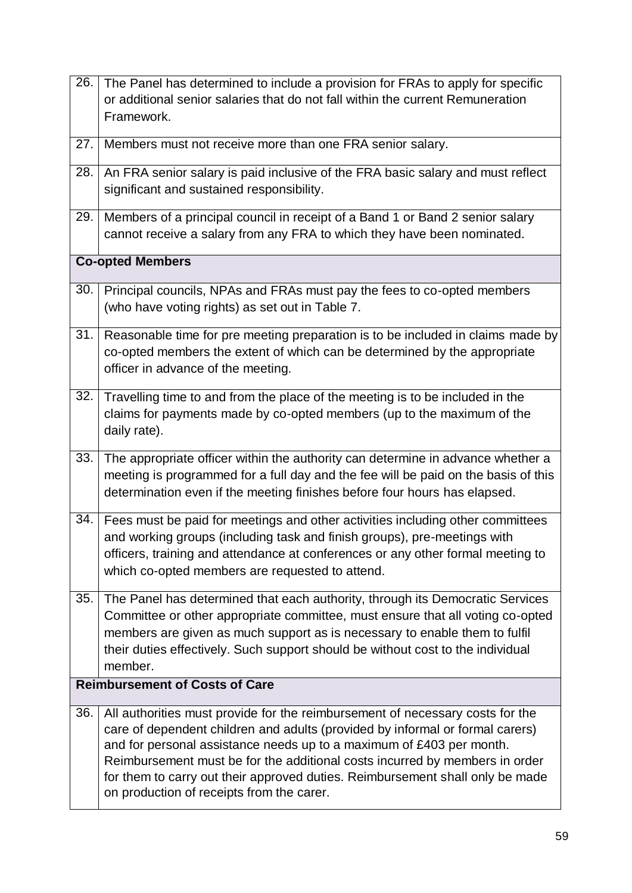| 26.                                   | The Panel has determined to include a provision for FRAs to apply for specific                                                                                                                                                                                                                                                                                                                                                                      |
|---------------------------------------|-----------------------------------------------------------------------------------------------------------------------------------------------------------------------------------------------------------------------------------------------------------------------------------------------------------------------------------------------------------------------------------------------------------------------------------------------------|
|                                       | or additional senior salaries that do not fall within the current Remuneration                                                                                                                                                                                                                                                                                                                                                                      |
|                                       | Framework.                                                                                                                                                                                                                                                                                                                                                                                                                                          |
| 27.                                   | Members must not receive more than one FRA senior salary.                                                                                                                                                                                                                                                                                                                                                                                           |
| 28.                                   | An FRA senior salary is paid inclusive of the FRA basic salary and must reflect<br>significant and sustained responsibility.                                                                                                                                                                                                                                                                                                                        |
|                                       | 29.   Members of a principal council in receipt of a Band 1 or Band 2 senior salary<br>cannot receive a salary from any FRA to which they have been nominated.                                                                                                                                                                                                                                                                                      |
|                                       | <b>Co-opted Members</b>                                                                                                                                                                                                                                                                                                                                                                                                                             |
| 30.                                   | Principal councils, NPAs and FRAs must pay the fees to co-opted members<br>(who have voting rights) as set out in Table 7.                                                                                                                                                                                                                                                                                                                          |
| 31.                                   | Reasonable time for pre meeting preparation is to be included in claims made by<br>co-opted members the extent of which can be determined by the appropriate<br>officer in advance of the meeting.                                                                                                                                                                                                                                                  |
| 32.                                   | Travelling time to and from the place of the meeting is to be included in the<br>claims for payments made by co-opted members (up to the maximum of the<br>daily rate).                                                                                                                                                                                                                                                                             |
| 33.                                   | The appropriate officer within the authority can determine in advance whether a<br>meeting is programmed for a full day and the fee will be paid on the basis of this<br>determination even if the meeting finishes before four hours has elapsed.                                                                                                                                                                                                  |
| 34.                                   | Fees must be paid for meetings and other activities including other committees<br>and working groups (including task and finish groups), pre-meetings with<br>officers, training and attendance at conferences or any other formal meeting to<br>which co-opted members are requested to attend.                                                                                                                                                    |
| 35.                                   | The Panel has determined that each authority, through its Democratic Services<br>Committee or other appropriate committee, must ensure that all voting co-opted<br>members are given as much support as is necessary to enable them to fulfil<br>their duties effectively. Such support should be without cost to the individual<br>member.                                                                                                         |
| <b>Reimbursement of Costs of Care</b> |                                                                                                                                                                                                                                                                                                                                                                                                                                                     |
| 36.                                   | All authorities must provide for the reimbursement of necessary costs for the<br>care of dependent children and adults (provided by informal or formal carers)<br>and for personal assistance needs up to a maximum of £403 per month.<br>Reimbursement must be for the additional costs incurred by members in order<br>for them to carry out their approved duties. Reimbursement shall only be made<br>on production of receipts from the carer. |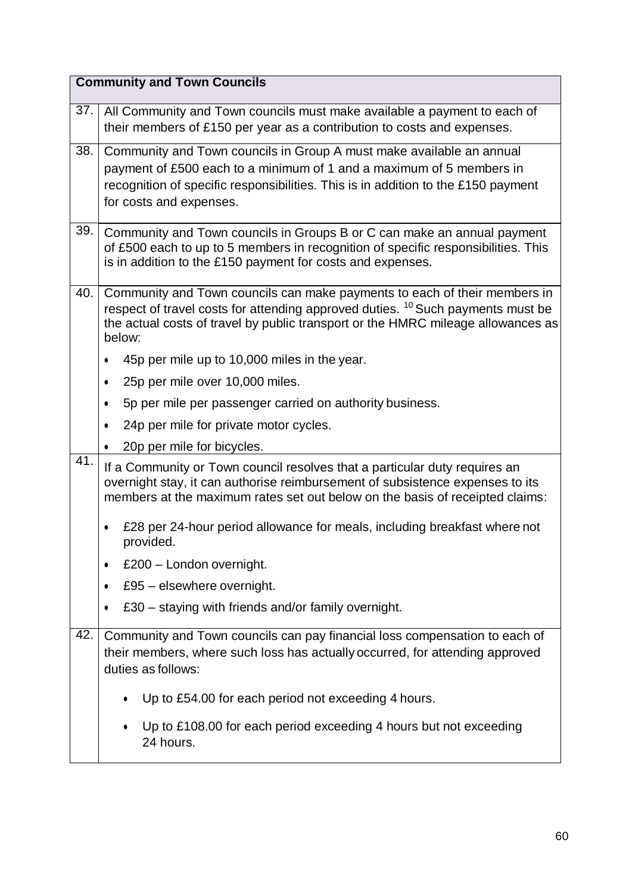|     | <b>Community and Town Councils</b>                                                                                                                                                                                                                                    |
|-----|-----------------------------------------------------------------------------------------------------------------------------------------------------------------------------------------------------------------------------------------------------------------------|
| 37. | All Community and Town councils must make available a payment to each of<br>their members of £150 per year as a contribution to costs and expenses.                                                                                                                   |
| 38. | Community and Town councils in Group A must make available an annual<br>payment of £500 each to a minimum of 1 and a maximum of 5 members in<br>recognition of specific responsibilities. This is in addition to the £150 payment<br>for costs and expenses.          |
| 39. | Community and Town councils in Groups B or C can make an annual payment<br>of £500 each to up to 5 members in recognition of specific responsibilities. This<br>is in addition to the £150 payment for costs and expenses.                                            |
| 40. | Community and Town councils can make payments to each of their members in<br>respect of travel costs for attending approved duties. <sup>10</sup> Such payments must be<br>the actual costs of travel by public transport or the HMRC mileage allowances as<br>below: |
|     | 45p per mile up to 10,000 miles in the year.<br>$\bullet$                                                                                                                                                                                                             |
|     | 25p per mile over 10,000 miles.<br>$\bullet$                                                                                                                                                                                                                          |
|     | 5p per mile per passenger carried on authority business.<br>٠                                                                                                                                                                                                         |
|     | 24p per mile for private motor cycles.<br>$\bullet$                                                                                                                                                                                                                   |
| 41. | 20p per mile for bicycles.                                                                                                                                                                                                                                            |
|     | If a Community or Town council resolves that a particular duty requires an<br>overnight stay, it can authorise reimbursement of subsistence expenses to its<br>members at the maximum rates set out below on the basis of receipted claims:                           |
|     | £28 per 24-hour period allowance for meals, including breakfast where not<br>$\bullet$<br>provided.                                                                                                                                                                   |
|     | £200 - London overnight.<br>٠                                                                                                                                                                                                                                         |
|     | £95 - elsewhere overnight.<br>$\bullet$                                                                                                                                                                                                                               |
|     | £30 – staying with friends and/or family overnight.<br>$\bullet$                                                                                                                                                                                                      |
| 42. | Community and Town councils can pay financial loss compensation to each of<br>their members, where such loss has actually occurred, for attending approved<br>duties as follows:                                                                                      |
|     | Up to £54.00 for each period not exceeding 4 hours.<br>٠                                                                                                                                                                                                              |
|     | Up to £108.00 for each period exceeding 4 hours but not exceeding<br>24 hours.                                                                                                                                                                                        |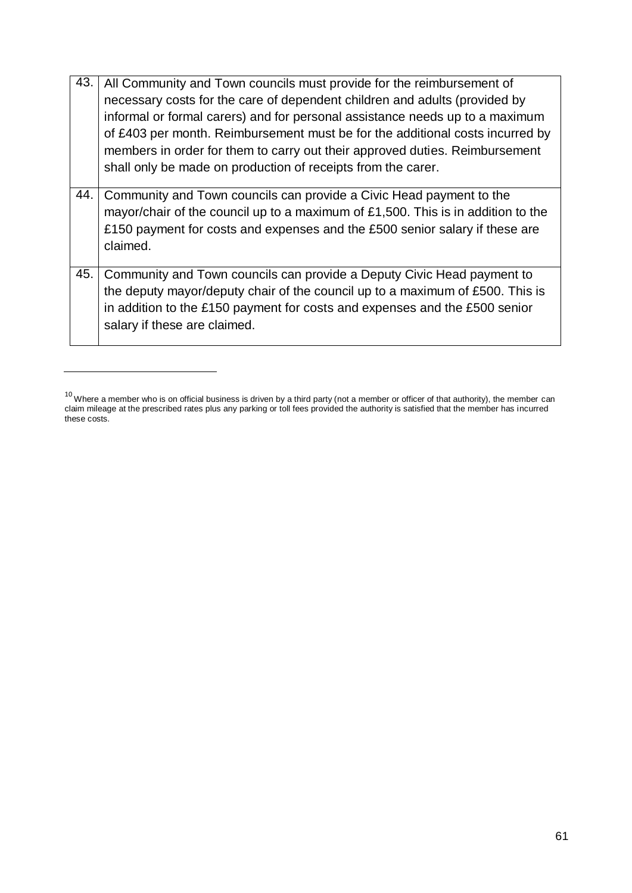| 43. | All Community and Town councils must provide for the reimbursement of<br>necessary costs for the care of dependent children and adults (provided by<br>informal or formal carers) and for personal assistance needs up to a maximum<br>of £403 per month. Reimbursement must be for the additional costs incurred by<br>members in order for them to carry out their approved duties. Reimbursement<br>shall only be made on production of receipts from the carer. |
|-----|---------------------------------------------------------------------------------------------------------------------------------------------------------------------------------------------------------------------------------------------------------------------------------------------------------------------------------------------------------------------------------------------------------------------------------------------------------------------|
| 44. | Community and Town councils can provide a Civic Head payment to the<br>mayor/chair of the council up to a maximum of £1,500. This is in addition to the<br>£150 payment for costs and expenses and the £500 senior salary if these are<br>claimed.                                                                                                                                                                                                                  |
| 45. | Community and Town councils can provide a Deputy Civic Head payment to<br>the deputy mayor/deputy chair of the council up to a maximum of £500. This is<br>in addition to the £150 payment for costs and expenses and the £500 senior<br>salary if these are claimed.                                                                                                                                                                                               |

 $^{10}$  Where a member who is on official business is driven by a third party (not a member or officer of that authority), the member can claim mileage at the prescribed rates plus any parking or toll fees provided the authority is satisfied that the member has incurred these costs.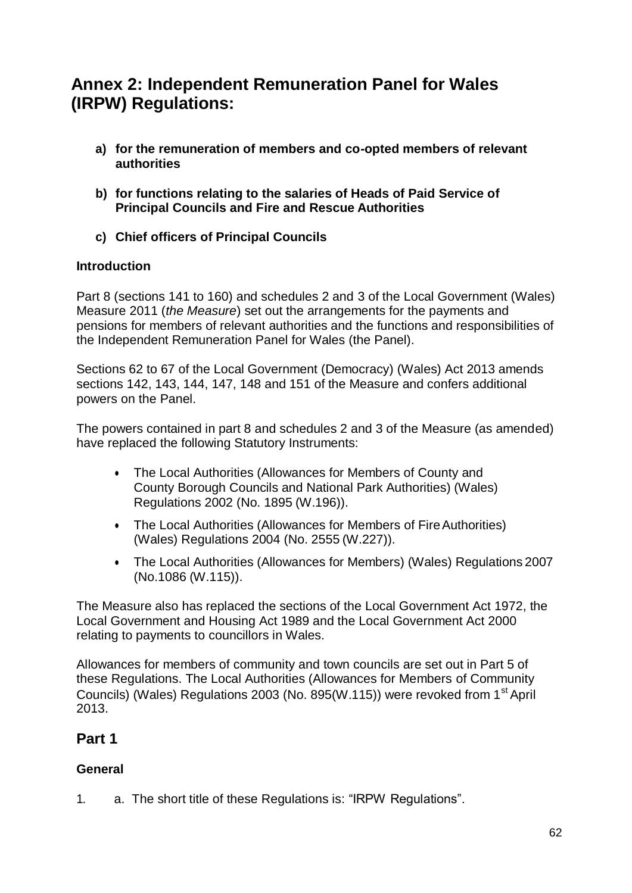# **Annex 2: Independent Remuneration Panel for Wales (IRPW) Regulations:**

- **a) for the remuneration of members and co-opted members of relevant authorities**
- **b) for functions relating to the salaries of Heads of Paid Service of Principal Councils and Fire and Rescue Authorities**
- **c) Chief officers of Principal Councils**

### **Introduction**

Part 8 (sections 141 to 160) and schedules 2 and 3 of the Local Government (Wales) Measure 2011 (*the Measure*) set out the arrangements for the payments and pensions for members of relevant authorities and the functions and responsibilities of the Independent Remuneration Panel for Wales (the Panel).

Sections 62 to 67 of the Local Government (Democracy) (Wales) Act 2013 amends sections 142, 143, 144, 147, 148 and 151 of the Measure and confers additional powers on the Panel.

The powers contained in part 8 and schedules 2 and 3 of the Measure (as amended) have replaced the following Statutory Instruments:

- The Local Authorities (Allowances for Members of County and County Borough Councils and National Park Authorities) (Wales) Regulations 2002 (No. 1895 (W.196)).
- The Local Authorities (Allowances for Members of Fire Authorities) (Wales) Regulations 2004 (No. 2555 (W.227)).
- The Local Authorities (Allowances for Members) (Wales) Regulations 2007 (No.1086 (W.115)).

The Measure also has replaced the sections of the Local Government Act 1972, the Local Government and Housing Act 1989 and the Local Government Act 2000 relating to payments to councillors in Wales.

Allowances for members of community and town councils are set out in Part 5 of these Regulations. The Local Authorities (Allowances for Members of Community Councils) (Wales) Regulations 2003 (No. 895(W.115)) were revoked from 1<sup>st</sup> April 2013.

### **Part 1**

### **General**

1. a. The short title of these Regulations is: "IRPW Regulations".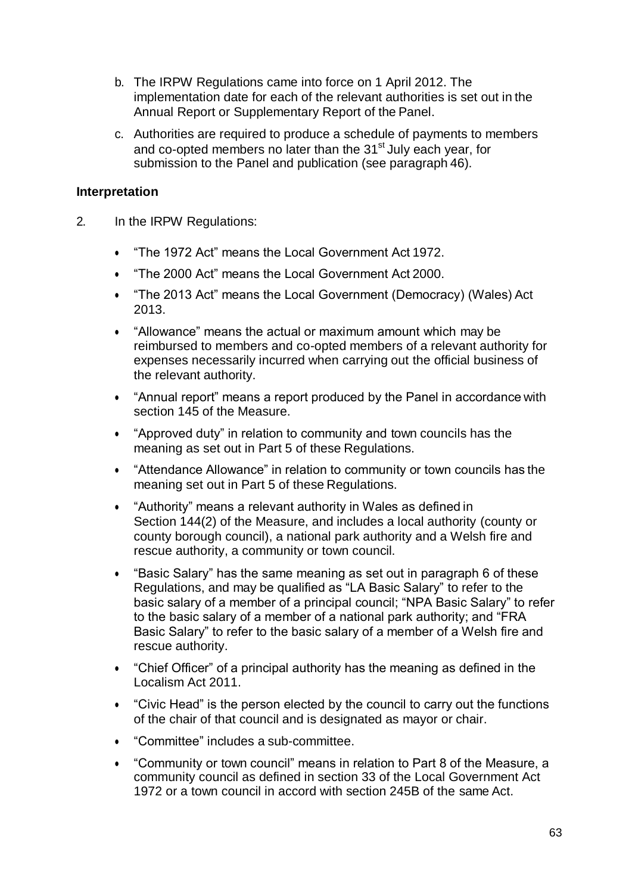- b. The IRPW Regulations came into force on 1 April 2012. The implementation date for each of the relevant authorities is set out in the Annual Report or Supplementary Report of the Panel.
- c. Authorities are required to produce a schedule of payments to members and co-opted members no later than the 31<sup>st</sup> July each year, for submission to the Panel and publication (see paragraph 46).

### **Interpretation**

- 2. In the IRPW Regulations:
	- "The 1972 Act" means the Local Government Act 1972.
	- "The 2000 Act" means the Local Government Act 2000.
	- "The 2013 Act" means the Local Government (Democracy) (Wales) Act 2013.
	- "Allowance" means the actual or maximum amount which may be reimbursed to members and co-opted members of a relevant authority for expenses necessarily incurred when carrying out the official business of the relevant authority.
	- "Annual report" means a report produced by the Panel in accordance with section 145 of the Measure.
	- "Approved duty" in relation to community and town councils has the meaning as set out in Part 5 of these Regulations.
	- "Attendance Allowance" in relation to community or town councils has the meaning set out in Part 5 of these Regulations.
	- "Authority" means a relevant authority in Wales as defined in Section 144(2) of the Measure, and includes a local authority (county or county borough council), a national park authority and a Welsh fire and rescue authority, a community or town council.
	- "Basic Salary" has the same meaning as set out in paragraph 6 of these Regulations, and may be qualified as "LA Basic Salary" to refer to the basic salary of a member of a principal council; "NPA Basic Salary" to refer to the basic salary of a member of a national park authority; and "FRA Basic Salary" to refer to the basic salary of a member of a Welsh fire and rescue authority.
	- "Chief Officer" of a principal authority has the meaning as defined in the Localism Act 2011.
	- "Civic Head" is the person elected by the council to carry out the functions of the chair of that council and is designated as mayor or chair.
	- "Committee" includes a sub-committee.
	- "Community or town council" means in relation to Part 8 of the Measure, a community council as defined in section 33 of the Local Government Act 1972 or a town council in accord with section 245B of the same Act.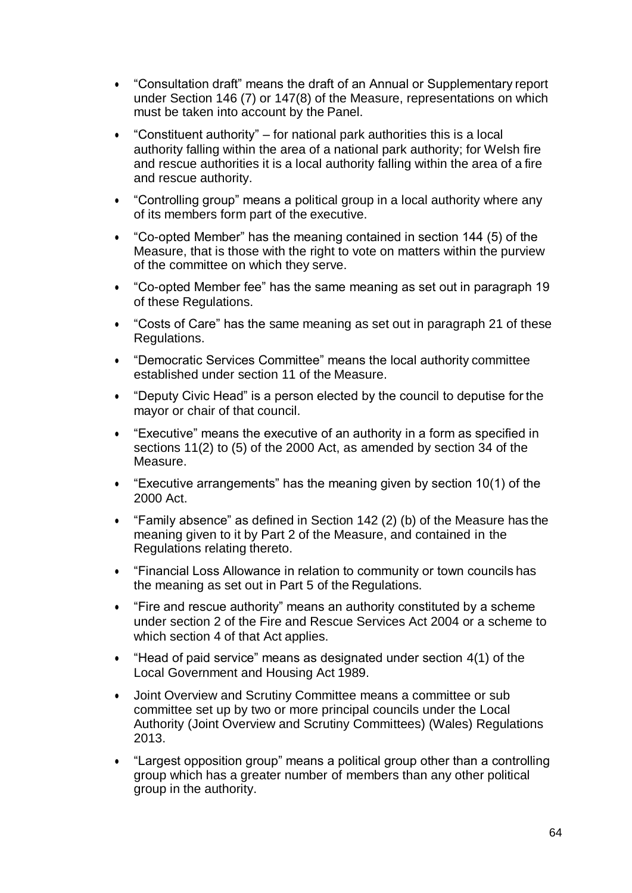- "Consultation draft" means the draft of an Annual or Supplementary report under Section 146 (7) or 147(8) of the Measure, representations on which must be taken into account by the Panel.
- "Constituent authority" for national park authorities this is a local authority falling within the area of a national park authority; for Welsh fire and rescue authorities it is a local authority falling within the area of a fire and rescue authority.
- "Controlling group" means a political group in a local authority where any of its members form part of the executive.
- "Co-opted Member" has the meaning contained in section 144 (5) of the Measure, that is those with the right to vote on matters within the purview of the committee on which they serve.
- "Co-opted Member fee" has the same meaning as set out in paragraph 19 of these Regulations.
- "Costs of Care" has the same meaning as set out in paragraph 21 of these Regulations.
- "Democratic Services Committee" means the local authority committee established under section 11 of the Measure.
- "Deputy Civic Head" is a person elected by the council to deputise for the mayor or chair of that council.
- "Executive" means the executive of an authority in a form as specified in sections 11(2) to (5) of the 2000 Act, as amended by section 34 of the Measure.
- "Executive arrangements" has the meaning given by section 10(1) of the 2000 Act.
- "Family absence" as defined in Section 142 (2) (b) of the Measure has the meaning given to it by Part 2 of the Measure, and contained in the Regulations relating thereto.
- "Financial Loss Allowance in relation to community or town councils has the meaning as set out in Part 5 of the Regulations.
- "Fire and rescue authority" means an authority constituted by a scheme under section 2 of the Fire and Rescue Services Act 2004 or a scheme to which section 4 of that Act applies.
- "Head of paid service" means as designated under section 4(1) of the Local Government and Housing Act 1989.
- Joint Overview and Scrutiny Committee means a committee or sub committee set up by two or more principal councils under the Local Authority (Joint Overview and Scrutiny Committees) (Wales) Regulations 2013.
- "Largest opposition group" means a political group other than a controlling group which has a greater number of members than any other political group in the authority.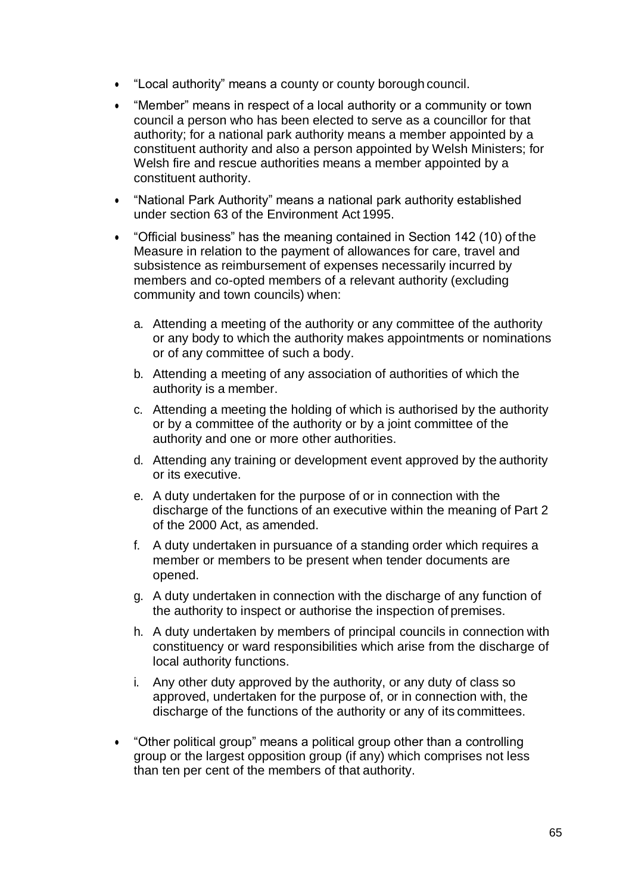- "Local authority" means a county or county borough council.
- "Member" means in respect of a local authority or a community or town council a person who has been elected to serve as a councillor for that authority; for a national park authority means a member appointed by a constituent authority and also a person appointed by Welsh Ministers; for Welsh fire and rescue authorities means a member appointed by a constituent authority.
- "National Park Authority" means a national park authority established under section 63 of the Environment Act 1995.
- "Official business" has the meaning contained in Section 142 (10) of the Measure in relation to the payment of allowances for care, travel and subsistence as reimbursement of expenses necessarily incurred by members and co-opted members of a relevant authority (excluding community and town councils) when:
	- a. Attending a meeting of the authority or any committee of the authority or any body to which the authority makes appointments or nominations or of any committee of such a body.
	- b. Attending a meeting of any association of authorities of which the authority is a member.
	- c. Attending a meeting the holding of which is authorised by the authority or by a committee of the authority or by a joint committee of the authority and one or more other authorities.
	- d. Attending any training or development event approved by the authority or its executive.
	- e. A duty undertaken for the purpose of or in connection with the discharge of the functions of an executive within the meaning of Part 2 of the 2000 Act, as amended.
	- f. A duty undertaken in pursuance of a standing order which requires a member or members to be present when tender documents are opened.
	- g. A duty undertaken in connection with the discharge of any function of the authority to inspect or authorise the inspection of premises.
	- h. A duty undertaken by members of principal councils in connection with constituency or ward responsibilities which arise from the discharge of local authority functions.
	- i. Any other duty approved by the authority, or any duty of class so approved, undertaken for the purpose of, or in connection with, the discharge of the functions of the authority or any of its committees.
- "Other political group" means a political group other than a controlling group or the largest opposition group (if any) which comprises not less than ten per cent of the members of that authority.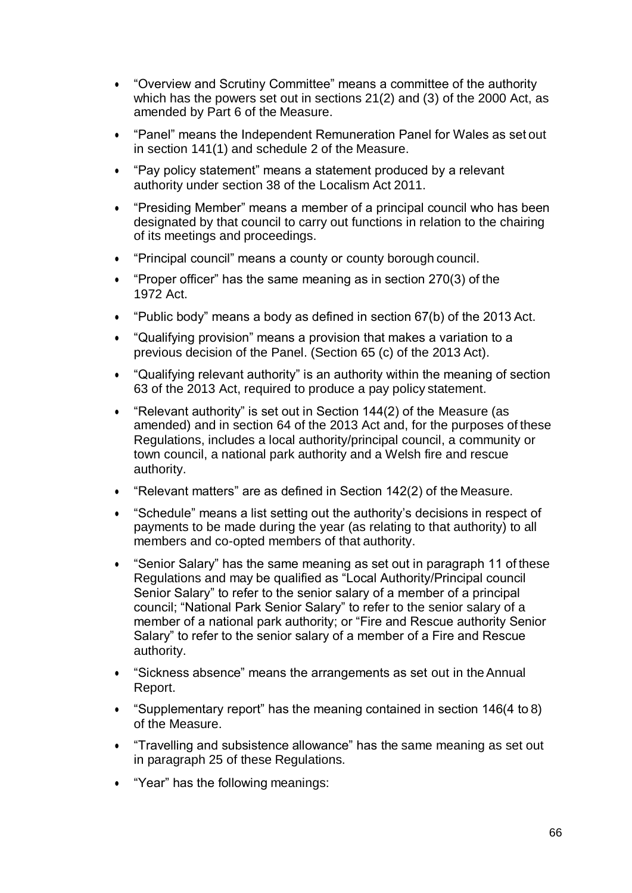- "Overview and Scrutiny Committee" means a committee of the authority which has the powers set out in sections 21(2) and (3) of the 2000 Act, as amended by Part 6 of the Measure.
- "Panel" means the Independent Remuneration Panel for Wales as set out in section 141(1) and schedule 2 of the Measure.
- "Pay policy statement" means a statement produced by a relevant authority under section 38 of the Localism Act 2011.
- "Presiding Member" means a member of a principal council who has been designated by that council to carry out functions in relation to the chairing of its meetings and proceedings.
- "Principal council" means a county or county borough council.
- "Proper officer" has the same meaning as in section 270(3) of the 1972 Act.
- "Public body" means a body as defined in section 67(b) of the 2013 Act.
- "Qualifying provision" means a provision that makes a variation to a previous decision of the Panel. (Section 65 (c) of the 2013 Act).
- "Qualifying relevant authority" is an authority within the meaning of section 63 of the 2013 Act, required to produce a pay policy statement.
- "Relevant authority" is set out in Section 144(2) of the Measure (as amended) and in section 64 of the 2013 Act and, for the purposes of these Regulations, includes a local authority/principal council, a community or town council, a national park authority and a Welsh fire and rescue authority.
- "Relevant matters" are as defined in Section 142(2) of the Measure.
- "Schedule" means a list setting out the authority's decisions in respect of payments to be made during the year (as relating to that authority) to all members and co-opted members of that authority.
- "Senior Salary" has the same meaning as set out in paragraph 11 of these Regulations and may be qualified as "Local Authority/Principal council Senior Salary" to refer to the senior salary of a member of a principal council; "National Park Senior Salary" to refer to the senior salary of a member of a national park authority; or "Fire and Rescue authority Senior Salary" to refer to the senior salary of a member of a Fire and Rescue authority.
- "Sickness absence" means the arrangements as set out in theAnnual Report.
- "Supplementary report" has the meaning contained in section 146(4 to 8) of the Measure.
- "Travelling and subsistence allowance" has the same meaning as set out in paragraph 25 of these Regulations.
- "Year" has the following meanings: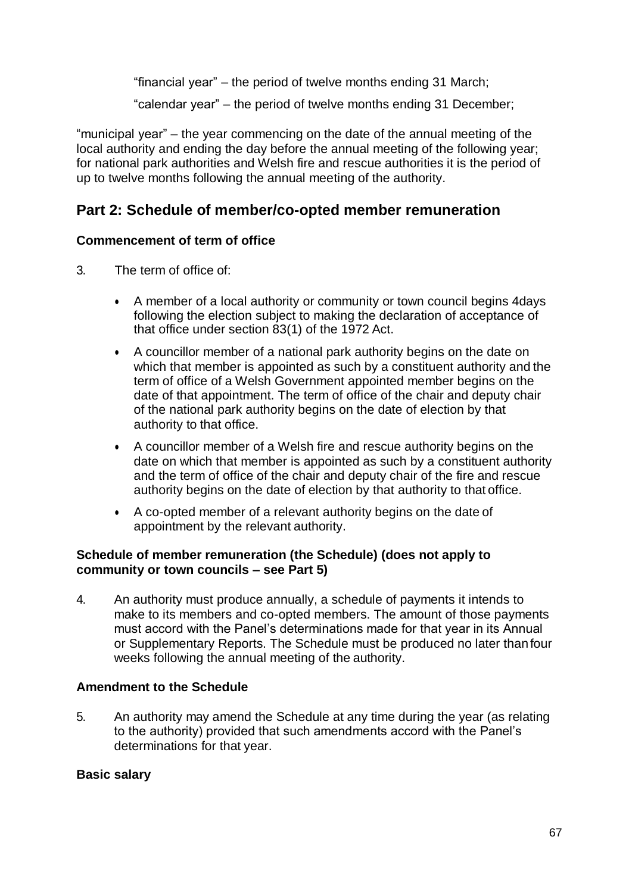"financial year" – the period of twelve months ending 31 March;

"calendar year" – the period of twelve months ending 31 December;

"municipal year" – the year commencing on the date of the annual meeting of the local authority and ending the day before the annual meeting of the following year; for national park authorities and Welsh fire and rescue authorities it is the period of up to twelve months following the annual meeting of the authority.

### **Part 2: Schedule of member/co-opted member remuneration**

### **Commencement of term of office**

- 3. The term of office of:
	- A member of a local authority or community or town council begins 4days following the election subject to making the declaration of acceptance of that office under section 83(1) of the 1972 Act.
	- A councillor member of a national park authority begins on the date on which that member is appointed as such by a constituent authority and the term of office of a Welsh Government appointed member begins on the date of that appointment. The term of office of the chair and deputy chair of the national park authority begins on the date of election by that authority to that office.
	- A councillor member of a Welsh fire and rescue authority begins on the date on which that member is appointed as such by a constituent authority and the term of office of the chair and deputy chair of the fire and rescue authority begins on the date of election by that authority to that office.
	- A co-opted member of a relevant authority begins on the date of appointment by the relevant authority.

### **Schedule of member remuneration (the Schedule) (does not apply to community or town councils – see Part 5)**

4. An authority must produce annually, a schedule of payments it intends to make to its members and co-opted members. The amount of those payments must accord with the Panel's determinations made for that year in its Annual or Supplementary Reports. The Schedule must be produced no later thanfour weeks following the annual meeting of the authority.

### **Amendment to the Schedule**

5. An authority may amend the Schedule at any time during the year (as relating to the authority) provided that such amendments accord with the Panel's determinations for that year.

### **Basic salary**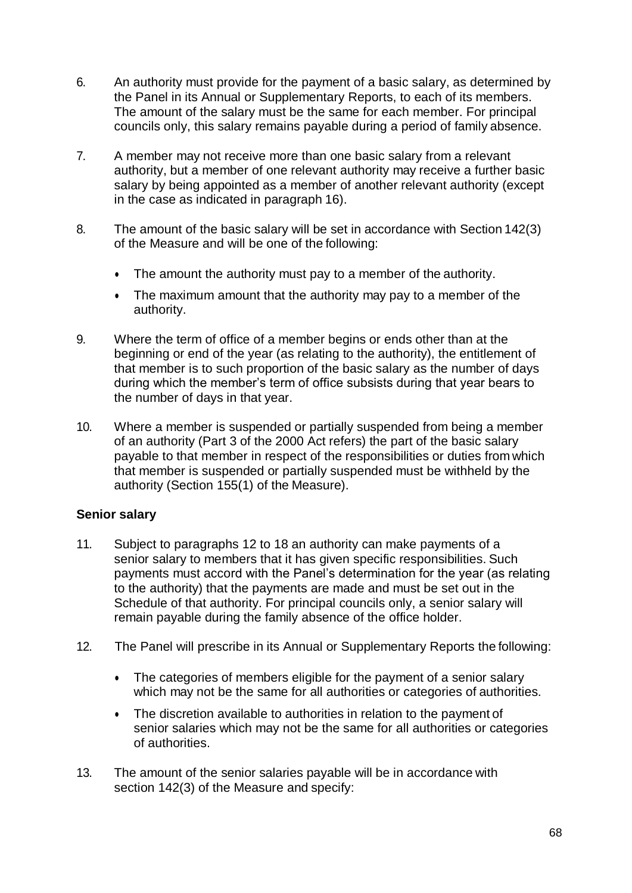- 6. An authority must provide for the payment of a basic salary, as determined by the Panel in its Annual or Supplementary Reports, to each of its members. The amount of the salary must be the same for each member. For principal councils only, this salary remains payable during a period of family absence.
- 7. A member may not receive more than one basic salary from a relevant authority, but a member of one relevant authority may receive a further basic salary by being appointed as a member of another relevant authority (except in the case as indicated in paragraph 16).
- 8. The amount of the basic salary will be set in accordance with Section 142(3) of the Measure and will be one of the following:
	- The amount the authority must pay to a member of the authority.
	- The maximum amount that the authority may pay to a member of the authority.
- 9. Where the term of office of a member begins or ends other than at the beginning or end of the year (as relating to the authority), the entitlement of that member is to such proportion of the basic salary as the number of days during which the member's term of office subsists during that year bears to the number of days in that year.
- 10. Where a member is suspended or partially suspended from being a member of an authority (Part 3 of the 2000 Act refers) the part of the basic salary payable to that member in respect of the responsibilities or duties from which that member is suspended or partially suspended must be withheld by the authority (Section 155(1) of the Measure).

### **Senior salary**

- 11. Subject to paragraphs 12 to 18 an authority can make payments of a senior salary to members that it has given specific responsibilities. Such payments must accord with the Panel's determination for the year (as relating to the authority) that the payments are made and must be set out in the Schedule of that authority. For principal councils only, a senior salary will remain payable during the family absence of the office holder.
- 12. The Panel will prescribe in its Annual or Supplementary Reports the following:
	- The categories of members eligible for the payment of a senior salary which may not be the same for all authorities or categories of authorities.
	- The discretion available to authorities in relation to the payment of senior salaries which may not be the same for all authorities or categories of authorities.
- 13. The amount of the senior salaries payable will be in accordance with section 142(3) of the Measure and specify: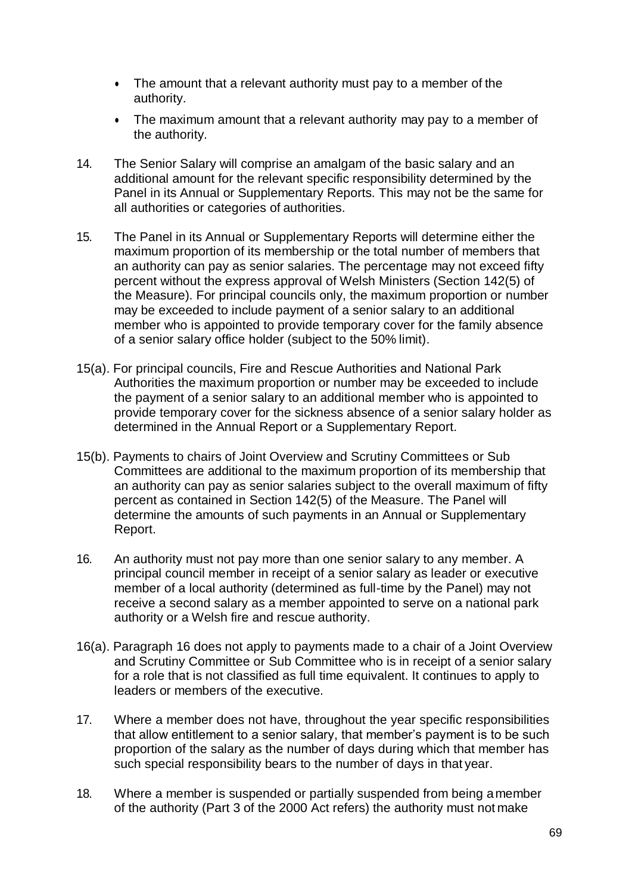- The amount that a relevant authority must pay to a member of the authority.
- The maximum amount that a relevant authority may pay to a member of the authority.
- 14. The Senior Salary will comprise an amalgam of the basic salary and an additional amount for the relevant specific responsibility determined by the Panel in its Annual or Supplementary Reports. This may not be the same for all authorities or categories of authorities.
- 15. The Panel in its Annual or Supplementary Reports will determine either the maximum proportion of its membership or the total number of members that an authority can pay as senior salaries. The percentage may not exceed fifty percent without the express approval of Welsh Ministers (Section 142(5) of the Measure). For principal councils only, the maximum proportion or number may be exceeded to include payment of a senior salary to an additional member who is appointed to provide temporary cover for the family absence of a senior salary office holder (subject to the 50% limit).
- 15(a). For principal councils, Fire and Rescue Authorities and National Park Authorities the maximum proportion or number may be exceeded to include the payment of a senior salary to an additional member who is appointed to provide temporary cover for the sickness absence of a senior salary holder as determined in the Annual Report or a Supplementary Report.
- 15(b). Payments to chairs of Joint Overview and Scrutiny Committees or Sub Committees are additional to the maximum proportion of its membership that an authority can pay as senior salaries subject to the overall maximum of fifty percent as contained in Section 142(5) of the Measure. The Panel will determine the amounts of such payments in an Annual or Supplementary Report.
- 16. An authority must not pay more than one senior salary to any member. A principal council member in receipt of a senior salary as leader or executive member of a local authority (determined as full-time by the Panel) may not receive a second salary as a member appointed to serve on a national park authority or a Welsh fire and rescue authority.
- 16(a). Paragraph 16 does not apply to payments made to a chair of a Joint Overview and Scrutiny Committee or Sub Committee who is in receipt of a senior salary for a role that is not classified as full time equivalent. It continues to apply to leaders or members of the executive.
- 17. Where a member does not have, throughout the year specific responsibilities that allow entitlement to a senior salary, that member's payment is to be such proportion of the salary as the number of days during which that member has such special responsibility bears to the number of days in that year.
- 18. Where a member is suspended or partially suspended from being amember of the authority (Part 3 of the 2000 Act refers) the authority must not make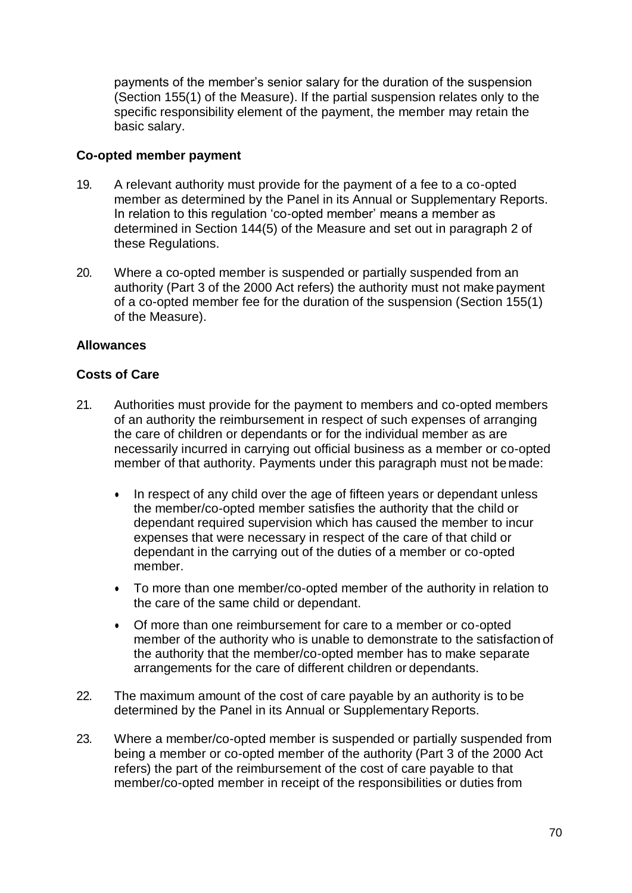payments of the member's senior salary for the duration of the suspension (Section 155(1) of the Measure). If the partial suspension relates only to the specific responsibility element of the payment, the member may retain the basic salary.

### **Co-opted member payment**

- 19. A relevant authority must provide for the payment of a fee to a co-opted member as determined by the Panel in its Annual or Supplementary Reports. In relation to this regulation 'co-opted member' means a member as determined in Section 144(5) of the Measure and set out in paragraph 2 of these Regulations.
- 20. Where a co-opted member is suspended or partially suspended from an authority (Part 3 of the 2000 Act refers) the authority must not make payment of a co-opted member fee for the duration of the suspension (Section 155(1) of the Measure).

### **Allowances**

### **Costs of Care**

- 21. Authorities must provide for the payment to members and co-opted members of an authority the reimbursement in respect of such expenses of arranging the care of children or dependants or for the individual member as are necessarily incurred in carrying out official business as a member or co-opted member of that authority. Payments under this paragraph must not bemade:
	- In respect of any child over the age of fifteen years or dependant unless the member/co-opted member satisfies the authority that the child or dependant required supervision which has caused the member to incur expenses that were necessary in respect of the care of that child or dependant in the carrying out of the duties of a member or co-opted member.
	- To more than one member/co-opted member of the authority in relation to the care of the same child or dependant.
	- Of more than one reimbursement for care to a member or co-opted member of the authority who is unable to demonstrate to the satisfaction of the authority that the member/co-opted member has to make separate arrangements for the care of different children or dependants.
- 22. The maximum amount of the cost of care payable by an authority is to be determined by the Panel in its Annual or Supplementary Reports.
- 23. Where a member/co-opted member is suspended or partially suspended from being a member or co-opted member of the authority (Part 3 of the 2000 Act refers) the part of the reimbursement of the cost of care payable to that member/co-opted member in receipt of the responsibilities or duties from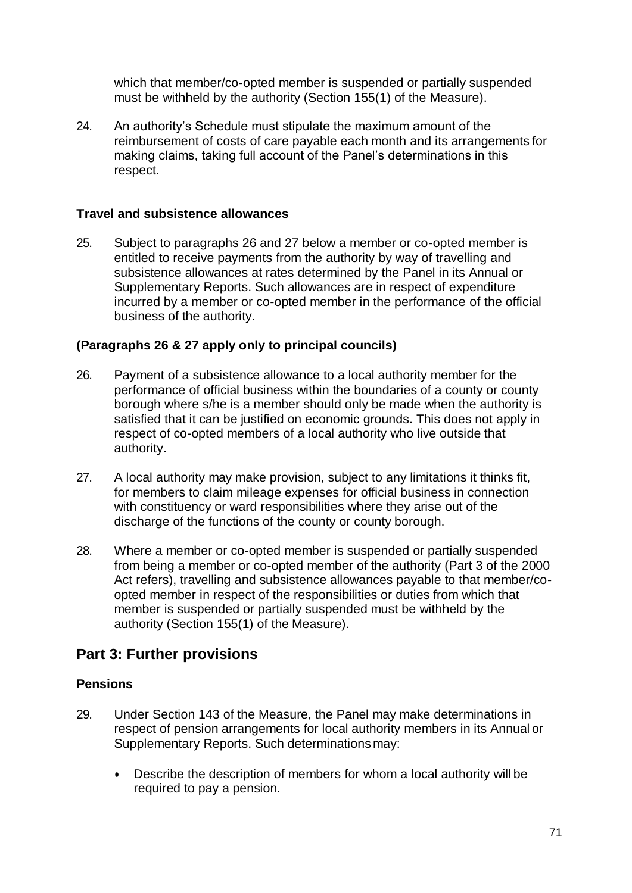which that member/co-opted member is suspended or partially suspended must be withheld by the authority (Section 155(1) of the Measure).

24. An authority's Schedule must stipulate the maximum amount of the reimbursement of costs of care payable each month and its arrangements for making claims, taking full account of the Panel's determinations in this respect.

### **Travel and subsistence allowances**

25. Subject to paragraphs 26 and 27 below a member or co-opted member is entitled to receive payments from the authority by way of travelling and subsistence allowances at rates determined by the Panel in its Annual or Supplementary Reports. Such allowances are in respect of expenditure incurred by a member or co-opted member in the performance of the official business of the authority.

### **(Paragraphs 26 & 27 apply only to principal councils)**

- 26. Payment of a subsistence allowance to a local authority member for the performance of official business within the boundaries of a county or county borough where s/he is a member should only be made when the authority is satisfied that it can be justified on economic grounds. This does not apply in respect of co-opted members of a local authority who live outside that authority.
- 27. A local authority may make provision, subject to any limitations it thinks fit, for members to claim mileage expenses for official business in connection with constituency or ward responsibilities where they arise out of the discharge of the functions of the county or county borough.
- 28. Where a member or co-opted member is suspended or partially suspended from being a member or co-opted member of the authority (Part 3 of the 2000 Act refers), travelling and subsistence allowances payable to that member/coopted member in respect of the responsibilities or duties from which that member is suspended or partially suspended must be withheld by the authority (Section 155(1) of the Measure).

### **Part 3: Further provisions**

### **Pensions**

- 29. Under Section 143 of the Measure, the Panel may make determinations in respect of pension arrangements for local authority members in its Annual or Supplementary Reports. Such determinations may:
	- Describe the description of members for whom a local authority will be required to pay a pension.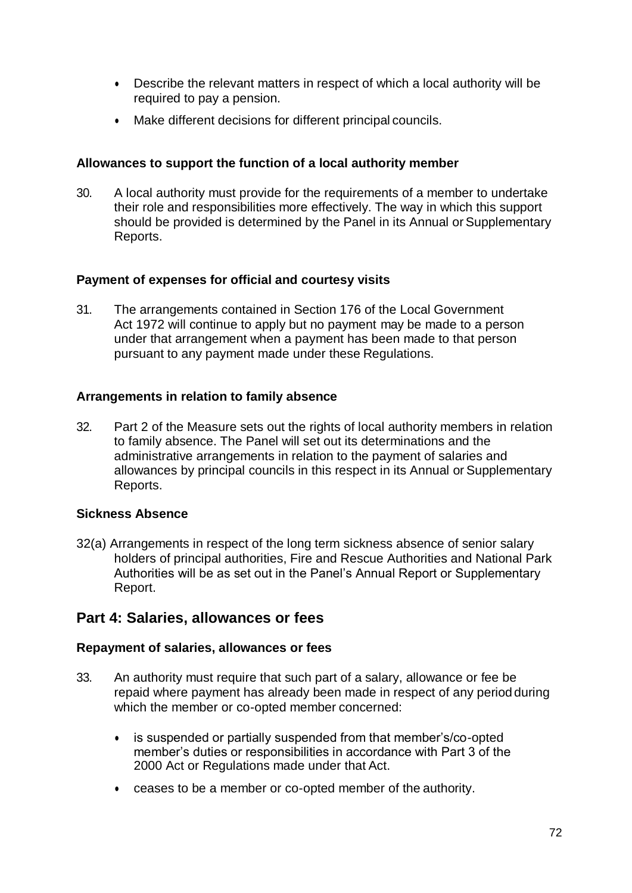- Describe the relevant matters in respect of which a local authority will be required to pay a pension.
- Make different decisions for different principal councils.

## **Allowances to support the function of a local authority member**

30. A local authority must provide for the requirements of a member to undertake their role and responsibilities more effectively. The way in which this support should be provided is determined by the Panel in its Annual or Supplementary Reports.

### **Payment of expenses for official and courtesy visits**

31. The arrangements contained in Section 176 of the Local Government Act 1972 will continue to apply but no payment may be made to a person under that arrangement when a payment has been made to that person pursuant to any payment made under these Regulations.

### **Arrangements in relation to family absence**

32. Part 2 of the Measure sets out the rights of local authority members in relation to family absence. The Panel will set out its determinations and the administrative arrangements in relation to the payment of salaries and allowances by principal councils in this respect in its Annual or Supplementary Reports.

### **Sickness Absence**

32(a) Arrangements in respect of the long term sickness absence of senior salary holders of principal authorities, Fire and Rescue Authorities and National Park Authorities will be as set out in the Panel's Annual Report or Supplementary Report.

# **Part 4: Salaries, allowances or fees**

### **Repayment of salaries, allowances or fees**

- 33. An authority must require that such part of a salary, allowance or fee be repaid where payment has already been made in respect of any period during which the member or co-opted member concerned:
	- is suspended or partially suspended from that member's/co-opted member's duties or responsibilities in accordance with Part 3 of the 2000 Act or Regulations made under that Act.
	- ceases to be a member or co-opted member of the authority.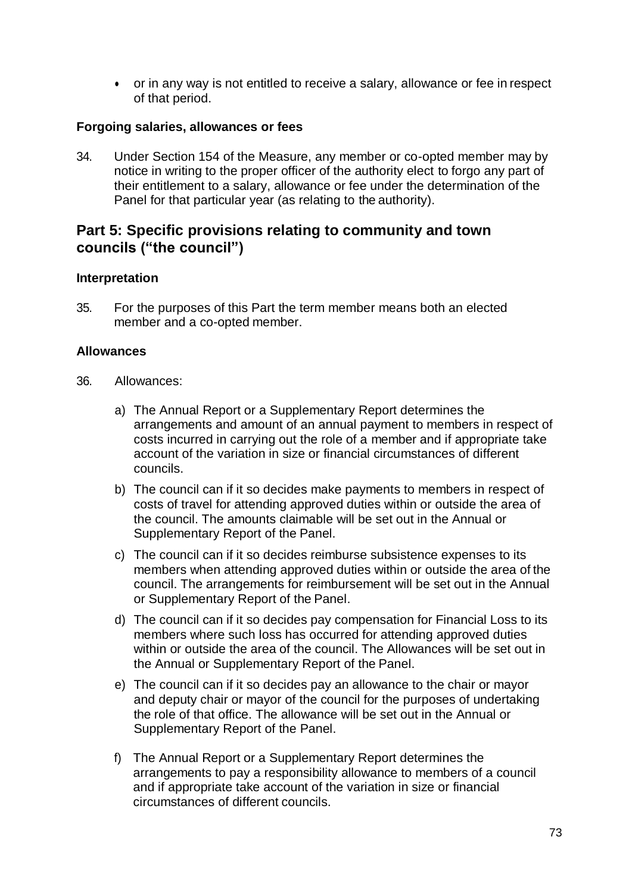or in any way is not entitled to receive a salary, allowance or fee in respect of that period.

### **Forgoing salaries, allowances or fees**

34. Under Section 154 of the Measure, any member or co-opted member may by notice in writing to the proper officer of the authority elect to forgo any part of their entitlement to a salary, allowance or fee under the determination of the Panel for that particular year (as relating to the authority).

# **Part 5: Specific provisions relating to community and town councils ("the council")**

### **Interpretation**

35. For the purposes of this Part the term member means both an elected member and a co-opted member.

### **Allowances**

- 36. Allowances:
	- a) The Annual Report or a Supplementary Report determines the arrangements and amount of an annual payment to members in respect of costs incurred in carrying out the role of a member and if appropriate take account of the variation in size or financial circumstances of different councils.
	- b) The council can if it so decides make payments to members in respect of costs of travel for attending approved duties within or outside the area of the council. The amounts claimable will be set out in the Annual or Supplementary Report of the Panel.
	- c) The council can if it so decides reimburse subsistence expenses to its members when attending approved duties within or outside the area of the council. The arrangements for reimbursement will be set out in the Annual or Supplementary Report of the Panel.
	- d) The council can if it so decides pay compensation for Financial Loss to its members where such loss has occurred for attending approved duties within or outside the area of the council. The Allowances will be set out in the Annual or Supplementary Report of the Panel.
	- e) The council can if it so decides pay an allowance to the chair or mayor and deputy chair or mayor of the council for the purposes of undertaking the role of that office. The allowance will be set out in the Annual or Supplementary Report of the Panel.
	- f) The Annual Report or a Supplementary Report determines the arrangements to pay a responsibility allowance to members of a council and if appropriate take account of the variation in size or financial circumstances of different councils.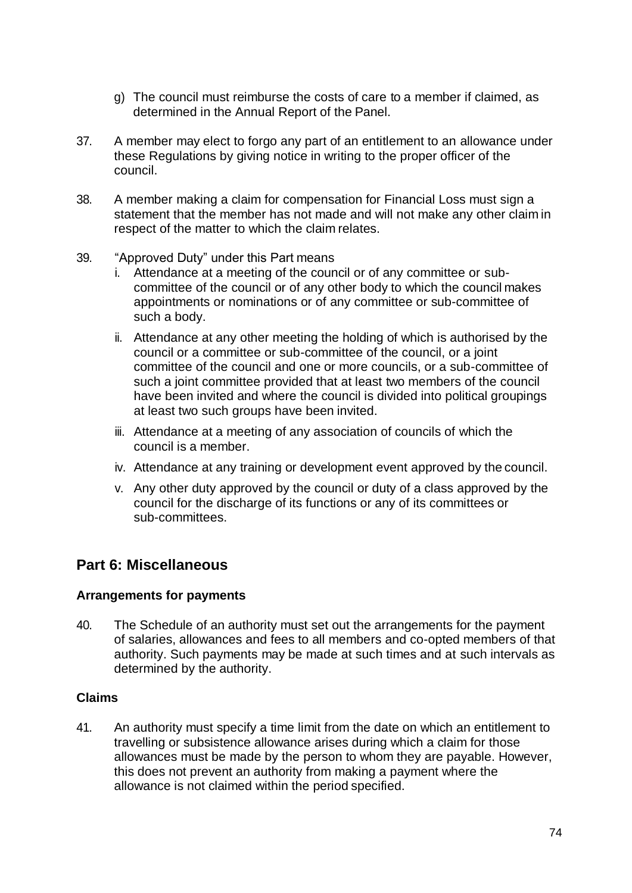- g) The council must reimburse the costs of care to a member if claimed, as determined in the Annual Report of the Panel.
- 37. A member may elect to forgo any part of an entitlement to an allowance under these Regulations by giving notice in writing to the proper officer of the council.
- 38. A member making a claim for compensation for Financial Loss must sign a statement that the member has not made and will not make any other claim in respect of the matter to which the claim relates.
- 39. "Approved Duty" under this Part means
	- i. Attendance at a meeting of the council or of any committee or subcommittee of the council or of any other body to which the council makes appointments or nominations or of any committee or sub-committee of such a body.
	- ii. Attendance at any other meeting the holding of which is authorised by the council or a committee or sub-committee of the council, or a joint committee of the council and one or more councils, or a sub-committee of such a joint committee provided that at least two members of the council have been invited and where the council is divided into political groupings at least two such groups have been invited.
	- iii. Attendance at a meeting of any association of councils of which the council is a member.
	- iv. Attendance at any training or development event approved by the council.
	- v. Any other duty approved by the council or duty of a class approved by the council for the discharge of its functions or any of its committees or sub-committees.

# **Part 6: Miscellaneous**

### **Arrangements for payments**

40. The Schedule of an authority must set out the arrangements for the payment of salaries, allowances and fees to all members and co-opted members of that authority. Such payments may be made at such times and at such intervals as determined by the authority.

### **Claims**

41. An authority must specify a time limit from the date on which an entitlement to travelling or subsistence allowance arises during which a claim for those allowances must be made by the person to whom they are payable. However, this does not prevent an authority from making a payment where the allowance is not claimed within the period specified.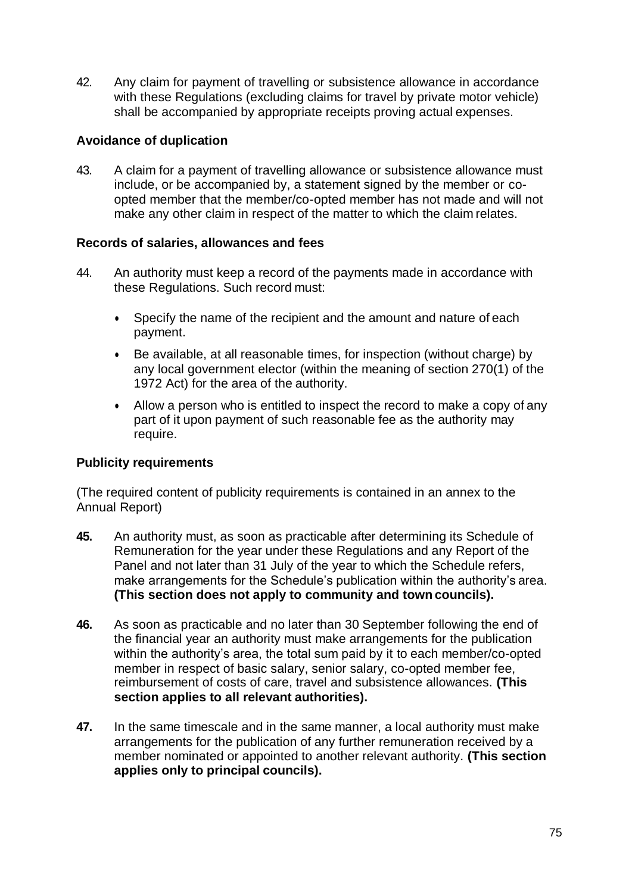42. Any claim for payment of travelling or subsistence allowance in accordance with these Regulations (excluding claims for travel by private motor vehicle) shall be accompanied by appropriate receipts proving actual expenses.

# **Avoidance of duplication**

43. A claim for a payment of travelling allowance or subsistence allowance must include, or be accompanied by, a statement signed by the member or coopted member that the member/co-opted member has not made and will not make any other claim in respect of the matter to which the claim relates.

### **Records of salaries, allowances and fees**

- 44. An authority must keep a record of the payments made in accordance with these Regulations. Such record must:
	- Specify the name of the recipient and the amount and nature of each payment.
	- Be available, at all reasonable times, for inspection (without charge) by any local government elector (within the meaning of section 270(1) of the 1972 Act) for the area of the authority.
	- Allow a person who is entitled to inspect the record to make a copy of any part of it upon payment of such reasonable fee as the authority may require.

# **Publicity requirements**

(The required content of publicity requirements is contained in an annex to the Annual Report)

- **45.** An authority must, as soon as practicable after determining its Schedule of Remuneration for the year under these Regulations and any Report of the Panel and not later than 31 July of the year to which the Schedule refers, make arrangements for the Schedule's publication within the authority's area. **(This section does not apply to community and town councils).**
- **46.** As soon as practicable and no later than 30 September following the end of the financial year an authority must make arrangements for the publication within the authority's area, the total sum paid by it to each member/co-opted member in respect of basic salary, senior salary, co-opted member fee, reimbursement of costs of care, travel and subsistence allowances. **(This section applies to all relevant authorities).**
- **47.** In the same timescale and in the same manner, a local authority must make arrangements for the publication of any further remuneration received by a member nominated or appointed to another relevant authority. **(This section applies only to principal councils).**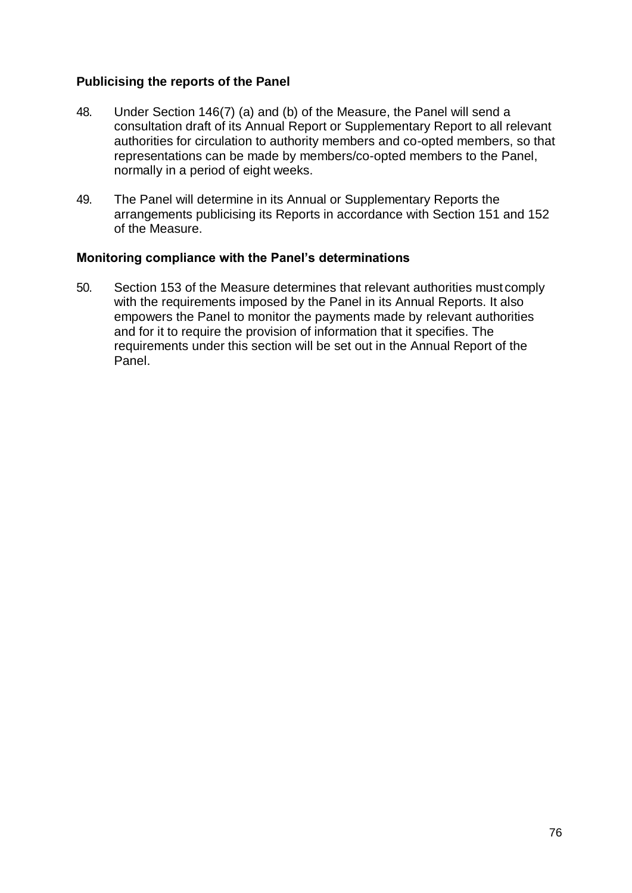## **Publicising the reports of the Panel**

- 48. Under Section 146(7) (a) and (b) of the Measure, the Panel will send a consultation draft of its Annual Report or Supplementary Report to all relevant authorities for circulation to authority members and co-opted members, so that representations can be made by members/co-opted members to the Panel, normally in a period of eight weeks.
- 49. The Panel will determine in its Annual or Supplementary Reports the arrangements publicising its Reports in accordance with Section 151 and 152 of the Measure.

### **Monitoring compliance with the Panel's determinations**

50. Section 153 of the Measure determines that relevant authorities must comply with the requirements imposed by the Panel in its Annual Reports. It also empowers the Panel to monitor the payments made by relevant authorities and for it to require the provision of information that it specifies. The requirements under this section will be set out in the Annual Report of the Panel.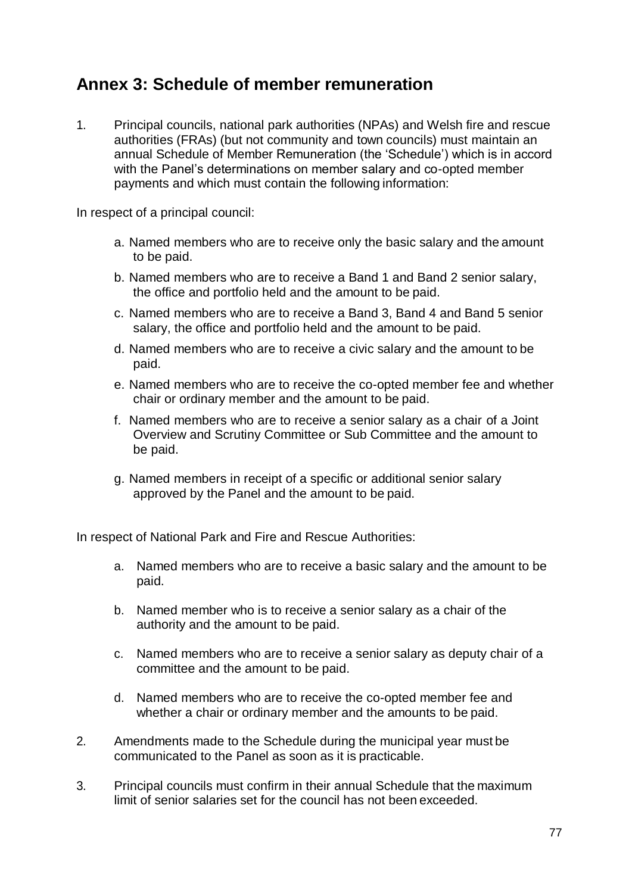# **Annex 3: Schedule of member remuneration**

1. Principal councils, national park authorities (NPAs) and Welsh fire and rescue authorities (FRAs) (but not community and town councils) must maintain an annual Schedule of Member Remuneration (the 'Schedule') which is in accord with the Panel's determinations on member salary and co-opted member payments and which must contain the following information:

In respect of a principal council:

- a. Named members who are to receive only the basic salary and the amount to be paid.
- b. Named members who are to receive a Band 1 and Band 2 senior salary, the office and portfolio held and the amount to be paid.
- c. Named members who are to receive a Band 3, Band 4 and Band 5 senior salary, the office and portfolio held and the amount to be paid.
- d. Named members who are to receive a civic salary and the amount to be paid.
- e. Named members who are to receive the co-opted member fee and whether chair or ordinary member and the amount to be paid.
- f. Named members who are to receive a senior salary as a chair of a Joint Overview and Scrutiny Committee or Sub Committee and the amount to be paid.
- g. Named members in receipt of a specific or additional senior salary approved by the Panel and the amount to be paid.

In respect of National Park and Fire and Rescue Authorities:

- a. Named members who are to receive a basic salary and the amount to be paid.
- b. Named member who is to receive a senior salary as a chair of the authority and the amount to be paid.
- c. Named members who are to receive a senior salary as deputy chair of a committee and the amount to be paid.
- d. Named members who are to receive the co-opted member fee and whether a chair or ordinary member and the amounts to be paid.
- 2. Amendments made to the Schedule during the municipal year must be communicated to the Panel as soon as it is practicable.
- 3. Principal councils must confirm in their annual Schedule that the maximum limit of senior salaries set for the council has not been exceeded.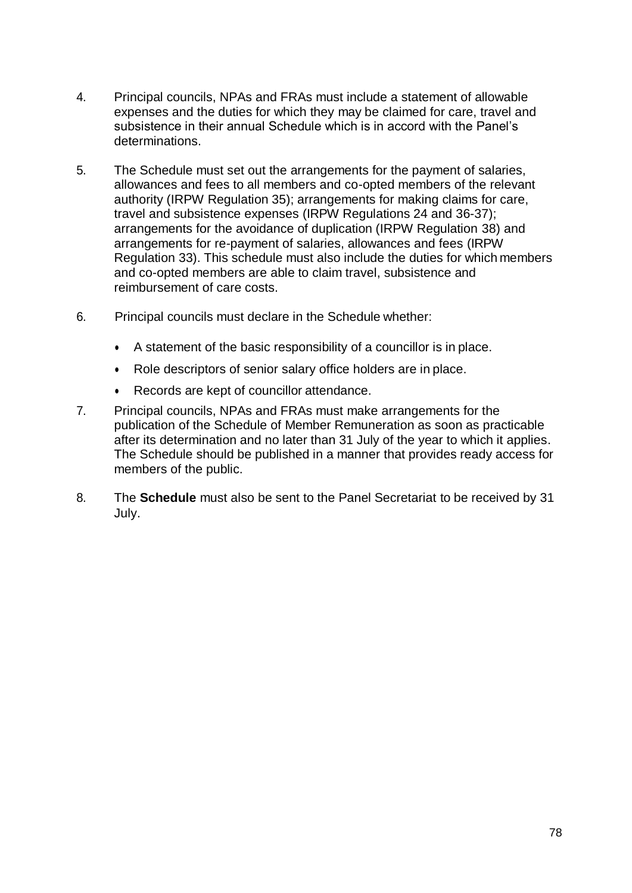- 4. Principal councils, NPAs and FRAs must include a statement of allowable expenses and the duties for which they may be claimed for care, travel and subsistence in their annual Schedule which is in accord with the Panel's determinations.
- 5. The Schedule must set out the arrangements for the payment of salaries, allowances and fees to all members and co-opted members of the relevant authority (IRPW Regulation 35); arrangements for making claims for care, travel and subsistence expenses (IRPW Regulations 24 and 36-37); arrangements for the avoidance of duplication (IRPW Regulation 38) and arrangements for re-payment of salaries, allowances and fees (IRPW Regulation 33). This schedule must also include the duties for which members and co-opted members are able to claim travel, subsistence and reimbursement of care costs.
- 6. Principal councils must declare in the Schedule whether:
	- A statement of the basic responsibility of a councillor is in place.
	- Role descriptors of senior salary office holders are in place.
	- Records are kept of councillor attendance.
- 7. Principal councils, NPAs and FRAs must make arrangements for the publication of the Schedule of Member Remuneration as soon as practicable after its determination and no later than 31 July of the year to which it applies. The Schedule should be published in a manner that provides ready access for members of the public.
- 8. The **Schedule** must also be sent to the Panel Secretariat to be received by 31 July.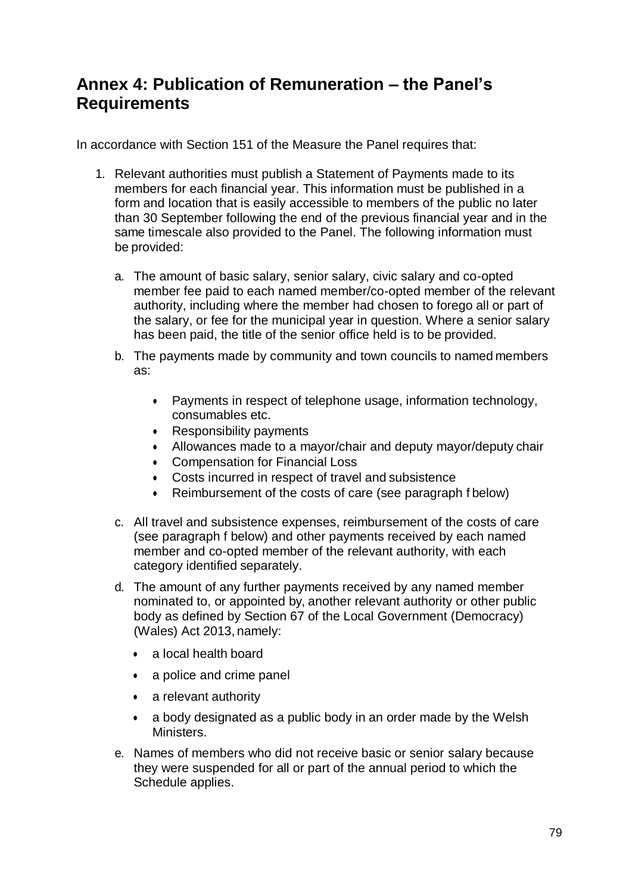# **Annex 4: Publication of Remuneration – the Panel's Requirements**

In accordance with Section 151 of the Measure the Panel requires that:

- 1. Relevant authorities must publish a Statement of Payments made to its members for each financial year. This information must be published in a form and location that is easily accessible to members of the public no later than 30 September following the end of the previous financial year and in the same timescale also provided to the Panel. The following information must be provided:
	- a. The amount of basic salary, senior salary, civic salary and co-opted member fee paid to each named member/co-opted member of the relevant authority, including where the member had chosen to forego all or part of the salary, or fee for the municipal year in question. Where a senior salary has been paid, the title of the senior office held is to be provided.
	- b. The payments made by community and town councils to named members as:
		- Payments in respect of telephone usage, information technology, consumables etc.
		- Responsibility payments
		- Allowances made to a mayor/chair and deputy mayor/deputy chair
		- Compensation for Financial Loss
		- Costs incurred in respect of travel and subsistence
		- Reimbursement of the costs of care (see paragraph f below)
	- c. All travel and subsistence expenses, reimbursement of the costs of care (see paragraph f below) and other payments received by each named member and co-opted member of the relevant authority, with each category identified separately.
	- d. The amount of any further payments received by any named member nominated to, or appointed by, another relevant authority or other public body as defined by Section 67 of the Local Government (Democracy) (Wales) Act 2013, namely:
		- a local health board
		- a police and crime panel
		- a relevant authority
		- a body designated as a public body in an order made by the Welsh Ministers.
	- e. Names of members who did not receive basic or senior salary because they were suspended for all or part of the annual period to which the Schedule applies.